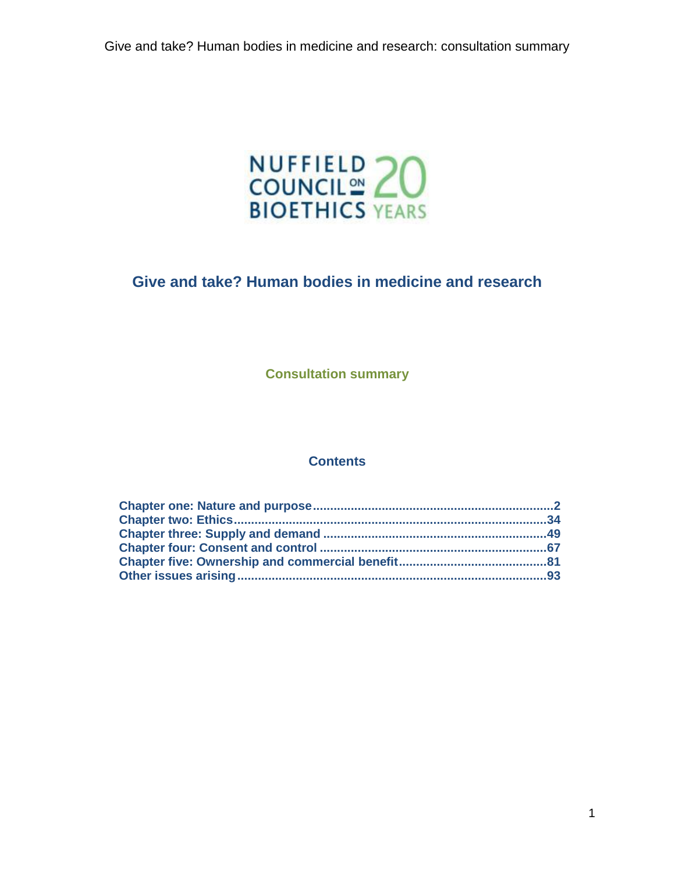

# **Give and take? Human bodies in medicine and research**

**Consultation summary**

### **Contents**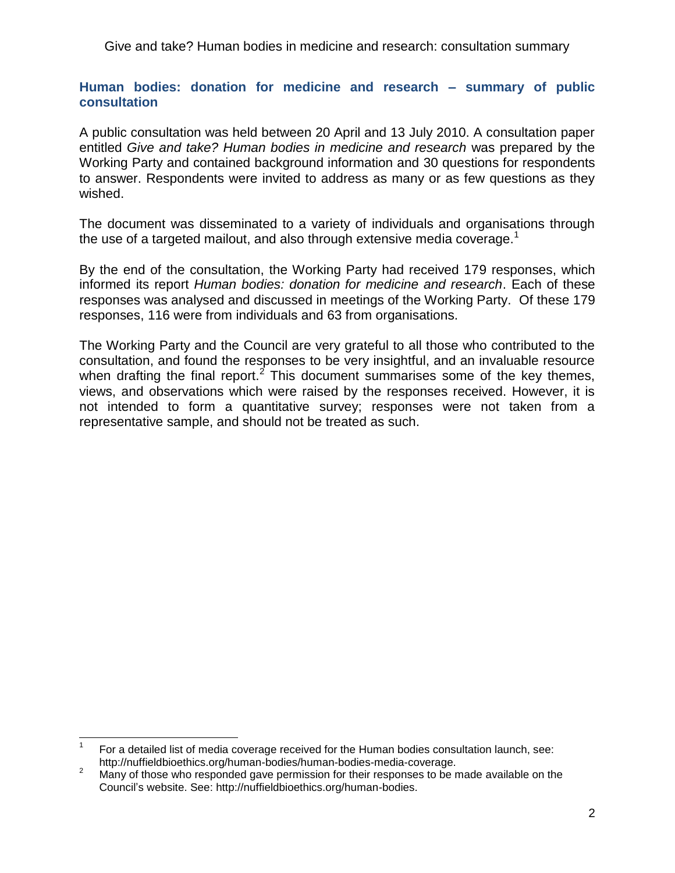## <span id="page-1-0"></span>**Human bodies: donation for medicine and research – summary of public consultation**

A public consultation was held between 20 April and 13 July 2010. A consultation paper entitled *Give and take? Human bodies in medicine and research* was prepared by the Working Party and contained background information and 30 questions for respondents to answer. Respondents were invited to address as many or as few questions as they wished.

The document was disseminated to a variety of individuals and organisations through the use of a targeted mailout, and also through extensive media coverage.<sup>1</sup>

By the end of the consultation, the Working Party had received 179 responses, which informed its report *Human bodies: donation for medicine and research*. Each of these responses was analysed and discussed in meetings of the Working Party. Of these 179 responses, 116 were from individuals and 63 from organisations.

The Working Party and the Council are very grateful to all those who contributed to the consultation, and found the responses to be very insightful, and an invaluable resource when drafting the final report.<sup>2</sup> This document summarises some of the key themes, views, and observations which were raised by the responses received. However, it is not intended to form a quantitative survey; responses were not taken from a representative sample, and should not be treated as such.

 $\frac{1}{1}$ For a detailed list of media coverage received for the Human bodies consultation launch, see: http://nuffieldbioethics.org/human-bodies/human-bodies-media-coverage.

<sup>&</sup>lt;sup>2</sup> Many of those who responded gave permission for their responses to be made available on the Council's website. See: http://nuffieldbioethics.org/human-bodies.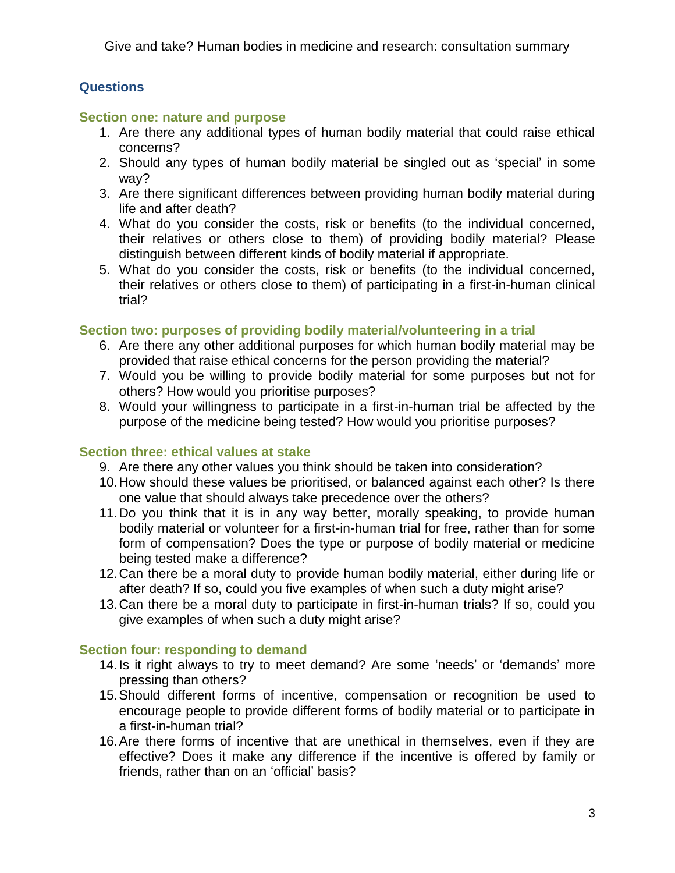## **Questions**

## **Section one: nature and purpose**

- 1. Are there any additional types of human bodily material that could raise ethical concerns?
- 2. Should any types of human bodily material be singled out as 'special' in some way?
- 3. Are there significant differences between providing human bodily material during life and after death?
- 4. What do you consider the costs, risk or benefits (to the individual concerned, their relatives or others close to them) of providing bodily material? Please distinguish between different kinds of bodily material if appropriate.
- 5. What do you consider the costs, risk or benefits (to the individual concerned, their relatives or others close to them) of participating in a first-in-human clinical trial?

## **Section two: purposes of providing bodily material/volunteering in a trial**

- 6. Are there any other additional purposes for which human bodily material may be provided that raise ethical concerns for the person providing the material?
- 7. Would you be willing to provide bodily material for some purposes but not for others? How would you prioritise purposes?
- 8. Would your willingness to participate in a first-in-human trial be affected by the purpose of the medicine being tested? How would you prioritise purposes?

## **Section three: ethical values at stake**

- 9. Are there any other values you think should be taken into consideration?
- 10.How should these values be prioritised, or balanced against each other? Is there one value that should always take precedence over the others?
- 11.Do you think that it is in any way better, morally speaking, to provide human bodily material or volunteer for a first-in-human trial for free, rather than for some form of compensation? Does the type or purpose of bodily material or medicine being tested make a difference?
- 12.Can there be a moral duty to provide human bodily material, either during life or after death? If so, could you five examples of when such a duty might arise?
- 13.Can there be a moral duty to participate in first-in-human trials? If so, could you give examples of when such a duty might arise?

## **Section four: responding to demand**

- 14. Is it right always to try to meet demand? Are some 'needs' or 'demands' more pressing than others?
- 15.Should different forms of incentive, compensation or recognition be used to encourage people to provide different forms of bodily material or to participate in a first-in-human trial?
- 16.Are there forms of incentive that are unethical in themselves, even if they are effective? Does it make any difference if the incentive is offered by family or friends, rather than on an 'official' basis?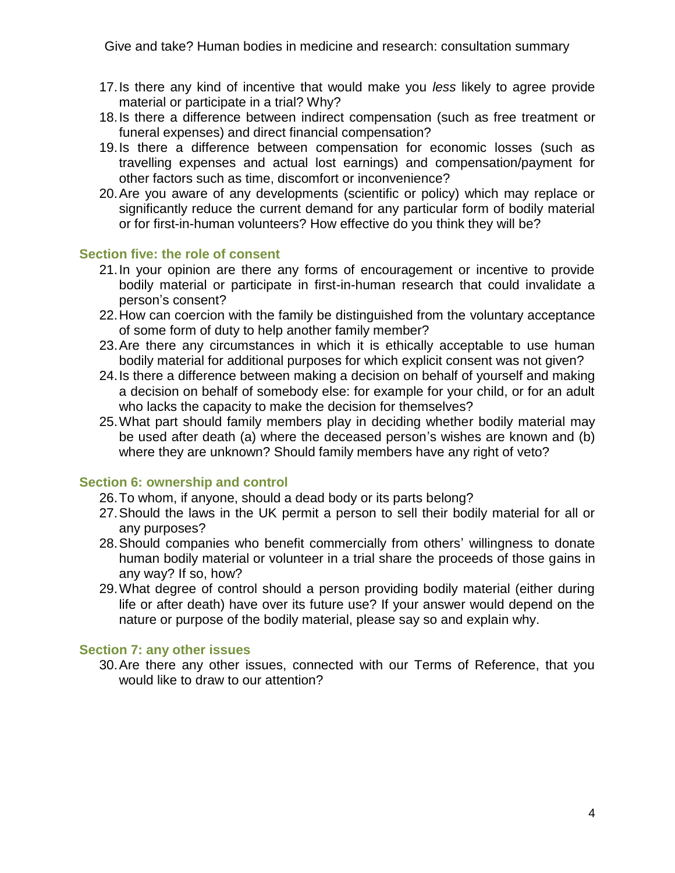- 17.Is there any kind of incentive that would make you *less* likely to agree provide material or participate in a trial? Why?
- 18.Is there a difference between indirect compensation (such as free treatment or funeral expenses) and direct financial compensation?
- 19.Is there a difference between compensation for economic losses (such as travelling expenses and actual lost earnings) and compensation/payment for other factors such as time, discomfort or inconvenience?
- 20.Are you aware of any developments (scientific or policy) which may replace or significantly reduce the current demand for any particular form of bodily material or for first-in-human volunteers? How effective do you think they will be?

### **Section five: the role of consent**

- 21.In your opinion are there any forms of encouragement or incentive to provide bodily material or participate in first-in-human research that could invalidate a person's consent?
- 22.How can coercion with the family be distinguished from the voluntary acceptance of some form of duty to help another family member?
- 23.Are there any circumstances in which it is ethically acceptable to use human bodily material for additional purposes for which explicit consent was not given?
- 24.Is there a difference between making a decision on behalf of yourself and making a decision on behalf of somebody else: for example for your child, or for an adult who lacks the capacity to make the decision for themselves?
- 25.What part should family members play in deciding whether bodily material may be used after death (a) where the deceased person's wishes are known and (b) where they are unknown? Should family members have any right of veto?

## **Section 6: ownership and control**

- 26.To whom, if anyone, should a dead body or its parts belong?
- 27.Should the laws in the UK permit a person to sell their bodily material for all or any purposes?
- 28.Should companies who benefit commercially from others' willingness to donate human bodily material or volunteer in a trial share the proceeds of those gains in any way? If so, how?
- 29.What degree of control should a person providing bodily material (either during life or after death) have over its future use? If your answer would depend on the nature or purpose of the bodily material, please say so and explain why.

## **Section 7: any other issues**

30.Are there any other issues, connected with our Terms of Reference, that you would like to draw to our attention?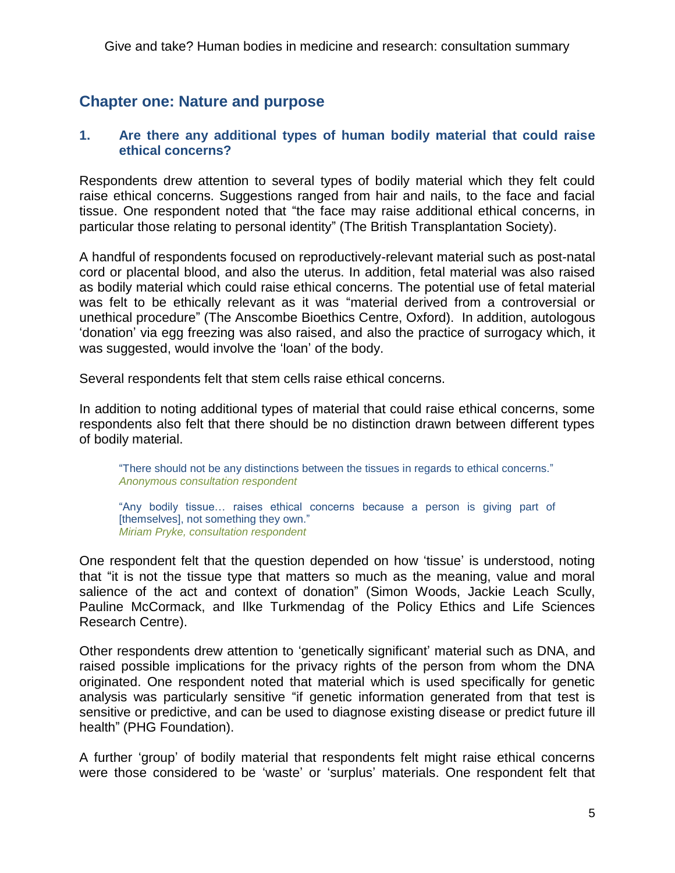# **Chapter one: Nature and purpose**

## **1. Are there any additional types of human bodily material that could raise ethical concerns?**

Respondents drew attention to several types of bodily material which they felt could raise ethical concerns. Suggestions ranged from hair and nails, to the face and facial tissue. One respondent noted that "the face may raise additional ethical concerns, in particular those relating to personal identity" (The British Transplantation Society).

A handful of respondents focused on reproductively-relevant material such as post-natal cord or placental blood, and also the uterus. In addition, fetal material was also raised as bodily material which could raise ethical concerns. The potential use of fetal material was felt to be ethically relevant as it was "material derived from a controversial or unethical procedure" (The Anscombe Bioethics Centre, Oxford). In addition, autologous ‗donation' via egg freezing was also raised, and also the practice of surrogacy which, it was suggested, would involve the 'loan' of the body.

Several respondents felt that stem cells raise ethical concerns.

In addition to noting additional types of material that could raise ethical concerns, some respondents also felt that there should be no distinction drawn between different types of bodily material.

"There should not be any distinctions between the tissues in regards to ethical concerns." *Anonymous consultation respondent*

"Any bodily tissue... raises ethical concerns because a person is giving part of [themselves], not something they own." *Miriam Pryke, consultation respondent*

One respondent felt that the question depended on how 'tissue' is understood, noting that "it is not the tissue type that matters so much as the meaning, value and moral salience of the act and context of donation" (Simon Woods, Jackie Leach Scully, Pauline McCormack, and Ilke Turkmendag of the Policy Ethics and Life Sciences Research Centre).

Other respondents drew attention to 'genetically significant' material such as DNA, and raised possible implications for the privacy rights of the person from whom the DNA originated. One respondent noted that material which is used specifically for genetic analysis was particularly sensitive "if genetic information generated from that test is sensitive or predictive, and can be used to diagnose existing disease or predict future ill health" (PHG Foundation).

A further 'group' of bodily material that respondents felt might raise ethical concerns were those considered to be 'waste' or 'surplus' materials. One respondent felt that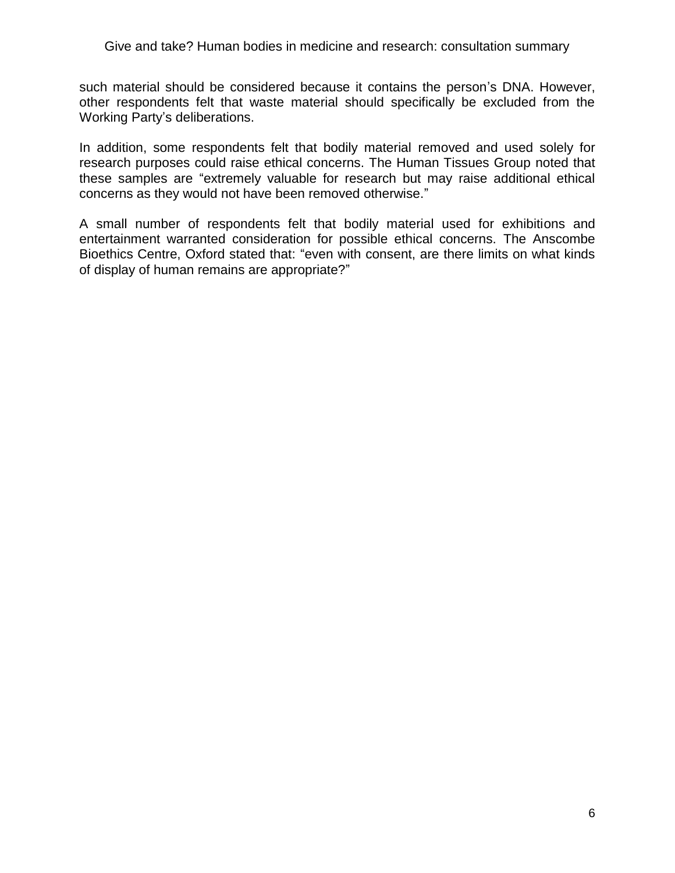such material should be considered because it contains the person's DNA. However, other respondents felt that waste material should specifically be excluded from the Working Party's deliberations.

In addition, some respondents felt that bodily material removed and used solely for research purposes could raise ethical concerns. The Human Tissues Group noted that these samples are "extremely valuable for research but may raise additional ethical concerns as they would not have been removed otherwise."

A small number of respondents felt that bodily material used for exhibitions and entertainment warranted consideration for possible ethical concerns. The Anscombe Bioethics Centre, Oxford stated that: "even with consent, are there limits on what kinds of display of human remains are appropriate?"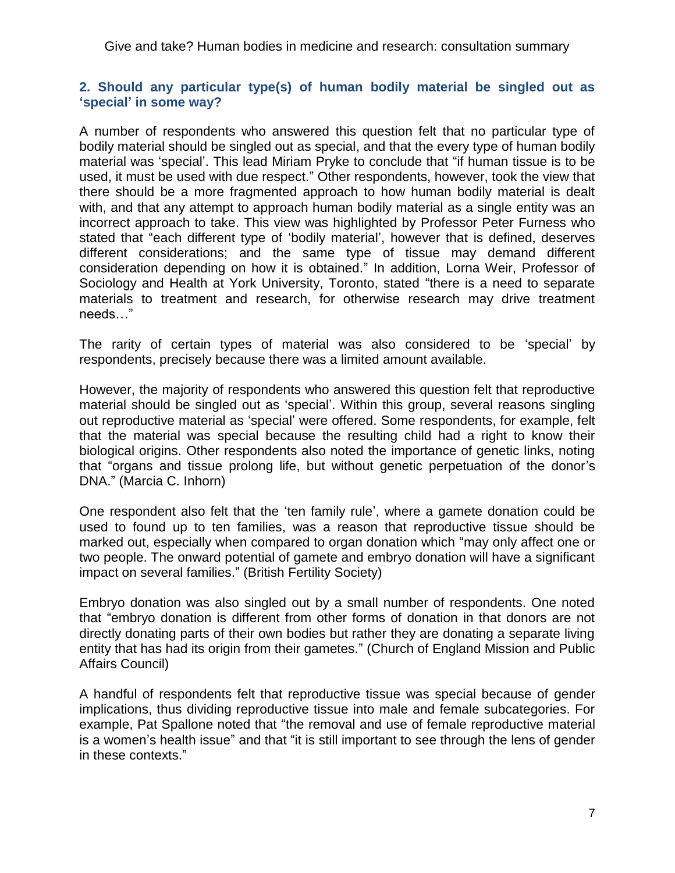## **2. Should any particular type(s) of human bodily material be singled out as 'special' in some way?**

A number of respondents who answered this question felt that no particular type of bodily material should be singled out as special, and that the every type of human bodily material was 'special'. This lead Miriam Pryke to conclude that "if human tissue is to be used, it must be used with due respect." Other respondents, however, took the view that there should be a more fragmented approach to how human bodily material is dealt with, and that any attempt to approach human bodily material as a single entity was an incorrect approach to take. This view was highlighted by Professor Peter Furness who stated that "each different type of 'bodily material', however that is defined, deserves different considerations; and the same type of tissue may demand different consideration depending on how it is obtained." In addition, Lorna Weir, Professor of Sociology and Health at York University, Toronto, stated "there is a need to separate materials to treatment and research, for otherwise research may drive treatment needs…‖

The rarity of certain types of material was also considered to be 'special' by respondents, precisely because there was a limited amount available.

However, the majority of respondents who answered this question felt that reproductive material should be singled out as 'special'. Within this group, several reasons singling out reproductive material as 'special' were offered. Some respondents, for example, felt that the material was special because the resulting child had a right to know their biological origins. Other respondents also noted the importance of genetic links, noting that "organs and tissue prolong life, but without genetic perpetuation of the donor's DNA.‖ (Marcia C. Inhorn)

One respondent also felt that the 'ten family rule', where a gamete donation could be used to found up to ten families, was a reason that reproductive tissue should be marked out, especially when compared to organ donation which "may only affect one or two people. The onward potential of gamete and embryo donation will have a significant impact on several families." (British Fertility Society)

Embryo donation was also singled out by a small number of respondents. One noted that "embryo donation is different from other forms of donation in that donors are not directly donating parts of their own bodies but rather they are donating a separate living entity that has had its origin from their gametes." (Church of England Mission and Public Affairs Council)

A handful of respondents felt that reproductive tissue was special because of gender implications, thus dividing reproductive tissue into male and female subcategories. For example, Pat Spallone noted that "the removal and use of female reproductive material is a women's health issue" and that "it is still important to see through the lens of gender in these contexts."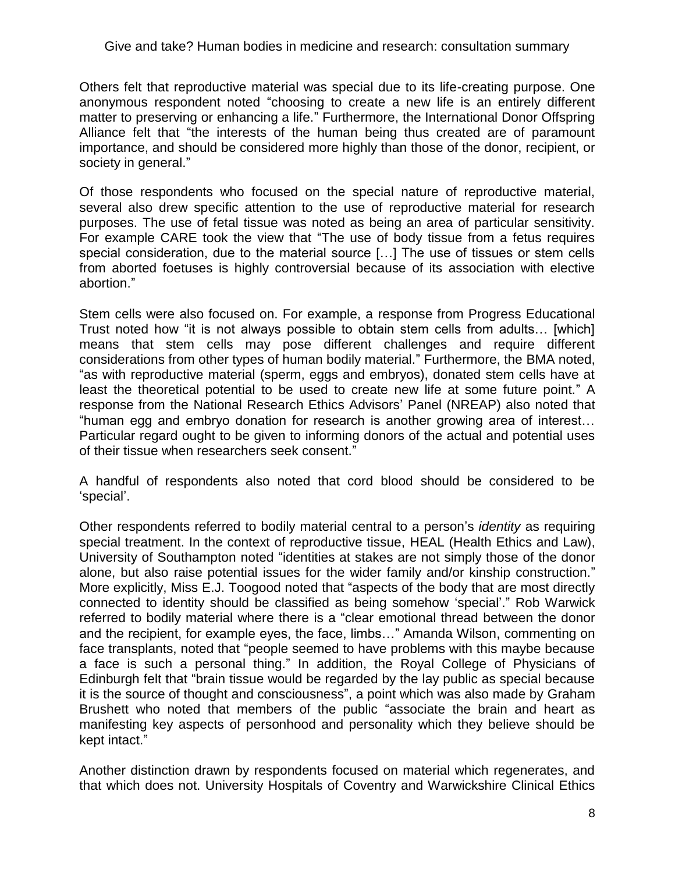Others felt that reproductive material was special due to its life-creating purpose. One anonymous respondent noted "choosing to create a new life is an entirely different matter to preserving or enhancing a life." Furthermore, the International Donor Offspring Alliance felt that "the interests of the human being thus created are of paramount importance, and should be considered more highly than those of the donor, recipient, or society in general."

Of those respondents who focused on the special nature of reproductive material, several also drew specific attention to the use of reproductive material for research purposes. The use of fetal tissue was noted as being an area of particular sensitivity. For example CARE took the view that "The use of body tissue from a fetus requires special consideration, due to the material source […] The use of tissues or stem cells from aborted foetuses is highly controversial because of its association with elective abortion.‖

Stem cells were also focused on. For example, a response from Progress Educational Trust noted how "it is not always possible to obtain stem cells from adults... [which] means that stem cells may pose different challenges and require different considerations from other types of human bodily material." Furthermore, the BMA noted, "as with reproductive material (sperm, eggs and embryos), donated stem cells have at least the theoretical potential to be used to create new life at some future point." A response from the National Research Ethics Advisors' Panel (NREAP) also noted that "human egg and embryo donation for research is another growing area of interest... Particular regard ought to be given to informing donors of the actual and potential uses of their tissue when researchers seek consent."

A handful of respondents also noted that cord blood should be considered to be ‗special'.

Other respondents referred to bodily material central to a person's *identity* as requiring special treatment. In the context of reproductive tissue, HEAL (Health Ethics and Law), University of Southampton noted "identities at stakes are not simply those of the donor alone, but also raise potential issues for the wider family and/or kinship construction." More explicitly, Miss E.J. Toogood noted that "aspects of the body that are most directly connected to identity should be classified as being somehow 'special'." Rob Warwick referred to bodily material where there is a "clear emotional thread between the donor and the recipient, for example eyes, the face, limbs..." Amanda Wilson, commenting on face transplants, noted that "people seemed to have problems with this maybe because a face is such a personal thing." In addition, the Royal College of Physicians of Edinburgh felt that "brain tissue would be regarded by the lay public as special because it is the source of thought and consciousness", a point which was also made by Graham Brushett who noted that members of the public "associate the brain and heart as manifesting key aspects of personhood and personality which they believe should be kept intact.‖

Another distinction drawn by respondents focused on material which regenerates, and that which does not. University Hospitals of Coventry and Warwickshire Clinical Ethics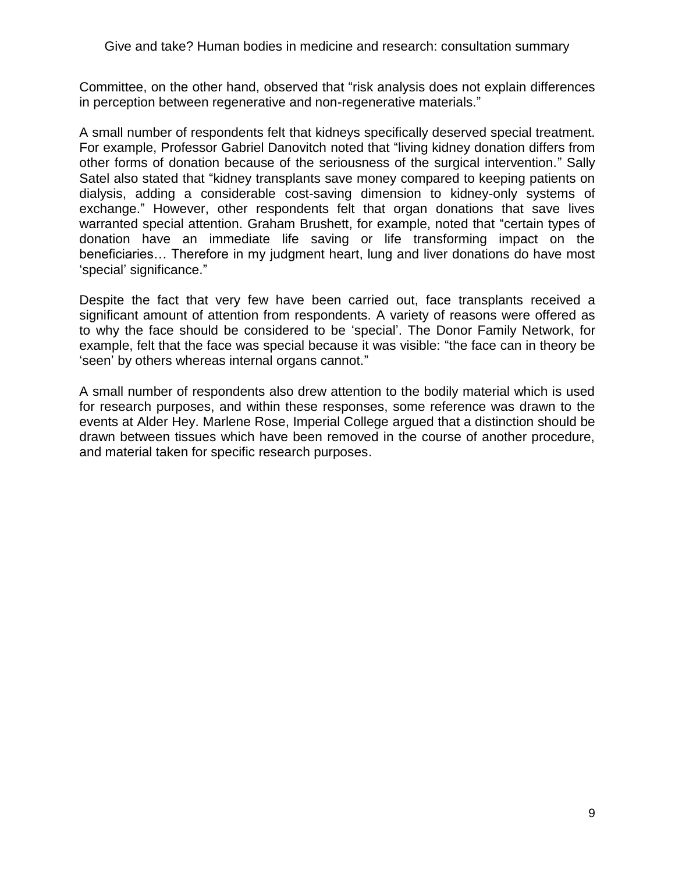Committee, on the other hand, observed that "risk analysis does not explain differences in perception between regenerative and non-regenerative materials."

A small number of respondents felt that kidneys specifically deserved special treatment. For example, Professor Gabriel Danovitch noted that "living kidney donation differs from other forms of donation because of the seriousness of the surgical intervention." Sally Satel also stated that "kidney transplants save money compared to keeping patients on dialysis, adding a considerable cost-saving dimension to kidney-only systems of exchange." However, other respondents felt that organ donations that save lives warranted special attention. Graham Brushett, for example, noted that "certain types of donation have an immediate life saving or life transforming impact on the beneficiaries… Therefore in my judgment heart, lung and liver donations do have most 'special' significance."

Despite the fact that very few have been carried out, face transplants received a significant amount of attention from respondents. A variety of reasons were offered as to why the face should be considered to be ‗special'. The Donor Family Network, for example, felt that the face was special because it was visible: "the face can in theory be 'seen' by others whereas internal organs cannot."

A small number of respondents also drew attention to the bodily material which is used for research purposes, and within these responses, some reference was drawn to the events at Alder Hey. Marlene Rose, Imperial College argued that a distinction should be drawn between tissues which have been removed in the course of another procedure, and material taken for specific research purposes.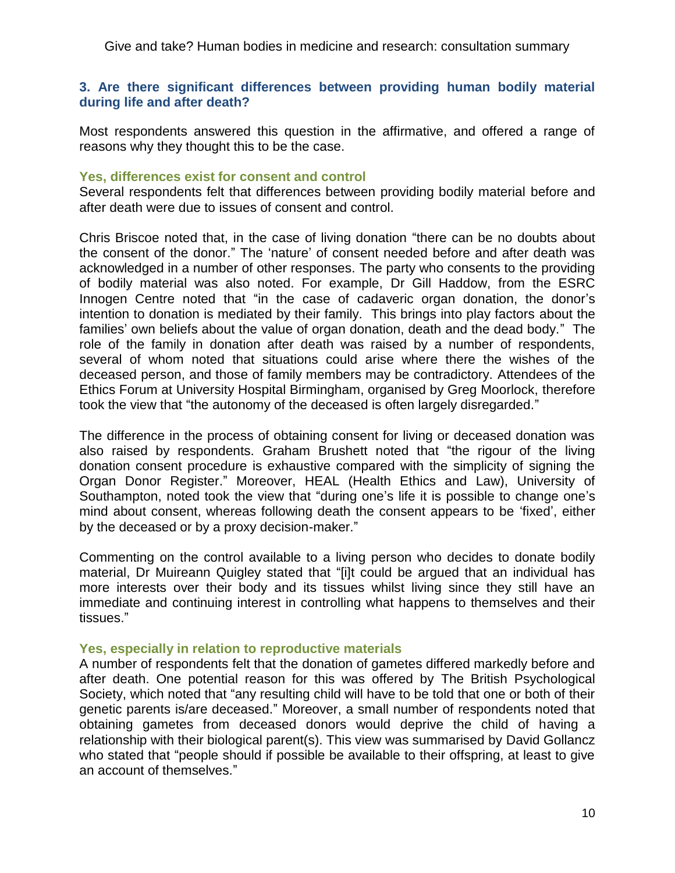### **3. Are there significant differences between providing human bodily material during life and after death?**

Most respondents answered this question in the affirmative, and offered a range of reasons why they thought this to be the case.

### **Yes, differences exist for consent and control**

Several respondents felt that differences between providing bodily material before and after death were due to issues of consent and control.

Chris Briscoe noted that, in the case of living donation "there can be no doubts about the consent of the donor." The 'nature' of consent needed before and after death was acknowledged in a number of other responses. The party who consents to the providing of bodily material was also noted. For example, Dr Gill Haddow, from the ESRC Innogen Centre noted that "in the case of cadaveric organ donation, the donor's intention to donation is mediated by their family. This brings into play factors about the families' own beliefs about the value of organ donation, death and the dead body." The role of the family in donation after death was raised by a number of respondents, several of whom noted that situations could arise where there the wishes of the deceased person, and those of family members may be contradictory. Attendees of the Ethics Forum at University Hospital Birmingham, organised by Greg Moorlock, therefore took the view that "the autonomy of the deceased is often largely disregarded."

The difference in the process of obtaining consent for living or deceased donation was also raised by respondents. Graham Brushett noted that "the rigour of the living donation consent procedure is exhaustive compared with the simplicity of signing the Organ Donor Register.‖ Moreover, HEAL (Health Ethics and Law), University of Southampton, noted took the view that "during one's life it is possible to change one's mind about consent, whereas following death the consent appears to be 'fixed', either by the deceased or by a proxy decision-maker."

Commenting on the control available to a living person who decides to donate bodily material, Dr Muireann Quigley stated that "[i]t could be argued that an individual has more interests over their body and its tissues whilst living since they still have an immediate and continuing interest in controlling what happens to themselves and their tissues.‖

### **Yes, especially in relation to reproductive materials**

A number of respondents felt that the donation of gametes differed markedly before and after death. One potential reason for this was offered by The British Psychological Society, which noted that "any resulting child will have to be told that one or both of their genetic parents is/are deceased." Moreover, a small number of respondents noted that obtaining gametes from deceased donors would deprive the child of having a relationship with their biological parent(s). This view was summarised by David Gollancz who stated that "people should if possible be available to their offspring, at least to give an account of themselves."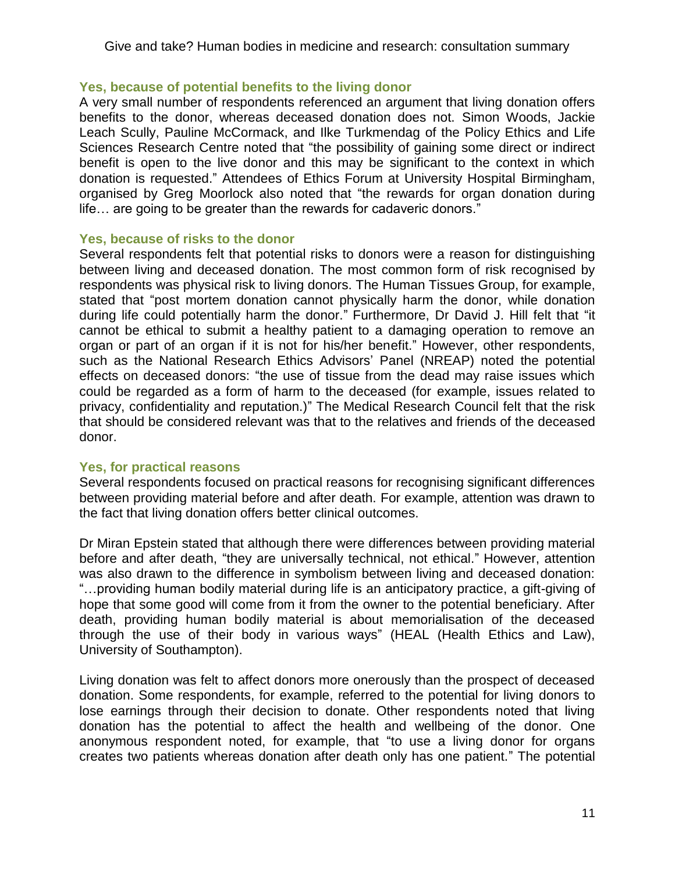## **Yes, because of potential benefits to the living donor**

A very small number of respondents referenced an argument that living donation offers benefits to the donor, whereas deceased donation does not. Simon Woods, Jackie Leach Scully, Pauline McCormack, and Ilke Turkmendag of the Policy Ethics and Life Sciences Research Centre noted that "the possibility of gaining some direct or indirect benefit is open to the live donor and this may be significant to the context in which donation is requested.‖ Attendees of Ethics Forum at University Hospital Birmingham, organised by Greg Moorlock also noted that "the rewards for organ donation during life... are going to be greater than the rewards for cadaveric donors."

### **Yes, because of risks to the donor**

Several respondents felt that potential risks to donors were a reason for distinguishing between living and deceased donation. The most common form of risk recognised by respondents was physical risk to living donors. The Human Tissues Group, for example, stated that "post mortem donation cannot physically harm the donor, while donation during life could potentially harm the donor." Furthermore, Dr David J. Hill felt that "it cannot be ethical to submit a healthy patient to a damaging operation to remove an organ or part of an organ if it is not for his/her benefit." However, other respondents, such as the National Research Ethics Advisors' Panel (NREAP) noted the potential effects on deceased donors: "the use of tissue from the dead may raise issues which could be regarded as a form of harm to the deceased (for example, issues related to privacy, confidentiality and reputation.)" The Medical Research Council felt that the risk that should be considered relevant was that to the relatives and friends of the deceased donor.

## **Yes, for practical reasons**

Several respondents focused on practical reasons for recognising significant differences between providing material before and after death. For example, attention was drawn to the fact that living donation offers better clinical outcomes.

Dr Miran Epstein stated that although there were differences between providing material before and after death, "they are universally technical, not ethical." However, attention was also drawn to the difference in symbolism between living and deceased donation: ―…providing human bodily material during life is an anticipatory practice, a gift-giving of hope that some good will come from it from the owner to the potential beneficiary. After death, providing human bodily material is about memorialisation of the deceased through the use of their body in various ways‖ (HEAL (Health Ethics and Law), University of Southampton).

Living donation was felt to affect donors more onerously than the prospect of deceased donation. Some respondents, for example, referred to the potential for living donors to lose earnings through their decision to donate. Other respondents noted that living donation has the potential to affect the health and wellbeing of the donor. One anonymous respondent noted, for example, that "to use a living donor for organs creates two patients whereas donation after death only has one patient.‖ The potential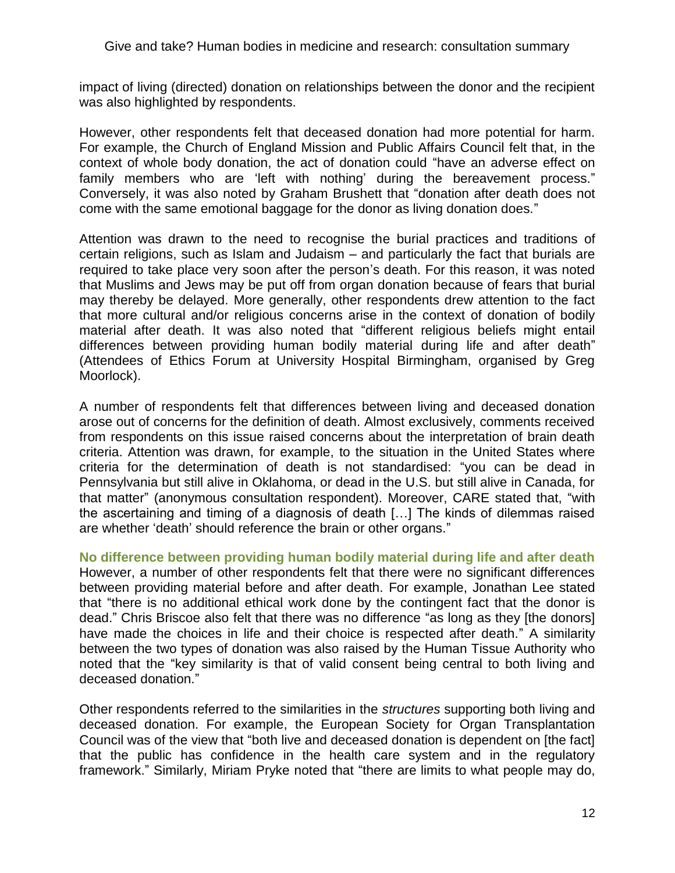impact of living (directed) donation on relationships between the donor and the recipient was also highlighted by respondents.

However, other respondents felt that deceased donation had more potential for harm. For example, the Church of England Mission and Public Affairs Council felt that, in the context of whole body donation, the act of donation could "have an adverse effect on family members who are 'left with nothing' during the bereavement process." Conversely, it was also noted by Graham Brushett that "donation after death does not come with the same emotional baggage for the donor as living donation does."

Attention was drawn to the need to recognise the burial practices and traditions of certain religions, such as Islam and Judaism – and particularly the fact that burials are required to take place very soon after the person's death. For this reason, it was noted that Muslims and Jews may be put off from organ donation because of fears that burial may thereby be delayed. More generally, other respondents drew attention to the fact that more cultural and/or religious concerns arise in the context of donation of bodily material after death. It was also noted that "different religious beliefs might entail differences between providing human bodily material during life and after death" (Attendees of Ethics Forum at University Hospital Birmingham, organised by Greg Moorlock).

A number of respondents felt that differences between living and deceased donation arose out of concerns for the definition of death. Almost exclusively, comments received from respondents on this issue raised concerns about the interpretation of brain death criteria. Attention was drawn, for example, to the situation in the United States where criteria for the determination of death is not standardised: "you can be dead in Pennsylvania but still alive in Oklahoma, or dead in the U.S. but still alive in Canada, for that matter" (anonymous consultation respondent). Moreover, CARE stated that, "with the ascertaining and timing of a diagnosis of death […] The kinds of dilemmas raised are whether 'death' should reference the brain or other organs."

**No difference between providing human bodily material during life and after death** However, a number of other respondents felt that there were no significant differences between providing material before and after death. For example, Jonathan Lee stated that "there is no additional ethical work done by the contingent fact that the donor is dead." Chris Briscoe also felt that there was no difference "as long as they [the donors] have made the choices in life and their choice is respected after death." A similarity between the two types of donation was also raised by the Human Tissue Authority who noted that the "key similarity is that of valid consent being central to both living and deceased donation."

Other respondents referred to the similarities in the *structures* supporting both living and deceased donation. For example, the European Society for Organ Transplantation Council was of the view that "both live and deceased donation is dependent on [the fact] that the public has confidence in the health care system and in the regulatory framework." Similarly, Miriam Pryke noted that "there are limits to what people may do,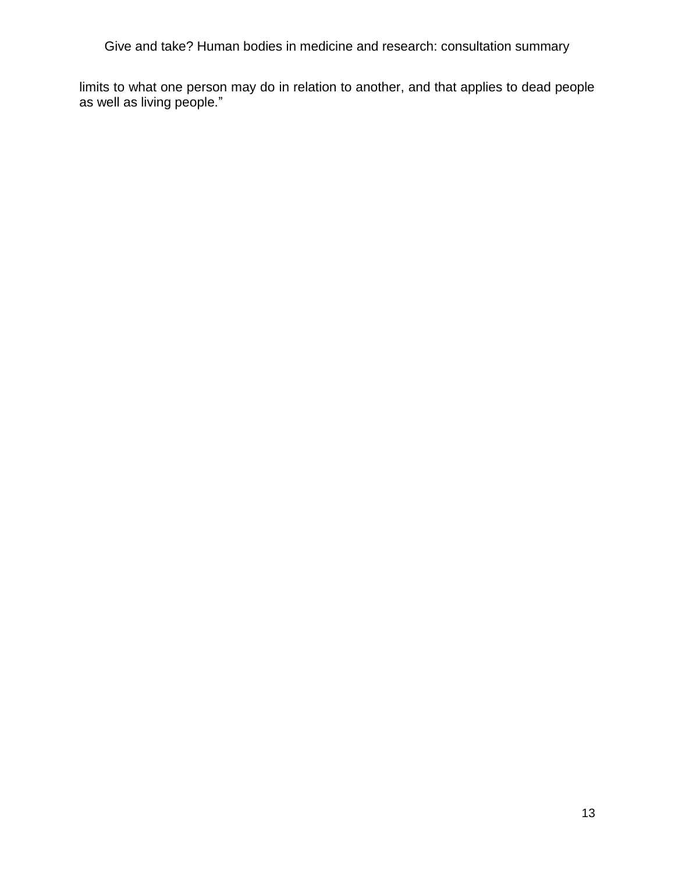limits to what one person may do in relation to another, and that applies to dead people as well as living people."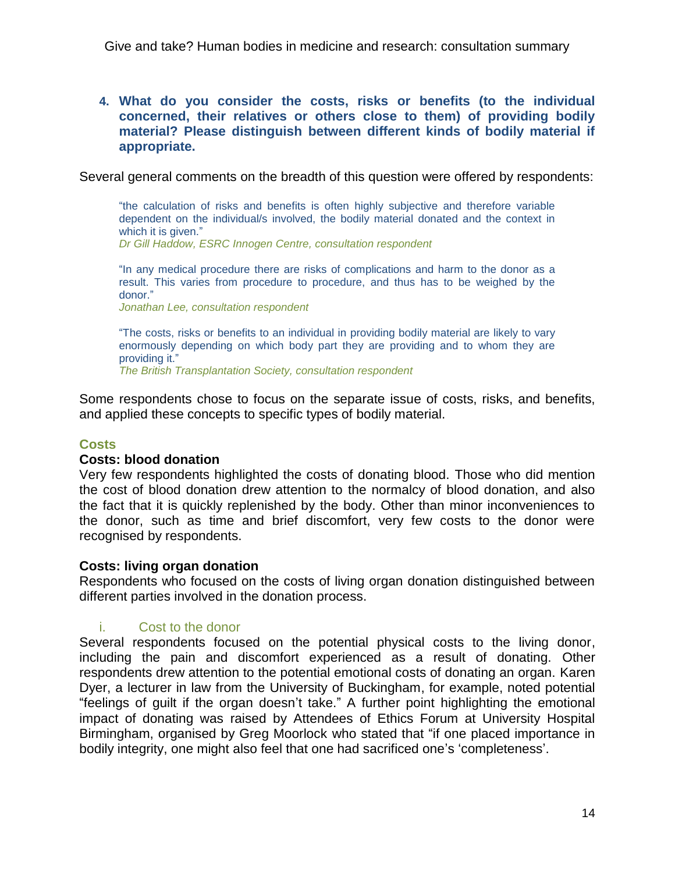### **4. What do you consider the costs, risks or benefits (to the individual concerned, their relatives or others close to them) of providing bodily material? Please distinguish between different kinds of bodily material if appropriate.**

Several general comments on the breadth of this question were offered by respondents:

―the calculation of risks and benefits is often highly subjective and therefore variable dependent on the individual/s involved, the bodily material donated and the context in which it is given."

*Dr Gill Haddow, ESRC Innogen Centre, consultation respondent*

"In any medical procedure there are risks of complications and harm to the donor as a result. This varies from procedure to procedure, and thus has to be weighed by the donor."

*Jonathan Lee, consultation respondent*

―The costs, risks or benefits to an individual in providing bodily material are likely to vary enormously depending on which body part they are providing and to whom they are providing it."

*The British Transplantation Society, consultation respondent*

Some respondents chose to focus on the separate issue of costs, risks, and benefits, and applied these concepts to specific types of bodily material.

### **Costs**

### **Costs: blood donation**

Very few respondents highlighted the costs of donating blood. Those who did mention the cost of blood donation drew attention to the normalcy of blood donation, and also the fact that it is quickly replenished by the body. Other than minor inconveniences to the donor, such as time and brief discomfort, very few costs to the donor were recognised by respondents.

### **Costs: living organ donation**

Respondents who focused on the costs of living organ donation distinguished between different parties involved in the donation process.

### i. Cost to the donor

Several respondents focused on the potential physical costs to the living donor, including the pain and discomfort experienced as a result of donating. Other respondents drew attention to the potential emotional costs of donating an organ. Karen Dyer, a lecturer in law from the University of Buckingham, for example, noted potential ―feelings of guilt if the organ doesn't take.‖ A further point highlighting the emotional impact of donating was raised by Attendees of Ethics Forum at University Hospital Birmingham, organised by Greg Moorlock who stated that "if one placed importance in bodily integrity, one might also feel that one had sacrificed one's 'completeness'.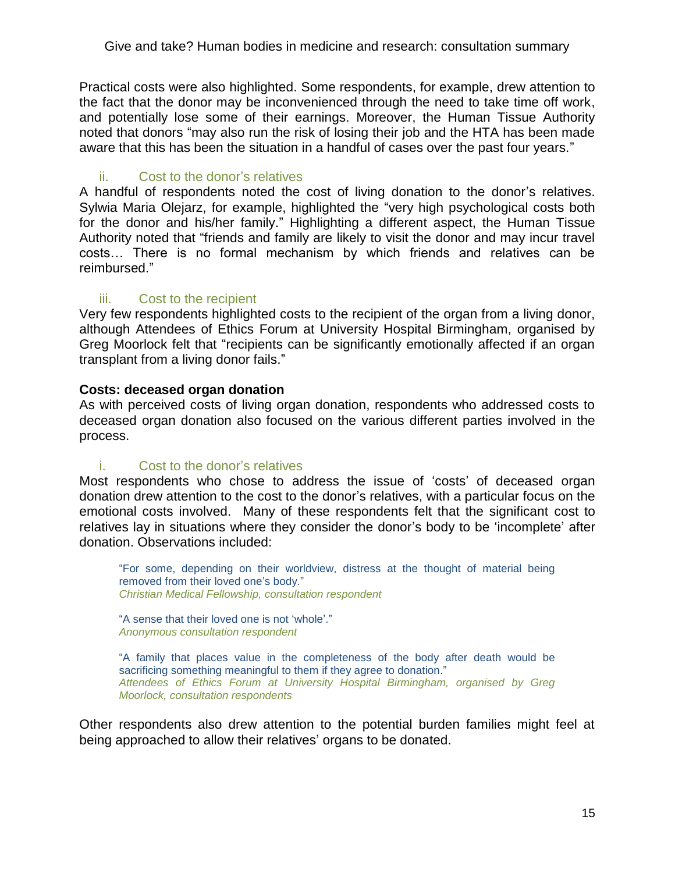Practical costs were also highlighted. Some respondents, for example, drew attention to the fact that the donor may be inconvenienced through the need to take time off work, and potentially lose some of their earnings. Moreover, the Human Tissue Authority noted that donors "may also run the risk of losing their job and the HTA has been made aware that this has been the situation in a handful of cases over the past four years."

## ii. Cost to the donor's relatives

A handful of respondents noted the cost of living donation to the donor's relatives. Sylwia Maria Olejarz, for example, highlighted the "very high psychological costs both for the donor and his/her family." Highlighting a different aspect, the Human Tissue Authority noted that "friends and family are likely to visit the donor and may incur travel costs… There is no formal mechanism by which friends and relatives can be reimbursed."

## iii. Cost to the recipient

Very few respondents highlighted costs to the recipient of the organ from a living donor, although Attendees of Ethics Forum at University Hospital Birmingham, organised by Greg Moorlock felt that "recipients can be significantly emotionally affected if an organ transplant from a living donor fails."

## **Costs: deceased organ donation**

As with perceived costs of living organ donation, respondents who addressed costs to deceased organ donation also focused on the various different parties involved in the process.

### i. Cost to the donor's relatives

Most respondents who chose to address the issue of 'costs' of deceased organ donation drew attention to the cost to the donor's relatives, with a particular focus on the emotional costs involved. Many of these respondents felt that the significant cost to relatives lay in situations where they consider the donor's body to be 'incomplete' after donation. Observations included:

―For some, depending on their worldview, distress at the thought of material being removed from their loved one's body." *Christian Medical Fellowship, consultation respondent*

"A sense that their loved one is not 'whole'." *Anonymous consultation respondent*

―A family that places value in the completeness of the body after death would be sacrificing something meaningful to them if they agree to donation." *Attendees of Ethics Forum at University Hospital Birmingham, organised by Greg Moorlock, consultation respondents*

Other respondents also drew attention to the potential burden families might feel at being approached to allow their relatives' organs to be donated.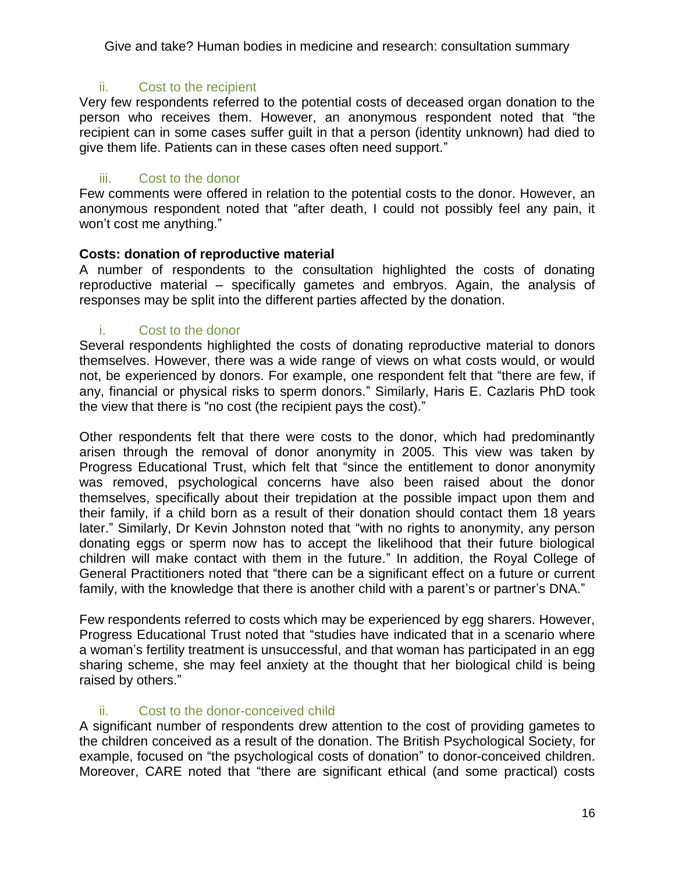## ii. Cost to the recipient

Very few respondents referred to the potential costs of deceased organ donation to the person who receives them. However, an anonymous respondent noted that "the recipient can in some cases suffer guilt in that a person (identity unknown) had died to give them life. Patients can in these cases often need support."

## iii. Cost to the donor

Few comments were offered in relation to the potential costs to the donor. However, an anonymous respondent noted that "after death, I could not possibly feel any pain, it won't cost me anything."

## **Costs: donation of reproductive material**

A number of respondents to the consultation highlighted the costs of donating reproductive material – specifically gametes and embryos. Again, the analysis of responses may be split into the different parties affected by the donation.

## i. Cost to the donor

Several respondents highlighted the costs of donating reproductive material to donors themselves. However, there was a wide range of views on what costs would, or would not, be experienced by donors. For example, one respondent felt that "there are few, if any, financial or physical risks to sperm donors." Similarly, Haris E. Cazlaris PhD took the view that there is "no cost (the recipient pays the cost)."

Other respondents felt that there were costs to the donor, which had predominantly arisen through the removal of donor anonymity in 2005. This view was taken by Progress Educational Trust, which felt that "since the entitlement to donor anonymity was removed, psychological concerns have also been raised about the donor themselves, specifically about their trepidation at the possible impact upon them and their family, if a child born as a result of their donation should contact them 18 years later." Similarly, Dr Kevin Johnston noted that "with no rights to anonymity, any person donating eggs or sperm now has to accept the likelihood that their future biological children will make contact with them in the future." In addition, the Royal College of General Practitioners noted that "there can be a significant effect on a future or current family, with the knowledge that there is another child with a parent's or partner's DNA."

Few respondents referred to costs which may be experienced by egg sharers. However, Progress Educational Trust noted that "studies have indicated that in a scenario where a woman's fertility treatment is unsuccessful, and that woman has participated in an egg sharing scheme, she may feel anxiety at the thought that her biological child is being raised by others."

## ii. Cost to the donor-conceived child

A significant number of respondents drew attention to the cost of providing gametes to the children conceived as a result of the donation. The British Psychological Society, for example, focused on "the psychological costs of donation" to donor-conceived children. Moreover, CARE noted that "there are significant ethical (and some practical) costs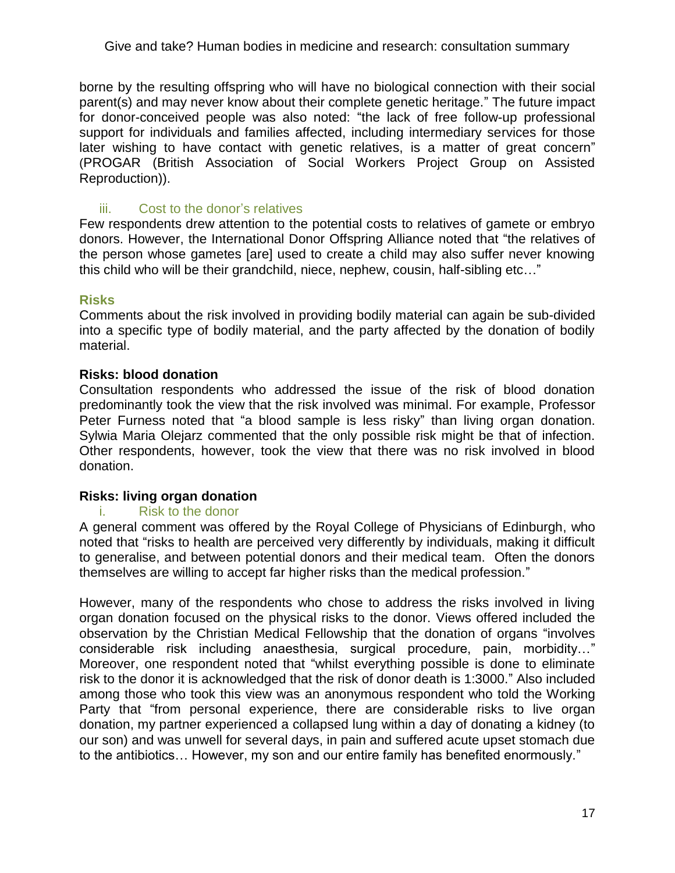borne by the resulting offspring who will have no biological connection with their social parent(s) and may never know about their complete genetic heritage.‖ The future impact for donor-conceived people was also noted: "the lack of free follow-up professional support for individuals and families affected, including intermediary services for those later wishing to have contact with genetic relatives, is a matter of great concern" (PROGAR (British Association of Social Workers Project Group on Assisted Reproduction)).

## iii. Cost to the donor's relatives

Few respondents drew attention to the potential costs to relatives of gamete or embryo donors. However, the International Donor Offspring Alliance noted that "the relatives of the person whose gametes [are] used to create a child may also suffer never knowing this child who will be their grandchild, niece, nephew, cousin, half-sibling etc..."

### **Risks**

Comments about the risk involved in providing bodily material can again be sub-divided into a specific type of bodily material, and the party affected by the donation of bodily material.

## **Risks: blood donation**

Consultation respondents who addressed the issue of the risk of blood donation predominantly took the view that the risk involved was minimal. For example, Professor Peter Furness noted that "a blood sample is less risky" than living organ donation. Sylwia Maria Olejarz commented that the only possible risk might be that of infection. Other respondents, however, took the view that there was no risk involved in blood donation.

### **Risks: living organ donation**

### i. Risk to the donor

A general comment was offered by the Royal College of Physicians of Edinburgh, who noted that "risks to health are perceived very differently by individuals, making it difficult to generalise, and between potential donors and their medical team. Often the donors themselves are willing to accept far higher risks than the medical profession."

However, many of the respondents who chose to address the risks involved in living organ donation focused on the physical risks to the donor. Views offered included the observation by the Christian Medical Fellowship that the donation of organs "involves" considerable risk including anaesthesia, surgical procedure, pain, morbidity..." Moreover, one respondent noted that "whilst everything possible is done to eliminate risk to the donor it is acknowledged that the risk of donor death is 1:3000." Also included among those who took this view was an anonymous respondent who told the Working Party that "from personal experience, there are considerable risks to live organ donation, my partner experienced a collapsed lung within a day of donating a kidney (to our son) and was unwell for several days, in pain and suffered acute upset stomach due to the antibiotics... However, my son and our entire family has benefited enormously."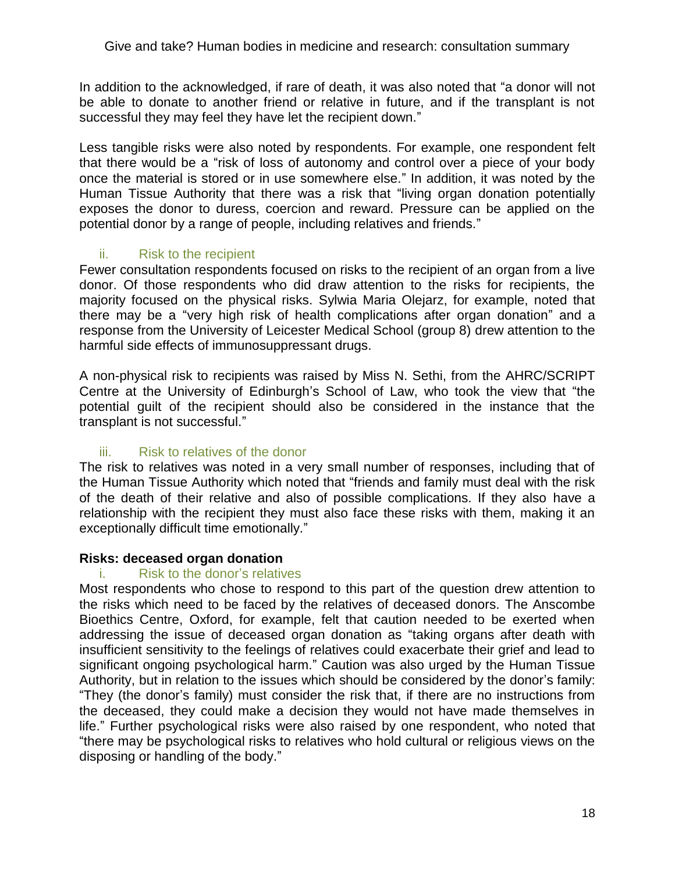In addition to the acknowledged, if rare of death, it was also noted that "a donor will not be able to donate to another friend or relative in future, and if the transplant is not successful they may feel they have let the recipient down."

Less tangible risks were also noted by respondents. For example, one respondent felt that there would be a "risk of loss of autonomy and control over a piece of your body once the material is stored or in use somewhere else." In addition, it was noted by the Human Tissue Authority that there was a risk that "living organ donation potentially exposes the donor to duress, coercion and reward. Pressure can be applied on the potential donor by a range of people, including relatives and friends."

## ii. Risk to the recipient

Fewer consultation respondents focused on risks to the recipient of an organ from a live donor. Of those respondents who did draw attention to the risks for recipients, the majority focused on the physical risks. Sylwia Maria Olejarz, for example, noted that there may be a "very high risk of health complications after organ donation" and a response from the University of Leicester Medical School (group 8) drew attention to the harmful side effects of immunosuppressant drugs.

A non-physical risk to recipients was raised by Miss N. Sethi, from the AHRC/SCRIPT Centre at the University of Edinburgh's School of Law, who took the view that "the potential guilt of the recipient should also be considered in the instance that the transplant is not successful."

## iii. Risk to relatives of the donor

The risk to relatives was noted in a very small number of responses, including that of the Human Tissue Authority which noted that "friends and family must deal with the risk of the death of their relative and also of possible complications. If they also have a relationship with the recipient they must also face these risks with them, making it an exceptionally difficult time emotionally."

### **Risks: deceased organ donation**

### i. Risk to the donor's relatives

Most respondents who chose to respond to this part of the question drew attention to the risks which need to be faced by the relatives of deceased donors. The Anscombe Bioethics Centre, Oxford, for example, felt that caution needed to be exerted when addressing the issue of deceased organ donation as "taking organs after death with insufficient sensitivity to the feelings of relatives could exacerbate their grief and lead to significant ongoing psychological harm." Caution was also urged by the Human Tissue Authority, but in relation to the issues which should be considered by the donor's family: "They (the donor's family) must consider the risk that, if there are no instructions from the deceased, they could make a decision they would not have made themselves in life." Further psychological risks were also raised by one respondent, who noted that ―there may be psychological risks to relatives who hold cultural or religious views on the disposing or handling of the body."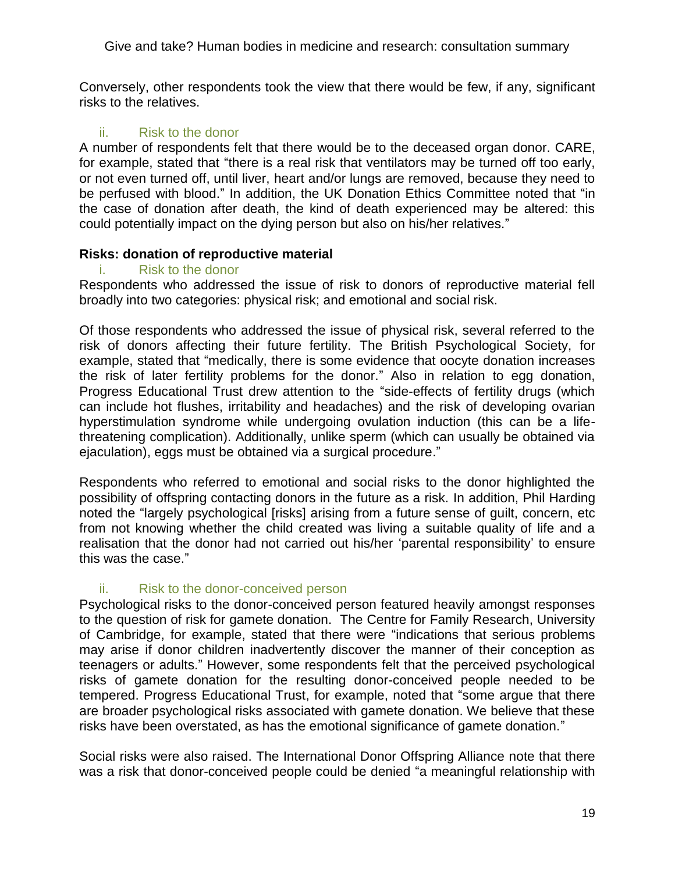Conversely, other respondents took the view that there would be few, if any, significant risks to the relatives.

## ii. Risk to the donor

A number of respondents felt that there would be to the deceased organ donor. CARE, for example, stated that "there is a real risk that ventilators may be turned off too early, or not even turned off, until liver, heart and/or lungs are removed, because they need to be perfused with blood." In addition, the UK Donation Ethics Committee noted that "in the case of donation after death, the kind of death experienced may be altered: this could potentially impact on the dying person but also on his/her relatives."

## **Risks: donation of reproductive material**

### i. Risk to the donor

Respondents who addressed the issue of risk to donors of reproductive material fell broadly into two categories: physical risk; and emotional and social risk.

Of those respondents who addressed the issue of physical risk, several referred to the risk of donors affecting their future fertility. The British Psychological Society, for example, stated that "medically, there is some evidence that oocyte donation increases the risk of later fertility problems for the donor.‖ Also in relation to egg donation, Progress Educational Trust drew attention to the "side-effects of fertility drugs (which can include hot flushes, irritability and headaches) and the risk of developing ovarian hyperstimulation syndrome while undergoing ovulation induction (this can be a lifethreatening complication). Additionally, unlike sperm (which can usually be obtained via ejaculation), eggs must be obtained via a surgical procedure."

Respondents who referred to emotional and social risks to the donor highlighted the possibility of offspring contacting donors in the future as a risk. In addition, Phil Harding noted the "largely psychological [risks] arising from a future sense of guilt, concern, etc from not knowing whether the child created was living a suitable quality of life and a realisation that the donor had not carried out his/her 'parental responsibility' to ensure this was the case."

## ii. Risk to the donor-conceived person

Psychological risks to the donor-conceived person featured heavily amongst responses to the question of risk for gamete donation. The Centre for Family Research, University of Cambridge, for example, stated that there were "indications that serious problems may arise if donor children inadvertently discover the manner of their conception as teenagers or adults.‖ However, some respondents felt that the perceived psychological risks of gamete donation for the resulting donor-conceived people needed to be tempered. Progress Educational Trust, for example, noted that "some argue that there are broader psychological risks associated with gamete donation. We believe that these risks have been overstated, as has the emotional significance of gamete donation."

Social risks were also raised. The International Donor Offspring Alliance note that there was a risk that donor-conceived people could be denied "a meaningful relationship with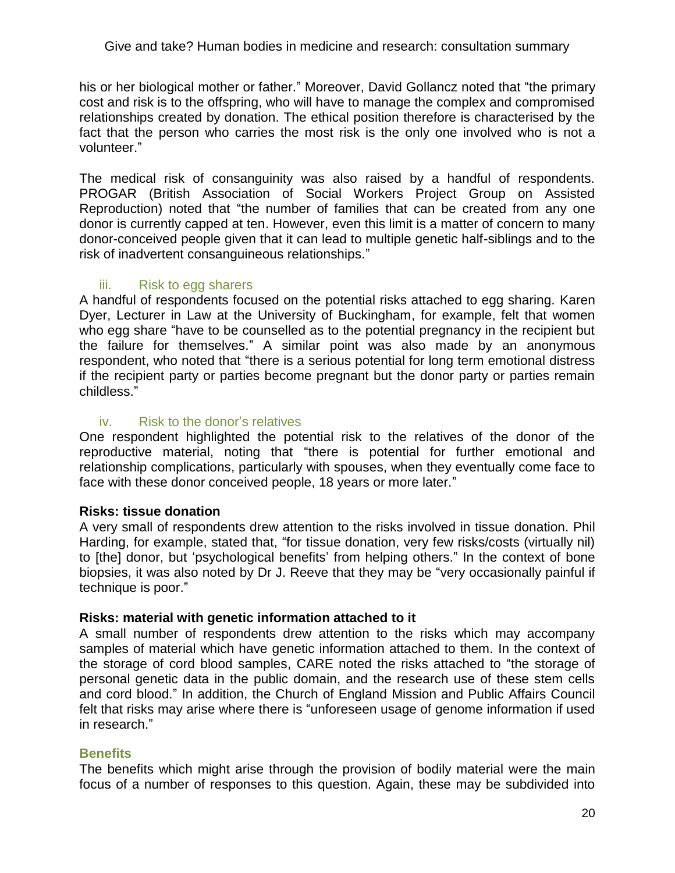his or her biological mother or father." Moreover, David Gollancz noted that "the primary cost and risk is to the offspring, who will have to manage the complex and compromised relationships created by donation. The ethical position therefore is characterised by the fact that the person who carries the most risk is the only one involved who is not a volunteer."

The medical risk of consanguinity was also raised by a handful of respondents. PROGAR (British Association of Social Workers Project Group on Assisted Reproduction) noted that "the number of families that can be created from any one donor is currently capped at ten. However, even this limit is a matter of concern to many donor-conceived people given that it can lead to multiple genetic half-siblings and to the risk of inadvertent consanguineous relationships."

## iii. Risk to egg sharers

A handful of respondents focused on the potential risks attached to egg sharing. Karen Dyer, Lecturer in Law at the University of Buckingham, for example, felt that women who egg share "have to be counselled as to the potential pregnancy in the recipient but the failure for themselves.‖ A similar point was also made by an anonymous respondent, who noted that "there is a serious potential for long term emotional distress if the recipient party or parties become pregnant but the donor party or parties remain childless."

## iv. Risk to the donor's relatives

One respondent highlighted the potential risk to the relatives of the donor of the reproductive material, noting that "there is potential for further emotional and relationship complications, particularly with spouses, when they eventually come face to face with these donor conceived people, 18 years or more later."

## **Risks: tissue donation**

A very small of respondents drew attention to the risks involved in tissue donation. Phil Harding, for example, stated that, "for tissue donation, very few risks/costs (virtually nil) to [the] donor, but 'psychological benefits' from helping others." In the context of bone biopsies, it was also noted by Dr J. Reeve that they may be "very occasionally painful if technique is poor."

## **Risks: material with genetic information attached to it**

A small number of respondents drew attention to the risks which may accompany samples of material which have genetic information attached to them. In the context of the storage of cord blood samples, CARE noted the risks attached to "the storage of personal genetic data in the public domain, and the research use of these stem cells and cord blood.‖ In addition, the Church of England Mission and Public Affairs Council felt that risks may arise where there is "unforeseen usage of genome information if used in research."

## **Benefits**

The benefits which might arise through the provision of bodily material were the main focus of a number of responses to this question. Again, these may be subdivided into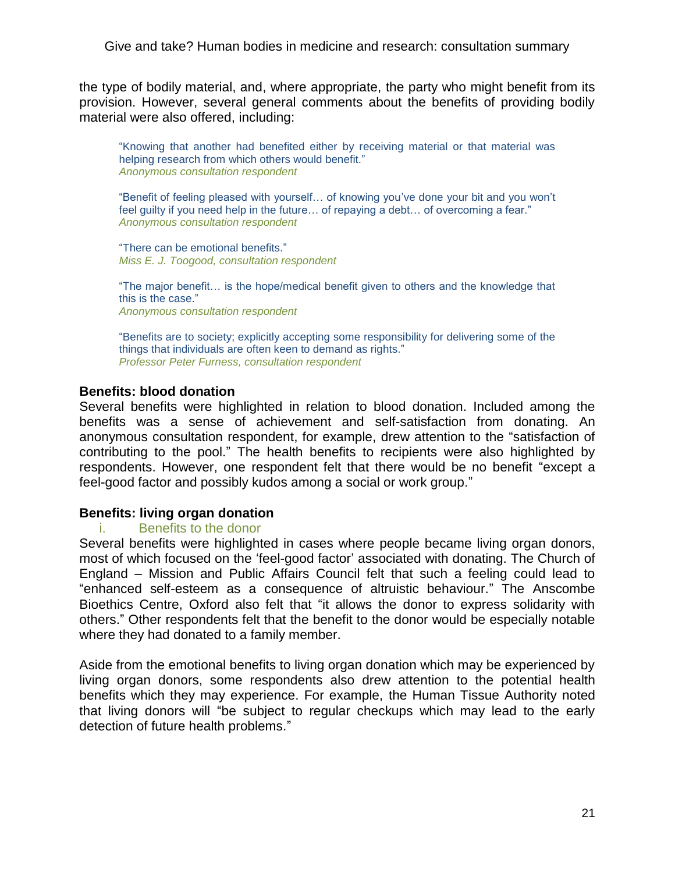the type of bodily material, and, where appropriate, the party who might benefit from its provision. However, several general comments about the benefits of providing bodily material were also offered, including:

―Knowing that another had benefited either by receiving material or that material was helping research from which others would benefit." *Anonymous consultation respondent*

―Benefit of feeling pleased with yourself… of knowing you've done your bit and you won't feel guilty if you need help in the future... of repaying a debt... of overcoming a fear." *Anonymous consultation respondent*

"There can be emotional benefits." *Miss E. J. Toogood, consultation respondent*

―The major benefit… is the hope/medical benefit given to others and the knowledge that this is the case." *Anonymous consultation respondent*

"Benefits are to society; explicitly accepting some responsibility for delivering some of the things that individuals are often keen to demand as rights." *Professor Peter Furness, consultation respondent*

### **Benefits: blood donation**

Several benefits were highlighted in relation to blood donation. Included among the benefits was a sense of achievement and self-satisfaction from donating. An anonymous consultation respondent, for example, drew attention to the "satisfaction of contributing to the pool." The health benefits to recipients were also highlighted by respondents. However, one respondent felt that there would be no benefit "except a feel-good factor and possibly kudos among a social or work group."

### **Benefits: living organ donation**

### i. Benefits to the donor

Several benefits were highlighted in cases where people became living organ donors, most of which focused on the 'feel-good factor' associated with donating. The Church of England – Mission and Public Affairs Council felt that such a feeling could lead to "enhanced self-esteem as a consequence of altruistic behaviour." The Anscombe Bioethics Centre, Oxford also felt that "it allows the donor to express solidarity with others.‖ Other respondents felt that the benefit to the donor would be especially notable where they had donated to a family member.

Aside from the emotional benefits to living organ donation which may be experienced by living organ donors, some respondents also drew attention to the potential health benefits which they may experience. For example, the Human Tissue Authority noted that living donors will "be subject to regular checkups which may lead to the early detection of future health problems."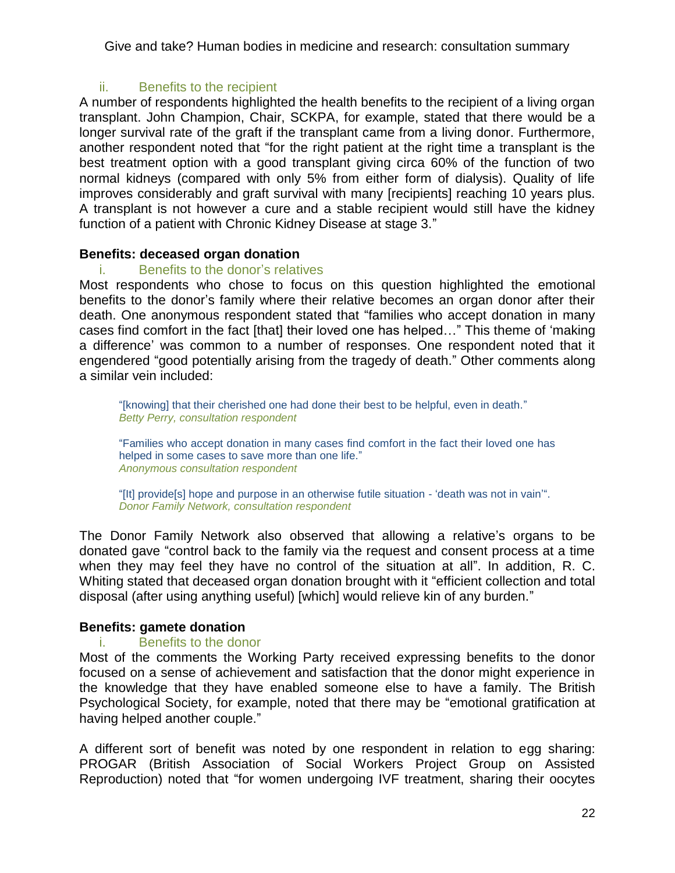## ii. Benefits to the recipient

A number of respondents highlighted the health benefits to the recipient of a living organ transplant. John Champion, Chair, SCKPA, for example, stated that there would be a longer survival rate of the graft if the transplant came from a living donor. Furthermore, another respondent noted that "for the right patient at the right time a transplant is the best treatment option with a good transplant giving circa 60% of the function of two normal kidneys (compared with only 5% from either form of dialysis). Quality of life improves considerably and graft survival with many [recipients] reaching 10 years plus. A transplant is not however a cure and a stable recipient would still have the kidney function of a patient with Chronic Kidney Disease at stage 3."

## **Benefits: deceased organ donation**

## i. Benefits to the donor's relatives

Most respondents who chose to focus on this question highlighted the emotional benefits to the donor's family where their relative becomes an organ donor after their death. One anonymous respondent stated that "families who accept donation in many cases find comfort in the fact [that] their loved one has helped..." This theme of 'making a difference' was common to a number of responses. One respondent noted that it engendered "good potentially arising from the tragedy of death." Other comments along a similar vein included:

"[knowing] that their cherished one had done their best to be helpful, even in death." *Betty Perry, consultation respondent*

―Families who accept donation in many cases find comfort in the fact their loved one has helped in some cases to save more than one life." *Anonymous consultation respondent* 

"[It] provide[s] hope and purpose in an otherwise futile situation - 'death was not in vain'". *Donor Family Network, consultation respondent*

The Donor Family Network also observed that allowing a relative's organs to be donated gave "control back to the family via the request and consent process at a time when they may feel they have no control of the situation at all". In addition, R. C. Whiting stated that deceased organ donation brought with it "efficient collection and total disposal (after using anything useful) [which] would relieve kin of any burden."

# **Benefits: gamete donation**

## i. Benefits to the donor

Most of the comments the Working Party received expressing benefits to the donor focused on a sense of achievement and satisfaction that the donor might experience in the knowledge that they have enabled someone else to have a family. The British Psychological Society, for example, noted that there may be "emotional gratification at having helped another couple."

A different sort of benefit was noted by one respondent in relation to egg sharing: PROGAR (British Association of Social Workers Project Group on Assisted Reproduction) noted that "for women undergoing IVF treatment, sharing their oocytes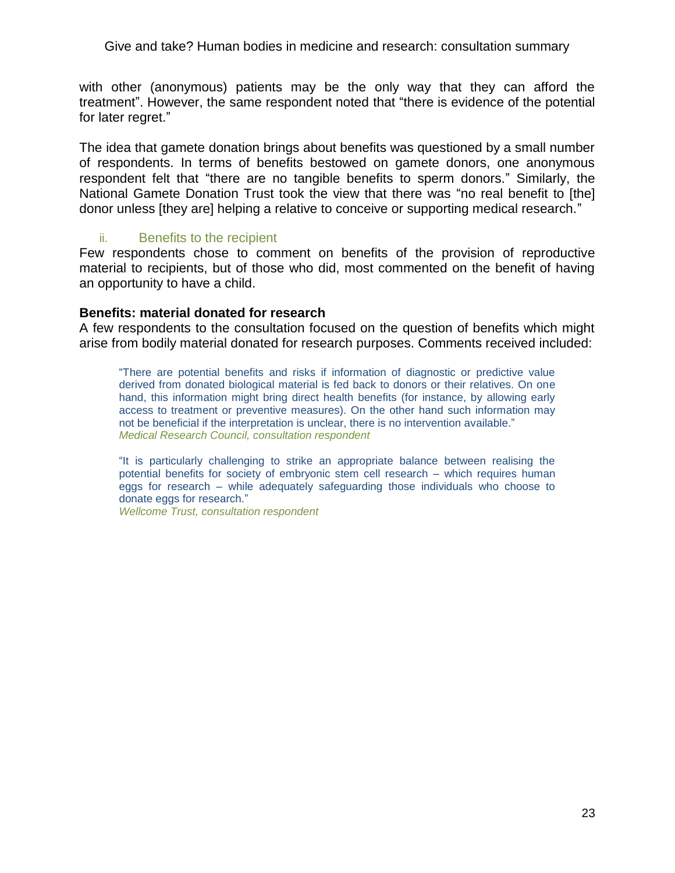with other (anonymous) patients may be the only way that they can afford the treatment". However, the same respondent noted that "there is evidence of the potential for later regret."

The idea that gamete donation brings about benefits was questioned by a small number of respondents. In terms of benefits bestowed on gamete donors, one anonymous respondent felt that "there are no tangible benefits to sperm donors." Similarly, the National Gamete Donation Trust took the view that there was "no real benefit to [the] donor unless [they are] helping a relative to conceive or supporting medical research."

### ii. Benefits to the recipient

Few respondents chose to comment on benefits of the provision of reproductive material to recipients, but of those who did, most commented on the benefit of having an opportunity to have a child.

### **Benefits: material donated for research**

A few respondents to the consultation focused on the question of benefits which might arise from bodily material donated for research purposes. Comments received included:

―There are potential benefits and risks if information of diagnostic or predictive value derived from donated biological material is fed back to donors or their relatives. On one hand, this information might bring direct health benefits (for instance, by allowing early access to treatment or preventive measures). On the other hand such information may not be beneficial if the interpretation is unclear, there is no intervention available." *Medical Research Council, consultation respondent*

"It is particularly challenging to strike an appropriate balance between realising the potential benefits for society of embryonic stem cell research – which requires human eggs for research – while adequately safeguarding those individuals who choose to donate eggs for research."

*Wellcome Trust, consultation respondent*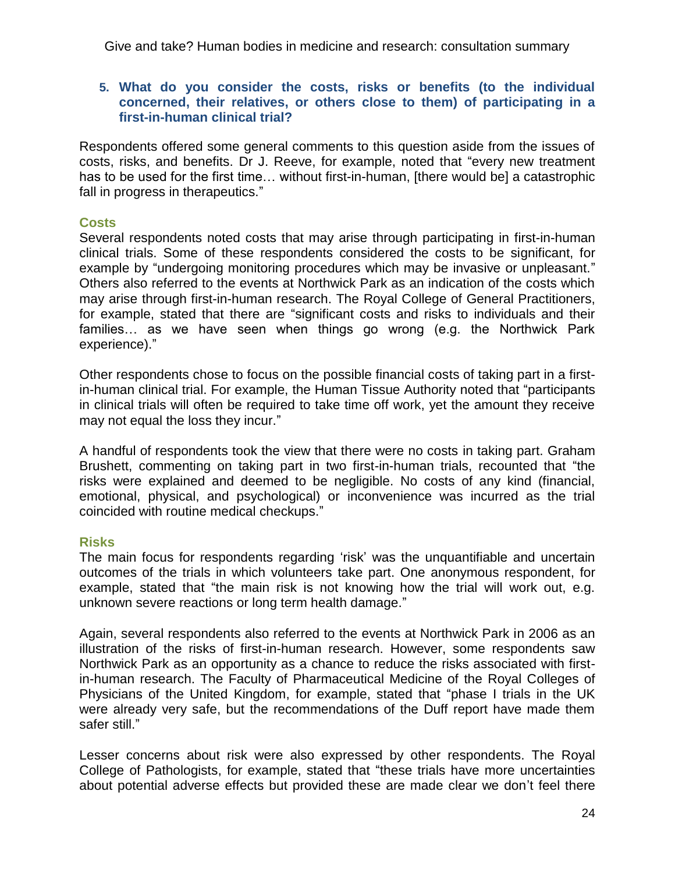### **5. What do you consider the costs, risks or benefits (to the individual concerned, their relatives, or others close to them) of participating in a first-in-human clinical trial?**

Respondents offered some general comments to this question aside from the issues of costs, risks, and benefits. Dr J. Reeve, for example, noted that "every new treatment has to be used for the first time… without first-in-human, [there would be] a catastrophic fall in progress in therapeutics."

## **Costs**

Several respondents noted costs that may arise through participating in first-in-human clinical trials. Some of these respondents considered the costs to be significant, for example by "undergoing monitoring procedures which may be invasive or unpleasant." Others also referred to the events at Northwick Park as an indication of the costs which may arise through first-in-human research. The Royal College of General Practitioners, for example, stated that there are "significant costs and risks to individuals and their families… as we have seen when things go wrong (e.g. the Northwick Park experience)."

Other respondents chose to focus on the possible financial costs of taking part in a firstin-human clinical trial. For example, the Human Tissue Authority noted that "participants in clinical trials will often be required to take time off work, yet the amount they receive may not equal the loss they incur."

A handful of respondents took the view that there were no costs in taking part. Graham Brushett, commenting on taking part in two first-in-human trials, recounted that "the risks were explained and deemed to be negligible. No costs of any kind (financial, emotional, physical, and psychological) or inconvenience was incurred as the trial coincided with routine medical checkups."

## **Risks**

The main focus for respondents regarding 'risk' was the unquantifiable and uncertain outcomes of the trials in which volunteers take part. One anonymous respondent, for example, stated that "the main risk is not knowing how the trial will work out, e.g. unknown severe reactions or long term health damage."

Again, several respondents also referred to the events at Northwick Park in 2006 as an illustration of the risks of first-in-human research. However, some respondents saw Northwick Park as an opportunity as a chance to reduce the risks associated with firstin-human research. The Faculty of Pharmaceutical Medicine of the Royal Colleges of Physicians of the United Kingdom, for example, stated that "phase I trials in the UK were already very safe, but the recommendations of the Duff report have made them safer still."

Lesser concerns about risk were also expressed by other respondents. The Royal College of Pathologists, for example, stated that "these trials have more uncertainties about potential adverse effects but provided these are made clear we don't feel there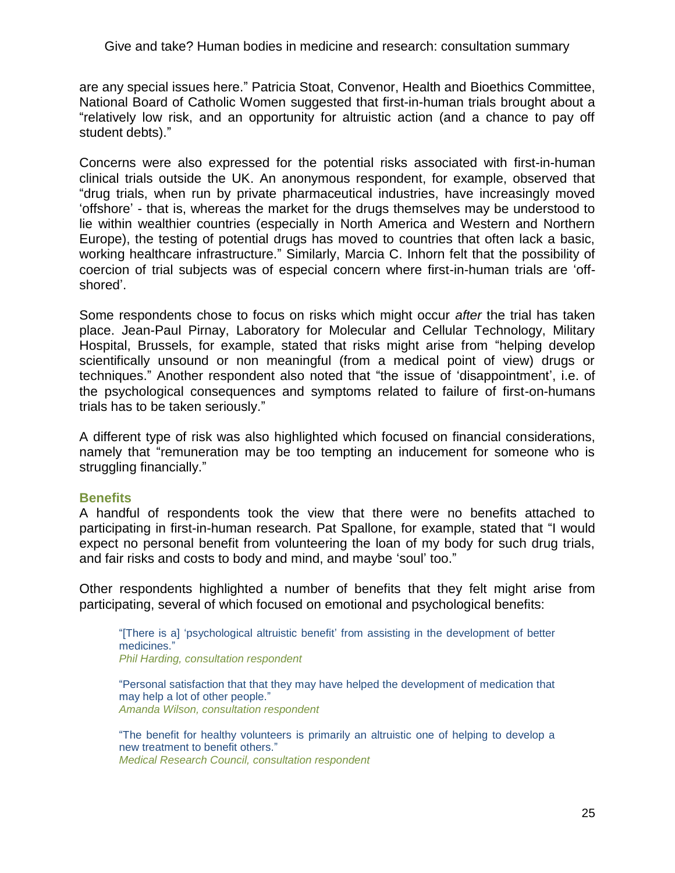are any special issues here." Patricia Stoat, Convenor, Health and Bioethics Committee, National Board of Catholic Women suggested that first-in-human trials brought about a "relatively low risk, and an opportunity for altruistic action (and a chance to pay off student debts)."

Concerns were also expressed for the potential risks associated with first-in-human clinical trials outside the UK. An anonymous respondent, for example, observed that "drug trials, when run by private pharmaceutical industries, have increasingly moved ‗offshore' - that is, whereas the market for the drugs themselves may be understood to lie within wealthier countries (especially in North America and Western and Northern Europe), the testing of potential drugs has moved to countries that often lack a basic, working healthcare infrastructure." Similarly, Marcia C. Inhorn felt that the possibility of coercion of trial subjects was of especial concern where first-in-human trials are 'offshored'.

Some respondents chose to focus on risks which might occur *after* the trial has taken place. Jean-Paul Pirnay, Laboratory for Molecular and Cellular Technology, Military Hospital, Brussels, for example, stated that risks might arise from "helping develop scientifically unsound or non meaningful (from a medical point of view) drugs or techniques." Another respondent also noted that "the issue of 'disappointment', i.e. of the psychological consequences and symptoms related to failure of first-on-humans trials has to be taken seriously."

A different type of risk was also highlighted which focused on financial considerations, namely that "remuneration may be too tempting an inducement for someone who is struggling financially."

### **Benefits**

A handful of respondents took the view that there were no benefits attached to participating in first-in-human research. Pat Spallone, for example, stated that "I would expect no personal benefit from volunteering the loan of my body for such drug trials, and fair risks and costs to body and mind, and maybe 'soul' too."

Other respondents highlighted a number of benefits that they felt might arise from participating, several of which focused on emotional and psychological benefits:

―[There is a] ‗psychological altruistic benefit' from assisting in the development of better medicines." *Phil Harding, consultation respondent*

―Personal satisfaction that that they may have helped the development of medication that may help a lot of other people." *Amanda Wilson, consultation respondent*

―The benefit for healthy volunteers is primarily an altruistic one of helping to develop a new treatment to benefit others." *Medical Research Council, consultation respondent*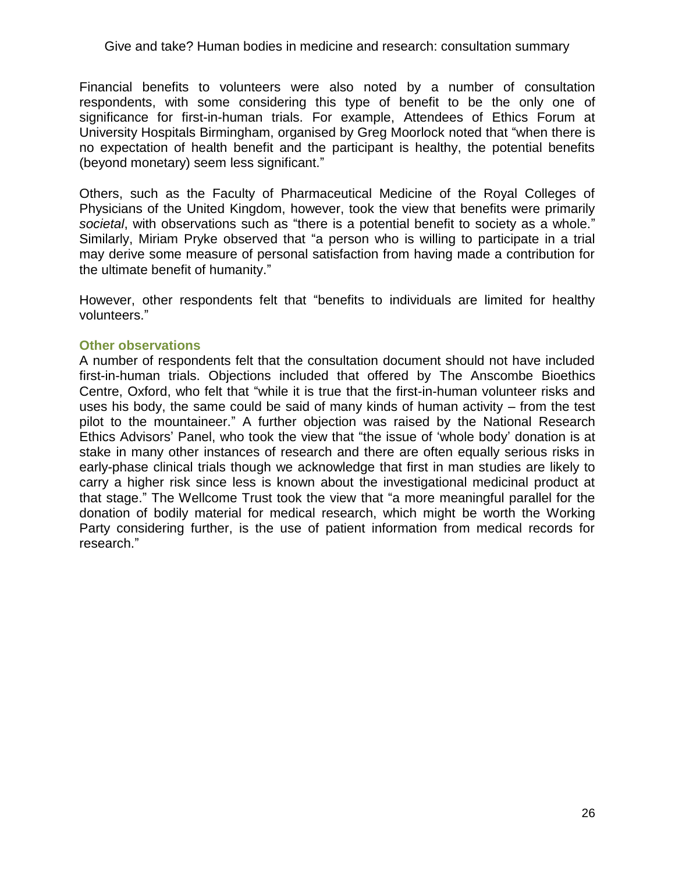Financial benefits to volunteers were also noted by a number of consultation respondents, with some considering this type of benefit to be the only one of significance for first-in-human trials. For example, Attendees of Ethics Forum at University Hospitals Birmingham, organised by Greg Moorlock noted that "when there is no expectation of health benefit and the participant is healthy, the potential benefits (beyond monetary) seem less significant."

Others, such as the Faculty of Pharmaceutical Medicine of the Royal Colleges of Physicians of the United Kingdom, however, took the view that benefits were primarily societal, with observations such as "there is a potential benefit to society as a whole." Similarly, Miriam Pryke observed that "a person who is willing to participate in a trial may derive some measure of personal satisfaction from having made a contribution for the ultimate benefit of humanity."

However, other respondents felt that "benefits to individuals are limited for healthy volunteers."

### **Other observations**

A number of respondents felt that the consultation document should not have included first-in-human trials. Objections included that offered by The Anscombe Bioethics Centre, Oxford, who felt that "while it is true that the first-in-human volunteer risks and uses his body, the same could be said of many kinds of human activity – from the test pilot to the mountaineer." A further objection was raised by the National Research Ethics Advisors' Panel, who took the view that "the issue of 'whole body' donation is at stake in many other instances of research and there are often equally serious risks in early-phase clinical trials though we acknowledge that first in man studies are likely to carry a higher risk since less is known about the investigational medicinal product at that stage." The Wellcome Trust took the view that "a more meaningful parallel for the donation of bodily material for medical research, which might be worth the Working Party considering further, is the use of patient information from medical records for research."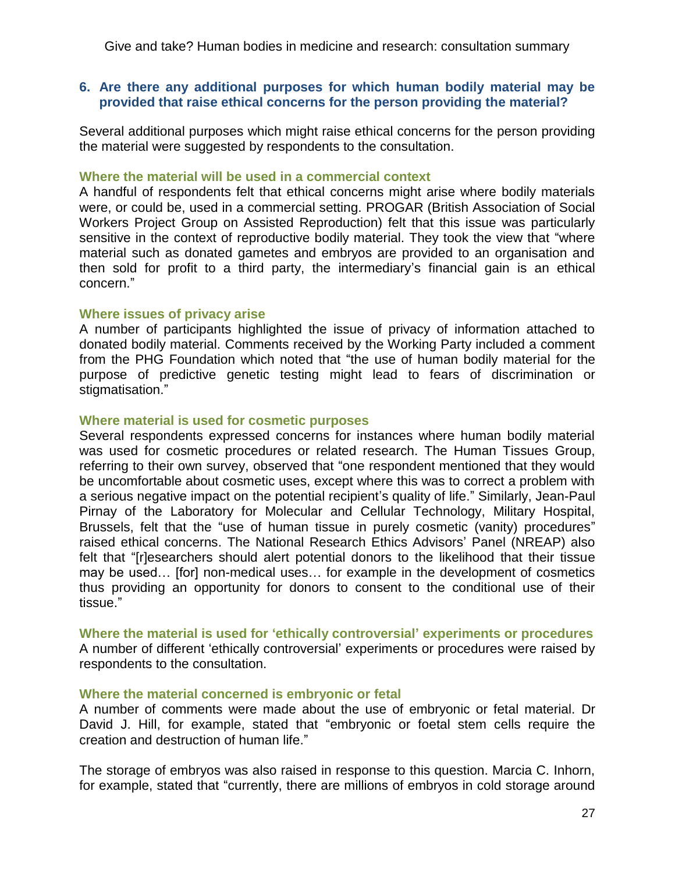**6. Are there any additional purposes for which human bodily material may be provided that raise ethical concerns for the person providing the material?**

Several additional purposes which might raise ethical concerns for the person providing the material were suggested by respondents to the consultation.

#### **Where the material will be used in a commercial context**

A handful of respondents felt that ethical concerns might arise where bodily materials were, or could be, used in a commercial setting. PROGAR (British Association of Social Workers Project Group on Assisted Reproduction) felt that this issue was particularly sensitive in the context of reproductive bodily material. They took the view that "where material such as donated gametes and embryos are provided to an organisation and then sold for profit to a third party, the intermediary's financial gain is an ethical concern."

### **Where issues of privacy arise**

A number of participants highlighted the issue of privacy of information attached to donated bodily material. Comments received by the Working Party included a comment from the PHG Foundation which noted that "the use of human bodily material for the purpose of predictive genetic testing might lead to fears of discrimination or stigmatisation."

#### **Where material is used for cosmetic purposes**

Several respondents expressed concerns for instances where human bodily material was used for cosmetic procedures or related research. The Human Tissues Group, referring to their own survey, observed that "one respondent mentioned that they would be uncomfortable about cosmetic uses, except where this was to correct a problem with a serious negative impact on the potential recipient's quality of life." Similarly, Jean-Paul Pirnay of the Laboratory for Molecular and Cellular Technology, Military Hospital, Brussels, felt that the "use of human tissue in purely cosmetic (vanity) procedures" raised ethical concerns. The National Research Ethics Advisors' Panel (NREAP) also felt that "[r]esearchers should alert potential donors to the likelihood that their tissue may be used… [for] non-medical uses… for example in the development of cosmetics thus providing an opportunity for donors to consent to the conditional use of their tissue."

**Where the material is used for 'ethically controversial' experiments or procedures** A number of different 'ethically controversial' experiments or procedures were raised by respondents to the consultation.

### **Where the material concerned is embryonic or fetal**

A number of comments were made about the use of embryonic or fetal material. Dr David J. Hill, for example, stated that "embryonic or foetal stem cells require the creation and destruction of human life."

The storage of embryos was also raised in response to this question. Marcia C. Inhorn, for example, stated that "currently, there are millions of embryos in cold storage around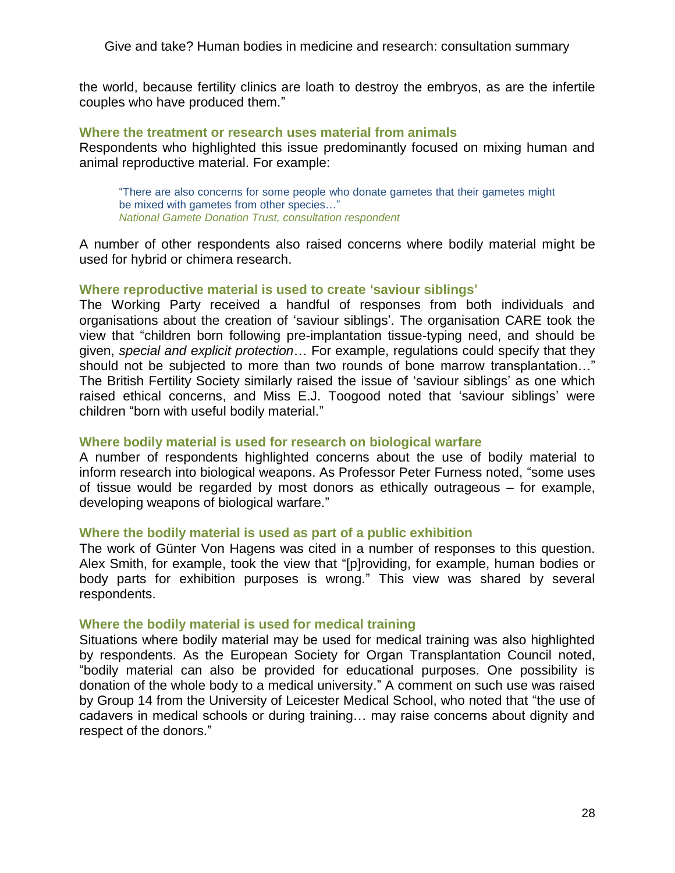the world, because fertility clinics are loath to destroy the embryos, as are the infertile couples who have produced them."

#### **Where the treatment or research uses material from animals**

Respondents who highlighted this issue predominantly focused on mixing human and animal reproductive material. For example:

―There are also concerns for some people who donate gametes that their gametes might be mixed with gametes from other species..." *National Gamete Donation Trust, consultation respondent*

A number of other respondents also raised concerns where bodily material might be used for hybrid or chimera research.

### **Where reproductive material is used to create 'saviour siblings'**

The Working Party received a handful of responses from both individuals and organisations about the creation of 'saviour siblings'. The organisation CARE took the view that "children born following pre-implantation tissue-typing need, and should be given, *special and explicit protection*… For example, regulations could specify that they should not be subjected to more than two rounds of bone marrow transplantation..." The British Fertility Society similarly raised the issue of 'saviour siblings' as one which raised ethical concerns, and Miss E.J. Toogood noted that 'saviour siblings' were children "born with useful bodily material."

### **Where bodily material is used for research on biological warfare**

A number of respondents highlighted concerns about the use of bodily material to inform research into biological weapons. As Professor Peter Furness noted, "some uses of tissue would be regarded by most donors as ethically outrageous – for example, developing weapons of biological warfare."

### **Where the bodily material is used as part of a public exhibition**

The work of Günter Von Hagens was cited in a number of responses to this question. Alex Smith, for example, took the view that "[p]roviding, for example, human bodies or body parts for exhibition purposes is wrong." This view was shared by several respondents.

### **Where the bodily material is used for medical training**

Situations where bodily material may be used for medical training was also highlighted by respondents. As the European Society for Organ Transplantation Council noted, ―bodily material can also be provided for educational purposes. One possibility is donation of the whole body to a medical university." A comment on such use was raised by Group 14 from the University of Leicester Medical School, who noted that "the use of cadavers in medical schools or during training… may raise concerns about dignity and respect of the donors."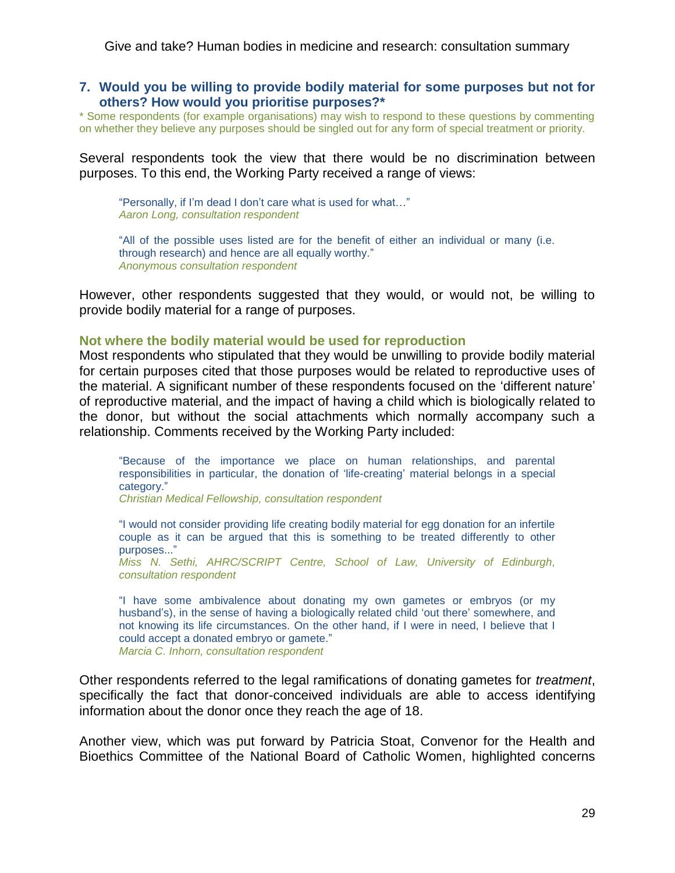#### **7. Would you be willing to provide bodily material for some purposes but not for others? How would you prioritise purposes?\***

\* Some respondents (for example organisations) may wish to respond to these questions by commenting on whether they believe any purposes should be singled out for any form of special treatment or priority.

Several respondents took the view that there would be no discrimination between purposes. To this end, the Working Party received a range of views:

"Personally, if I'm dead I don't care what is used for what..." *Aaron Long, consultation respondent*

"All of the possible uses listed are for the benefit of either an individual or many (i.e. through research) and hence are all equally worthy." *Anonymous consultation respondent*

However, other respondents suggested that they would, or would not, be willing to provide bodily material for a range of purposes.

#### **Not where the bodily material would be used for reproduction**

Most respondents who stipulated that they would be unwilling to provide bodily material for certain purposes cited that those purposes would be related to reproductive uses of the material. A significant number of these respondents focused on the 'different nature' of reproductive material, and the impact of having a child which is biologically related to the donor, but without the social attachments which normally accompany such a relationship. Comments received by the Working Party included:

―Because of the importance we place on human relationships, and parental responsibilities in particular, the donation of ‗life-creating' material belongs in a special category."

*Christian Medical Fellowship, consultation respondent*

―I would not consider providing life creating bodily material for egg donation for an infertile couple as it can be argued that this is something to be treated differently to other purposes..."

*Miss N. Sethi, AHRC/SCRIPT Centre, School of Law, University of Edinburgh, consultation respondent*

―I have some ambivalence about donating my own gametes or embryos (or my husband's), in the sense of having a biologically related child 'out there' somewhere, and not knowing its life circumstances. On the other hand, if I were in need, I believe that I could accept a donated embryo or gamete." *Marcia C. Inhorn, consultation respondent*

Other respondents referred to the legal ramifications of donating gametes for *treatment*, specifically the fact that donor-conceived individuals are able to access identifying information about the donor once they reach the age of 18.

Another view, which was put forward by Patricia Stoat, Convenor for the Health and Bioethics Committee of the National Board of Catholic Women, highlighted concerns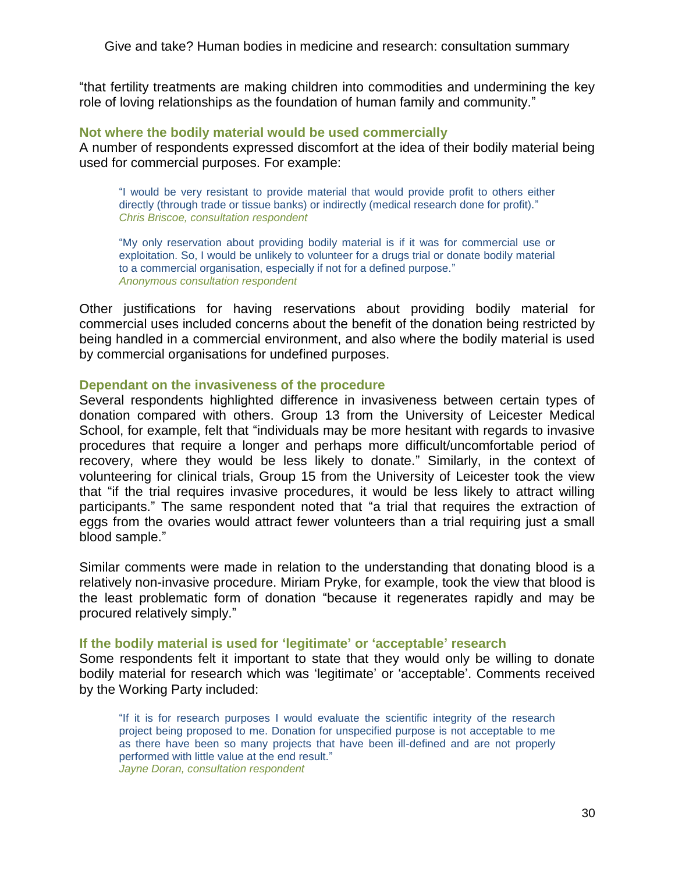―that fertility treatments are making children into commodities and undermining the key role of loving relationships as the foundation of human family and community."

#### **Not where the bodily material would be used commercially**

A number of respondents expressed discomfort at the idea of their bodily material being used for commercial purposes. For example:

―I would be very resistant to provide material that would provide profit to others either directly (through trade or tissue banks) or indirectly (medical research done for profit)." *Chris Briscoe, consultation respondent*

"My only reservation about providing bodily material is if it was for commercial use or exploitation. So, I would be unlikely to volunteer for a drugs trial or donate bodily material to a commercial organisation, especially if not for a defined purpose." *Anonymous consultation respondent*

Other justifications for having reservations about providing bodily material for commercial uses included concerns about the benefit of the donation being restricted by being handled in a commercial environment, and also where the bodily material is used by commercial organisations for undefined purposes.

#### **Dependant on the invasiveness of the procedure**

Several respondents highlighted difference in invasiveness between certain types of donation compared with others. Group 13 from the University of Leicester Medical School, for example, felt that "individuals may be more hesitant with regards to invasive procedures that require a longer and perhaps more difficult/uncomfortable period of recovery, where they would be less likely to donate." Similarly, in the context of volunteering for clinical trials, Group 15 from the University of Leicester took the view that "if the trial requires invasive procedures, it would be less likely to attract willing participants." The same respondent noted that "a trial that requires the extraction of eggs from the ovaries would attract fewer volunteers than a trial requiring just a small blood sample."

Similar comments were made in relation to the understanding that donating blood is a relatively non-invasive procedure. Miriam Pryke, for example, took the view that blood is the least problematic form of donation "because it regenerates rapidly and may be procured relatively simply."

#### **If the bodily material is used for 'legitimate' or 'acceptable' research**

Some respondents felt it important to state that they would only be willing to donate bodily material for research which was 'legitimate' or 'acceptable'. Comments received by the Working Party included:

"If it is for research purposes I would evaluate the scientific integrity of the research project being proposed to me. Donation for unspecified purpose is not acceptable to me as there have been so many projects that have been ill-defined and are not properly performed with little value at the end result." *Jayne Doran, consultation respondent*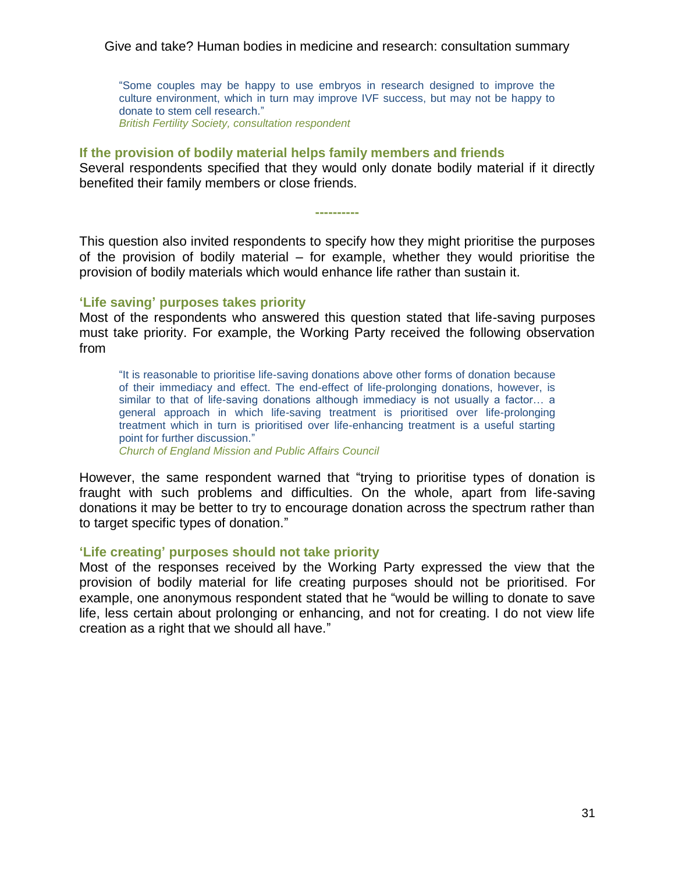―Some couples may be happy to use embryos in research designed to improve the culture environment, which in turn may improve IVF success, but may not be happy to donate to stem cell research." *British Fertility Society, consultation respondent*

### **If the provision of bodily material helps family members and friends**

Several respondents specified that they would only donate bodily material if it directly benefited their family members or close friends.

**----------**

This question also invited respondents to specify how they might prioritise the purposes of the provision of bodily material – for example, whether they would prioritise the provision of bodily materials which would enhance life rather than sustain it.

### **'Life saving' purposes takes priority**

Most of the respondents who answered this question stated that life-saving purposes must take priority. For example, the Working Party received the following observation from

―It is reasonable to prioritise life-saving donations above other forms of donation because of their immediacy and effect. The end-effect of life-prolonging donations, however, is similar to that of life-saving donations although immediacy is not usually a factor… a general approach in which life-saving treatment is prioritised over life-prolonging treatment which in turn is prioritised over life-enhancing treatment is a useful starting point for further discussion."

*Church of England Mission and Public Affairs Council*

However, the same respondent warned that "trying to prioritise types of donation is fraught with such problems and difficulties. On the whole, apart from life-saving donations it may be better to try to encourage donation across the spectrum rather than to target specific types of donation."

### **'Life creating' purposes should not take priority**

Most of the responses received by the Working Party expressed the view that the provision of bodily material for life creating purposes should not be prioritised. For example, one anonymous respondent stated that he "would be willing to donate to save life, less certain about prolonging or enhancing, and not for creating. I do not view life creation as a right that we should all have."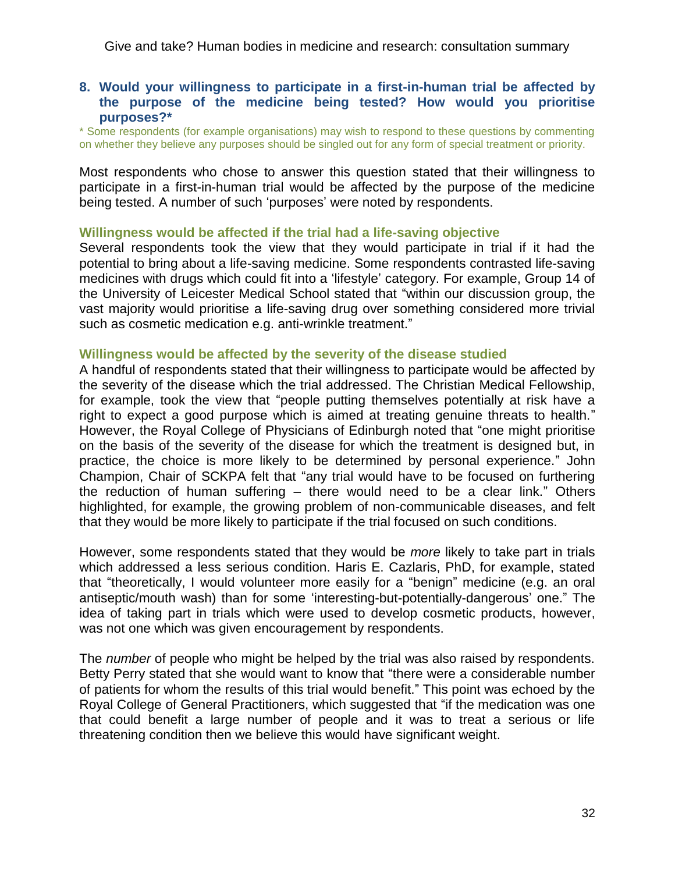### **8. Would your willingness to participate in a first-in-human trial be affected by the purpose of the medicine being tested? How would you prioritise purposes?\***

\* Some respondents (for example organisations) may wish to respond to these questions by commenting on whether they believe any purposes should be singled out for any form of special treatment or priority.

Most respondents who chose to answer this question stated that their willingness to participate in a first-in-human trial would be affected by the purpose of the medicine being tested. A number of such 'purposes' were noted by respondents.

### **Willingness would be affected if the trial had a life-saving objective**

Several respondents took the view that they would participate in trial if it had the potential to bring about a life-saving medicine. Some respondents contrasted life-saving medicines with drugs which could fit into a 'lifestyle' category. For example, Group 14 of the University of Leicester Medical School stated that "within our discussion group, the vast majority would prioritise a life-saving drug over something considered more trivial such as cosmetic medication e.g. anti-wrinkle treatment."

### **Willingness would be affected by the severity of the disease studied**

A handful of respondents stated that their willingness to participate would be affected by the severity of the disease which the trial addressed. The Christian Medical Fellowship, for example, took the view that "people putting themselves potentially at risk have a right to expect a good purpose which is aimed at treating genuine threats to health." However, the Royal College of Physicians of Edinburgh noted that "one might prioritise on the basis of the severity of the disease for which the treatment is designed but, in practice, the choice is more likely to be determined by personal experience." John Champion, Chair of SCKPA felt that "any trial would have to be focused on furthering the reduction of human suffering – there would need to be a clear link.‖ Others highlighted, for example, the growing problem of non-communicable diseases, and felt that they would be more likely to participate if the trial focused on such conditions.

However, some respondents stated that they would be *more* likely to take part in trials which addressed a less serious condition. Haris E. Cazlaris, PhD, for example, stated that "theoretically, I would volunteer more easily for a "benign" medicine (e.g. an oral antiseptic/mouth wash) than for some 'interesting-but-potentially-dangerous' one." The idea of taking part in trials which were used to develop cosmetic products, however, was not one which was given encouragement by respondents.

The *number* of people who might be helped by the trial was also raised by respondents. Betty Perry stated that she would want to know that "there were a considerable number of patients for whom the results of this trial would benefit.‖ This point was echoed by the Royal College of General Practitioners, which suggested that "if the medication was one that could benefit a large number of people and it was to treat a serious or life threatening condition then we believe this would have significant weight.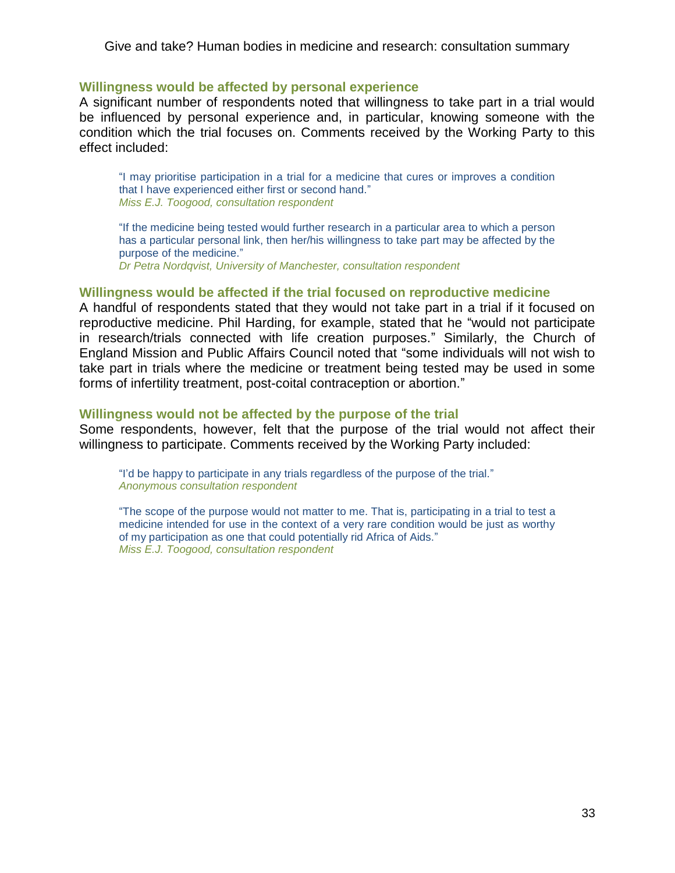#### **Willingness would be affected by personal experience**

A significant number of respondents noted that willingness to take part in a trial would be influenced by personal experience and, in particular, knowing someone with the condition which the trial focuses on. Comments received by the Working Party to this effect included:

―I may prioritise participation in a trial for a medicine that cures or improves a condition that I have experienced either first or second hand." *Miss E.J. Toogood, consultation respondent*

―If the medicine being tested would further research in a particular area to which a person has a particular personal link, then her/his willingness to take part may be affected by the purpose of the medicine."

*Dr Petra Nordqvist, University of Manchester, consultation respondent*

#### **Willingness would be affected if the trial focused on reproductive medicine**

A handful of respondents stated that they would not take part in a trial if it focused on reproductive medicine. Phil Harding, for example, stated that he "would not participate in research/trials connected with life creation purposes." Similarly, the Church of England Mission and Public Affairs Council noted that "some individuals will not wish to take part in trials where the medicine or treatment being tested may be used in some forms of infertility treatment, post-coital contraception or abortion."

### **Willingness would not be affected by the purpose of the trial**

Some respondents, however, felt that the purpose of the trial would not affect their willingness to participate. Comments received by the Working Party included:

"I'd be happy to participate in any trials regardless of the purpose of the trial." *Anonymous consultation respondent*

<span id="page-32-0"></span>―The scope of the purpose would not matter to me. That is, participating in a trial to test a medicine intended for use in the context of a very rare condition would be just as worthy of my participation as one that could potentially rid Africa of Aids." *Miss E.J. Toogood, consultation respondent*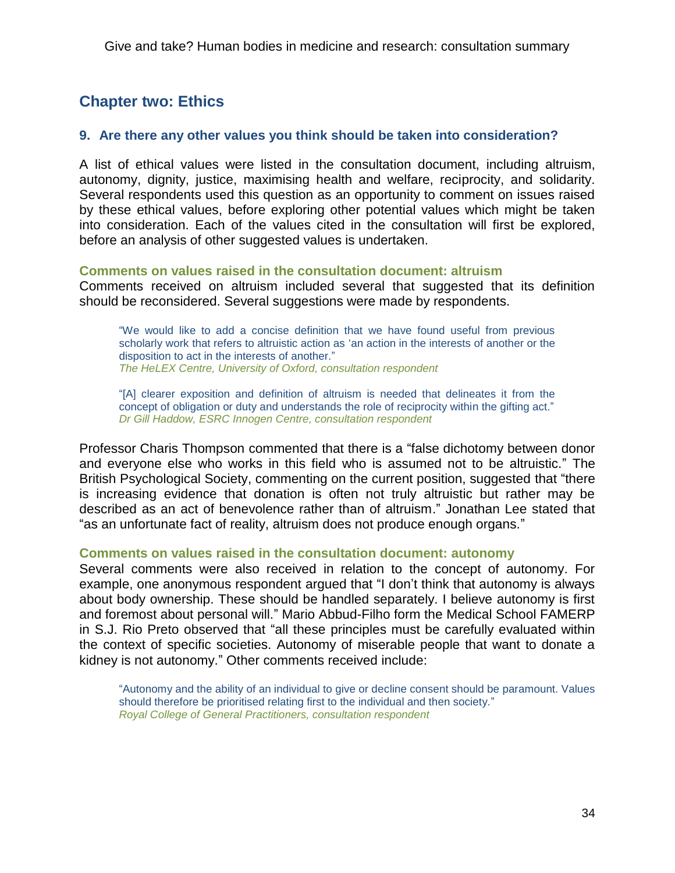# **Chapter two: Ethics**

## **9. Are there any other values you think should be taken into consideration?**

A list of ethical values were listed in the consultation document, including altruism, autonomy, dignity, justice, maximising health and welfare, reciprocity, and solidarity. Several respondents used this question as an opportunity to comment on issues raised by these ethical values, before exploring other potential values which might be taken into consideration. Each of the values cited in the consultation will first be explored, before an analysis of other suggested values is undertaken.

### **Comments on values raised in the consultation document: altruism**

Comments received on altruism included several that suggested that its definition should be reconsidered. Several suggestions were made by respondents.

―We would like to add a concise definition that we have found useful from previous scholarly work that refers to altruistic action as 'an action in the interests of another or the disposition to act in the interests of another." *The HeLEX Centre, University of Oxford, consultation respondent*

―[A] clearer exposition and definition of altruism is needed that delineates it from the concept of obligation or duty and understands the role of reciprocity within the gifting act." *Dr Gill Haddow, ESRC Innogen Centre, consultation respondent*

Professor Charis Thompson commented that there is a "false dichotomy between donor and everyone else who works in this field who is assumed not to be altruistic." The British Psychological Society, commenting on the current position, suggested that "there is increasing evidence that donation is often not truly altruistic but rather may be described as an act of benevolence rather than of altruism.‖ Jonathan Lee stated that "as an unfortunate fact of reality, altruism does not produce enough organs."

### **Comments on values raised in the consultation document: autonomy**

Several comments were also received in relation to the concept of autonomy. For example, one anonymous respondent argued that "I don't think that autonomy is always about body ownership. These should be handled separately. I believe autonomy is first and foremost about personal will." Mario Abbud-Filho form the Medical School FAMERP in S.J. Rio Preto observed that "all these principles must be carefully evaluated within the context of specific societies. Autonomy of miserable people that want to donate a kidney is not autonomy." Other comments received include:

―Autonomy and the ability of an individual to give or decline consent should be paramount. Values should therefore be prioritised relating first to the individual and then society." *Royal College of General Practitioners, consultation respondent*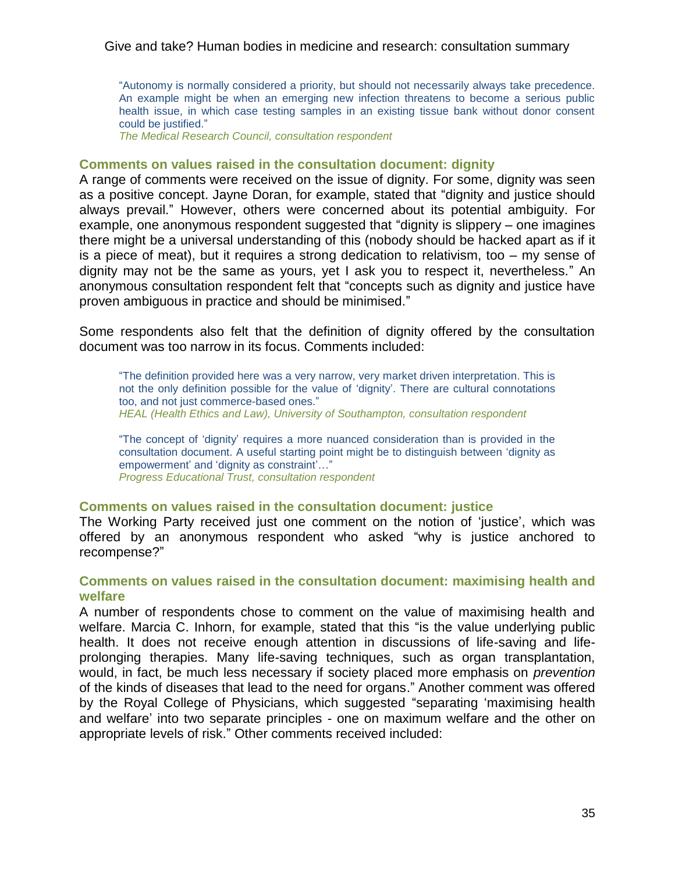―Autonomy is normally considered a priority, but should not necessarily always take precedence. An example might be when an emerging new infection threatens to become a serious public health issue, in which case testing samples in an existing tissue bank without donor consent could be justified."

*The Medical Research Council, consultation respondent* 

#### **Comments on values raised in the consultation document: dignity**

A range of comments were received on the issue of dignity. For some, dignity was seen as a positive concept. Jayne Doran, for example, stated that "dignity and justice should always prevail." However, others were concerned about its potential ambiguity. For example, one anonymous respondent suggested that "dignity is slippery  $-$  one imagines there might be a universal understanding of this (nobody should be hacked apart as if it is a piece of meat), but it requires a strong dedication to relativism, too – my sense of dignity may not be the same as yours, yet I ask you to respect it, nevertheless." An anonymous consultation respondent felt that "concepts such as dignity and justice have proven ambiguous in practice and should be minimised."

Some respondents also felt that the definition of dignity offered by the consultation document was too narrow in its focus. Comments included:

―The definition provided here was a very narrow, very market driven interpretation. This is not the only definition possible for the value of 'dignity'. There are cultural connotations too, and not just commerce-based ones." *HEAL (Health Ethics and Law), University of Southampton, consultation respondent*

―The concept of ‗dignity' requires a more nuanced consideration than is provided in the consultation document. A useful starting point might be to distinguish between 'dignity as empowerment' and 'dignity as constraint'..." *Progress Educational Trust, consultation respondent*

#### **Comments on values raised in the consultation document: justice**

The Working Party received just one comment on the notion of 'justice', which was offered by an anonymous respondent who asked "why is justice anchored to recompense?"

### **Comments on values raised in the consultation document: maximising health and welfare**

A number of respondents chose to comment on the value of maximising health and welfare. Marcia C. Inhorn, for example, stated that this "is the value underlying public health. It does not receive enough attention in discussions of life-saving and lifeprolonging therapies. Many life-saving techniques, such as organ transplantation, would, in fact, be much less necessary if society placed more emphasis on *prevention* of the kinds of diseases that lead to the need for organs.‖ Another comment was offered by the Royal College of Physicians, which suggested "separating 'maximising health and welfare' into two separate principles - one on maximum welfare and the other on appropriate levels of risk." Other comments received included: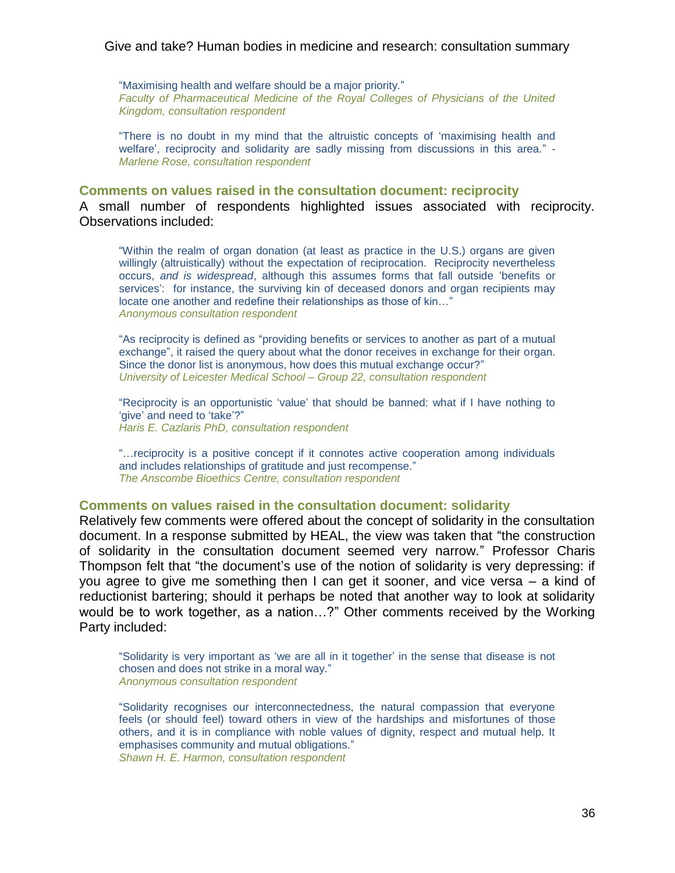"Maximising health and welfare should be a major priority." *Faculty of Pharmaceutical Medicine of the Royal Colleges of Physicians of the United Kingdom, consultation respondent*

"There is no doubt in my mind that the altruistic concepts of 'maximising health and welfare', reciprocity and solidarity are sadly missing from discussions in this area." -*Marlene Rose, consultation respondent* 

**Comments on values raised in the consultation document: reciprocity** A small number of respondents highlighted issues associated with reciprocity. Observations included:

―Within the realm of organ donation (at least as practice in the U.S.) organs are given willingly (altruistically) without the expectation of reciprocation. Reciprocity nevertheless occurs, *and is widespread*, although this assumes forms that fall outside ‗benefits or services': for instance, the surviving kin of deceased donors and organ recipients may locate one another and redefine their relationships as those of kin..." *Anonymous consultation respondent*

"As reciprocity is defined as "providing benefits or services to another as part of a mutual exchange", it raised the query about what the donor receives in exchange for their organ. Since the donor list is anonymous, how does this mutual exchange occur?" *University of Leicester Medical School – Group 22, consultation respondent*

"Reciprocity is an opportunistic 'value' that should be banned: what if I have nothing to 'give' and need to 'take'?" *Haris E. Cazlaris PhD, consultation respondent* 

―…reciprocity is a positive concept if it connotes active cooperation among individuals and includes relationships of gratitude and just recompense." *The Anscombe Bioethics Centre, consultation respondent* 

#### **Comments on values raised in the consultation document: solidarity**

Relatively few comments were offered about the concept of solidarity in the consultation document. In a response submitted by HEAL, the view was taken that "the construction of solidarity in the consultation document seemed very narrow.‖ Professor Charis Thompson felt that "the document's use of the notion of solidarity is very depressing: if you agree to give me something then I can get it sooner, and vice versa – a kind of reductionist bartering; should it perhaps be noted that another way to look at solidarity would be to work together, as a nation...?" Other comments received by the Working Party included:

―Solidarity is very important as ‗we are all in it together' in the sense that disease is not chosen and does not strike in a moral way." *Anonymous consultation respondent* 

―Solidarity recognises our interconnectedness, the natural compassion that everyone feels (or should feel) toward others in view of the hardships and misfortunes of those others, and it is in compliance with noble values of dignity, respect and mutual help. It emphasises community and mutual obligations." *Shawn H. E. Harmon, consultation respondent*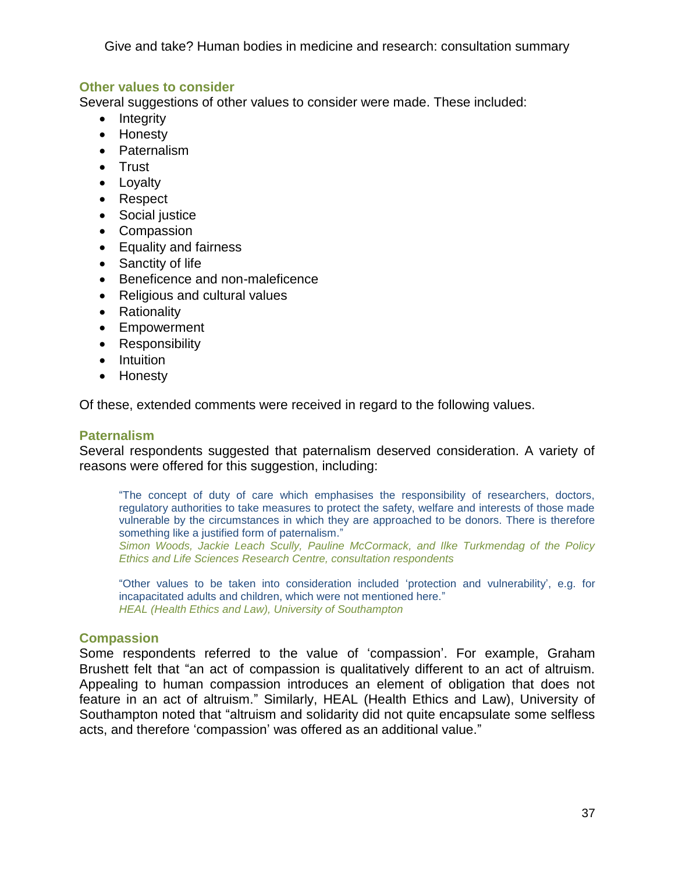# **Other values to consider**

Several suggestions of other values to consider were made. These included:

- $\bullet$  Integrity
- Honesty
- Paternalism
- Trust
- Loyalty
- Respect
- Social justice
- Compassion
- Equality and fairness
- Sanctity of life
- Beneficence and non-maleficence
- Religious and cultural values
- Rationality
- Empowerment
- Responsibility
- Intuition
- Honesty

Of these, extended comments were received in regard to the following values.

### **Paternalism**

Several respondents suggested that paternalism deserved consideration. A variety of reasons were offered for this suggestion, including:

―The concept of duty of care which emphasises the responsibility of researchers, doctors, regulatory authorities to take measures to protect the safety, welfare and interests of those made vulnerable by the circumstances in which they are approached to be donors. There is therefore something like a justified form of paternalism."

*Simon Woods, Jackie Leach Scully, Pauline McCormack, and Ilke Turkmendag of the Policy Ethics and Life Sciences Research Centre, consultation respondents*

―Other values to be taken into consideration included ‗protection and vulnerability', e.g. for incapacitated adults and children, which were not mentioned here." *HEAL (Health Ethics and Law), University of Southampton*

# **Compassion**

Some respondents referred to the value of 'compassion'. For example, Graham Brushett felt that "an act of compassion is qualitatively different to an act of altruism. Appealing to human compassion introduces an element of obligation that does not feature in an act of altruism." Similarly, HEAL (Health Ethics and Law), University of Southampton noted that "altruism and solidarity did not quite encapsulate some selfless acts, and therefore 'compassion' was offered as an additional value."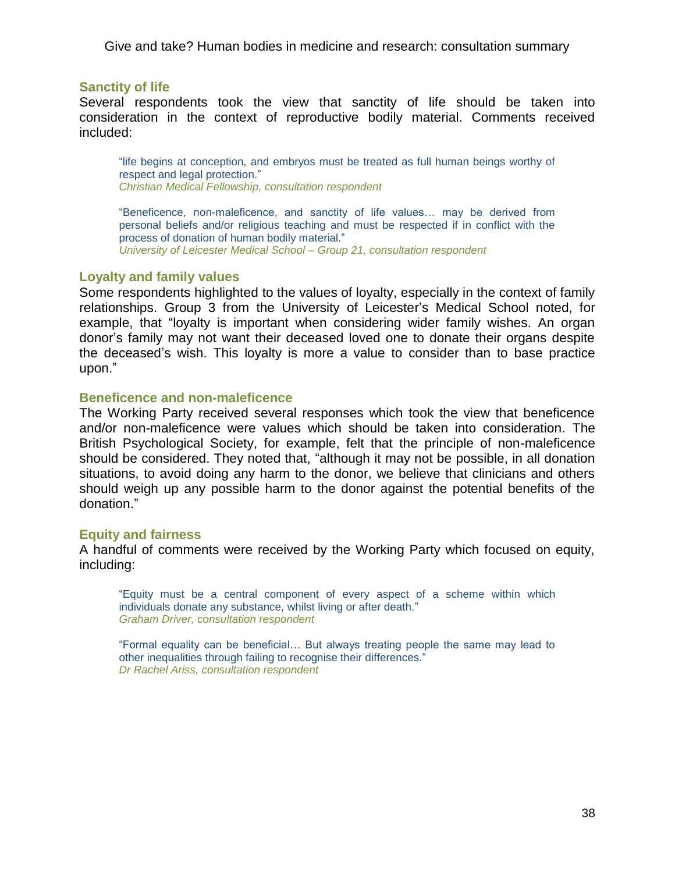#### **Sanctity of life**

Several respondents took the view that sanctity of life should be taken into consideration in the context of reproductive bodily material. Comments received included:

"life begins at conception, and embryos must be treated as full human beings worthy of respect and legal protection." *Christian Medical Fellowship, consultation respondent*

"Beneficence, non-maleficence, and sanctity of life values... may be derived from personal beliefs and/or religious teaching and must be respected if in conflict with the process of donation of human bodily material." *University of Leicester Medical School – Group 21, consultation respondent*

#### **Loyalty and family values**

Some respondents highlighted to the values of loyalty, especially in the context of family relationships. Group 3 from the University of Leicester's Medical School noted, for example, that "loyalty is important when considering wider family wishes. An organ donor's family may not want their deceased loved one to donate their organs despite the deceased's wish. This loyalty is more a value to consider than to base practice upon."

#### **Beneficence and non-maleficence**

The Working Party received several responses which took the view that beneficence and/or non-maleficence were values which should be taken into consideration. The British Psychological Society, for example, felt that the principle of non-maleficence should be considered. They noted that, "although it may not be possible, in all donation situations, to avoid doing any harm to the donor, we believe that clinicians and others should weigh up any possible harm to the donor against the potential benefits of the donation."

#### **Equity and fairness**

A handful of comments were received by the Working Party which focused on equity, including:

―Equity must be a central component of every aspect of a scheme within which individuals donate any substance, whilst living or after death." *Graham Driver, consultation respondent*

―Formal equality can be beneficial… But always treating people the same may lead to other inequalities through failing to recognise their differences." *Dr Rachel Ariss, consultation respondent*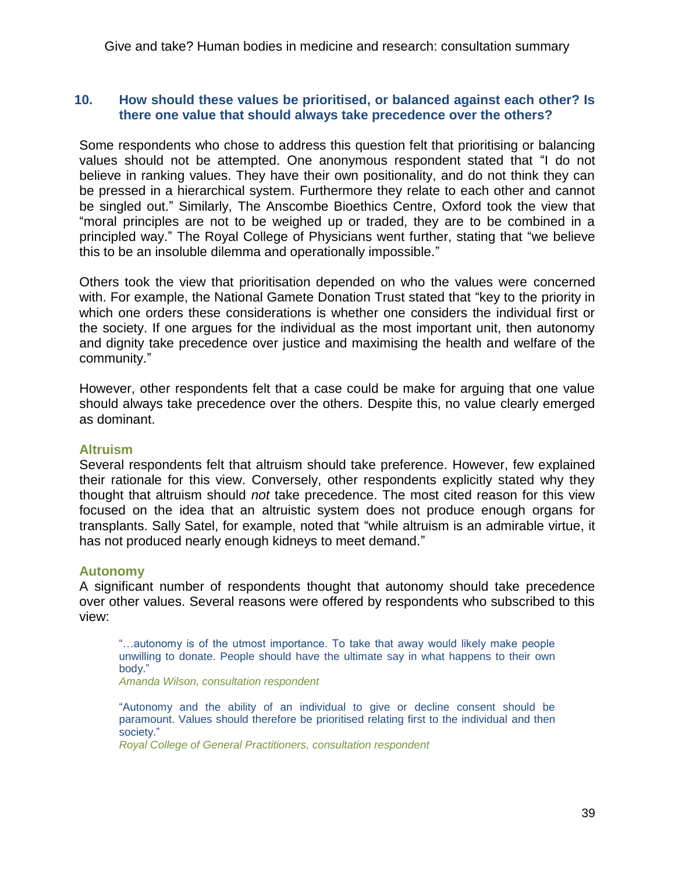# **10. How should these values be prioritised, or balanced against each other? Is there one value that should always take precedence over the others?**

Some respondents who chose to address this question felt that prioritising or balancing values should not be attempted. One anonymous respondent stated that "I do not believe in ranking values. They have their own positionality, and do not think they can be pressed in a hierarchical system. Furthermore they relate to each other and cannot be singled out." Similarly, The Anscombe Bioethics Centre, Oxford took the view that "moral principles are not to be weighed up or traded, they are to be combined in a principled way." The Royal College of Physicians went further, stating that "we believe this to be an insoluble dilemma and operationally impossible."

Others took the view that prioritisation depended on who the values were concerned with. For example, the National Gamete Donation Trust stated that "key to the priority in which one orders these considerations is whether one considers the individual first or the society. If one argues for the individual as the most important unit, then autonomy and dignity take precedence over justice and maximising the health and welfare of the community."

However, other respondents felt that a case could be make for arguing that one value should always take precedence over the others. Despite this, no value clearly emerged as dominant.

#### **Altruism**

Several respondents felt that altruism should take preference. However, few explained their rationale for this view. Conversely, other respondents explicitly stated why they thought that altruism should *not* take precedence. The most cited reason for this view focused on the idea that an altruistic system does not produce enough organs for transplants. Sally Satel, for example, noted that "while altruism is an admirable virtue, it has not produced nearly enough kidneys to meet demand."

### **Autonomy**

A significant number of respondents thought that autonomy should take precedence over other values. Several reasons were offered by respondents who subscribed to this view:

―…autonomy is of the utmost importance. To take that away would likely make people unwilling to donate. People should have the ultimate say in what happens to their own body."

*Amanda Wilson, consultation respondent*

―Autonomy and the ability of an individual to give or decline consent should be paramount. Values should therefore be prioritised relating first to the individual and then society."

*Royal College of General Practitioners, consultation respondent*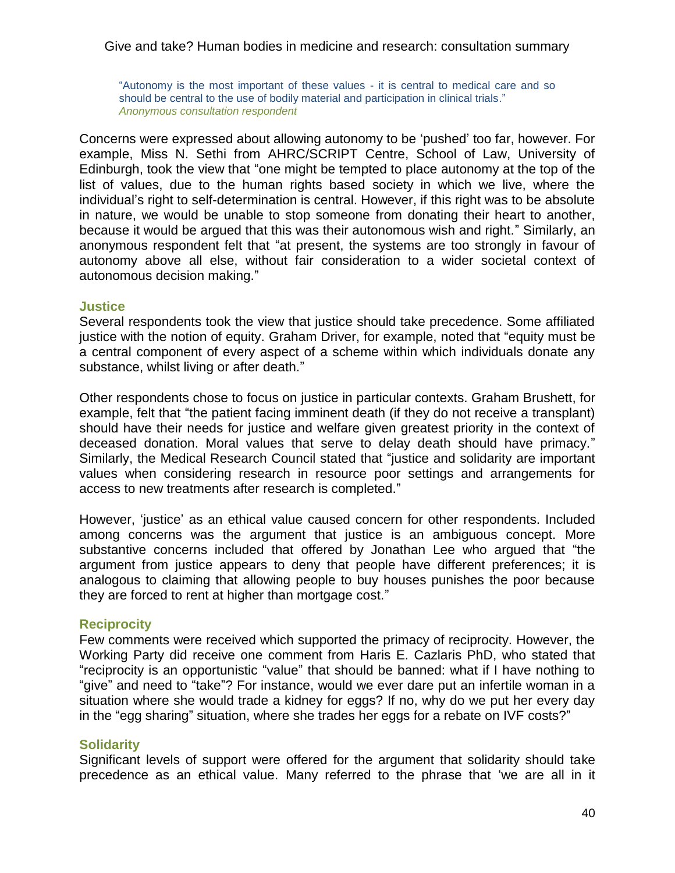"Autonomy is the most important of these values - it is central to medical care and so should be central to the use of bodily material and participation in clinical trials." *Anonymous consultation respondent* 

Concerns were expressed about allowing autonomy to be 'pushed' too far, however. For example, Miss N. Sethi from AHRC/SCRIPT Centre, School of Law, University of Edinburgh, took the view that "one might be tempted to place autonomy at the top of the list of values, due to the human rights based society in which we live, where the individual's right to self-determination is central. However, if this right was to be absolute in nature, we would be unable to stop someone from donating their heart to another, because it would be argued that this was their autonomous wish and right." Similarly, an anonymous respondent felt that "at present, the systems are too strongly in favour of autonomy above all else, without fair consideration to a wider societal context of autonomous decision making."

#### **Justice**

Several respondents took the view that justice should take precedence. Some affiliated justice with the notion of equity. Graham Driver, for example, noted that "equity must be a central component of every aspect of a scheme within which individuals donate any substance, whilst living or after death."

Other respondents chose to focus on justice in particular contexts. Graham Brushett, for example, felt that "the patient facing imminent death (if they do not receive a transplant) should have their needs for justice and welfare given greatest priority in the context of deceased donation. Moral values that serve to delay death should have primacy." Similarly, the Medical Research Council stated that "justice and solidarity are important values when considering research in resource poor settings and arrangements for access to new treatments after research is completed."

However, ‗justice' as an ethical value caused concern for other respondents. Included among concerns was the argument that justice is an ambiguous concept. More substantive concerns included that offered by Jonathan Lee who argued that "the argument from justice appears to deny that people have different preferences; it is analogous to claiming that allowing people to buy houses punishes the poor because they are forced to rent at higher than mortgage cost."

# **Reciprocity**

Few comments were received which supported the primacy of reciprocity. However, the Working Party did receive one comment from Haris E. Cazlaris PhD, who stated that "reciprocity is an opportunistic "value" that should be banned: what if I have nothing to "give" and need to "take"? For instance, would we ever dare put an infertile woman in a situation where she would trade a kidney for eggs? If no, why do we put her every day in the "egg sharing" situation, where she trades her eggs for a rebate on IVF costs?"

# **Solidarity**

Significant levels of support were offered for the argument that solidarity should take precedence as an ethical value. Many referred to the phrase that 'we are all in it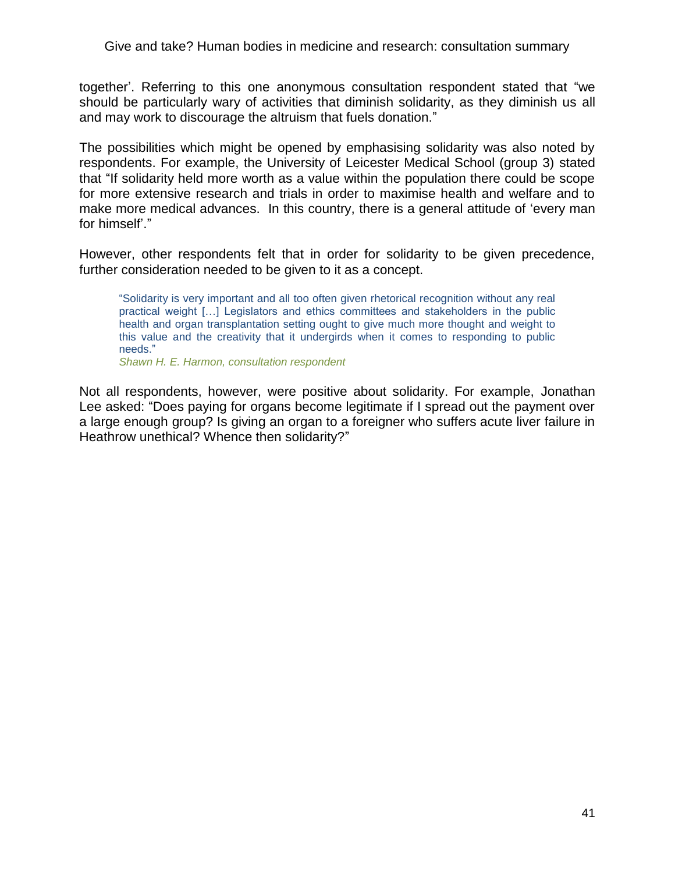together'. Referring to this one anonymous consultation respondent stated that "we should be particularly wary of activities that diminish solidarity, as they diminish us all and may work to discourage the altruism that fuels donation."

The possibilities which might be opened by emphasising solidarity was also noted by respondents. For example, the University of Leicester Medical School (group 3) stated that "If solidarity held more worth as a value within the population there could be scope for more extensive research and trials in order to maximise health and welfare and to make more medical advances. In this country, there is a general attitude of 'every man for himself'."

However, other respondents felt that in order for solidarity to be given precedence, further consideration needed to be given to it as a concept.

―Solidarity is very important and all too often given rhetorical recognition without any real practical weight […] Legislators and ethics committees and stakeholders in the public health and organ transplantation setting ought to give much more thought and weight to this value and the creativity that it undergirds when it comes to responding to public needs."

*Shawn H. E. Harmon, consultation respondent*

Not all respondents, however, were positive about solidarity. For example, Jonathan Lee asked: "Does paying for organs become legitimate if I spread out the payment over a large enough group? Is giving an organ to a foreigner who suffers acute liver failure in Heathrow unethical? Whence then solidarity?"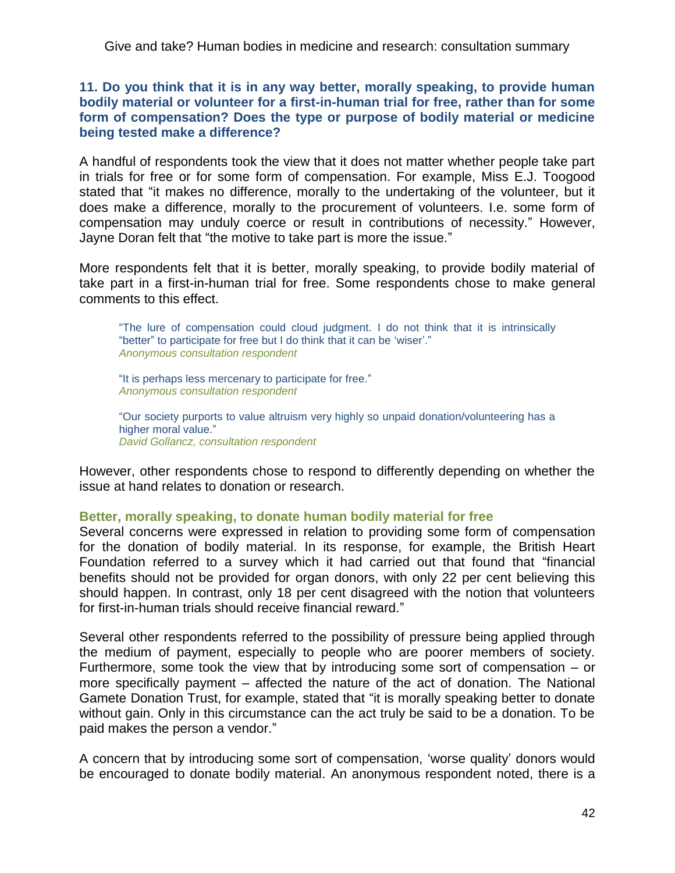**11. Do you think that it is in any way better, morally speaking, to provide human bodily material or volunteer for a first-in-human trial for free, rather than for some form of compensation? Does the type or purpose of bodily material or medicine being tested make a difference?**

A handful of respondents took the view that it does not matter whether people take part in trials for free or for some form of compensation. For example, Miss E.J. Toogood stated that "it makes no difference, morally to the undertaking of the volunteer, but it does make a difference, morally to the procurement of volunteers. I.e. some form of compensation may unduly coerce or result in contributions of necessity.‖ However, Jayne Doran felt that "the motive to take part is more the issue."

More respondents felt that it is better, morally speaking, to provide bodily material of take part in a first-in-human trial for free. Some respondents chose to make general comments to this effect.

"The lure of compensation could cloud judgment. I do not think that it is intrinsically "better" to participate for free but I do think that it can be 'wiser'." *Anonymous consultation respondent*

"It is perhaps less mercenary to participate for free." *Anonymous consultation respondent*

―Our society purports to value altruism very highly so unpaid donation/volunteering has a higher moral value." *David Gollancz, consultation respondent*

However, other respondents chose to respond to differently depending on whether the issue at hand relates to donation or research.

# **Better, morally speaking, to donate human bodily material for free**

Several concerns were expressed in relation to providing some form of compensation for the donation of bodily material. In its response, for example, the British Heart Foundation referred to a survey which it had carried out that found that "financial" benefits should not be provided for organ donors, with only 22 per cent believing this should happen. In contrast, only 18 per cent disagreed with the notion that volunteers for first-in-human trials should receive financial reward."

Several other respondents referred to the possibility of pressure being applied through the medium of payment, especially to people who are poorer members of society. Furthermore, some took the view that by introducing some sort of compensation – or more specifically payment – affected the nature of the act of donation. The National Gamete Donation Trust, for example, stated that "it is morally speaking better to donate without gain. Only in this circumstance can the act truly be said to be a donation. To be paid makes the person a vendor."

A concern that by introducing some sort of compensation, ‗worse quality' donors would be encouraged to donate bodily material. An anonymous respondent noted, there is a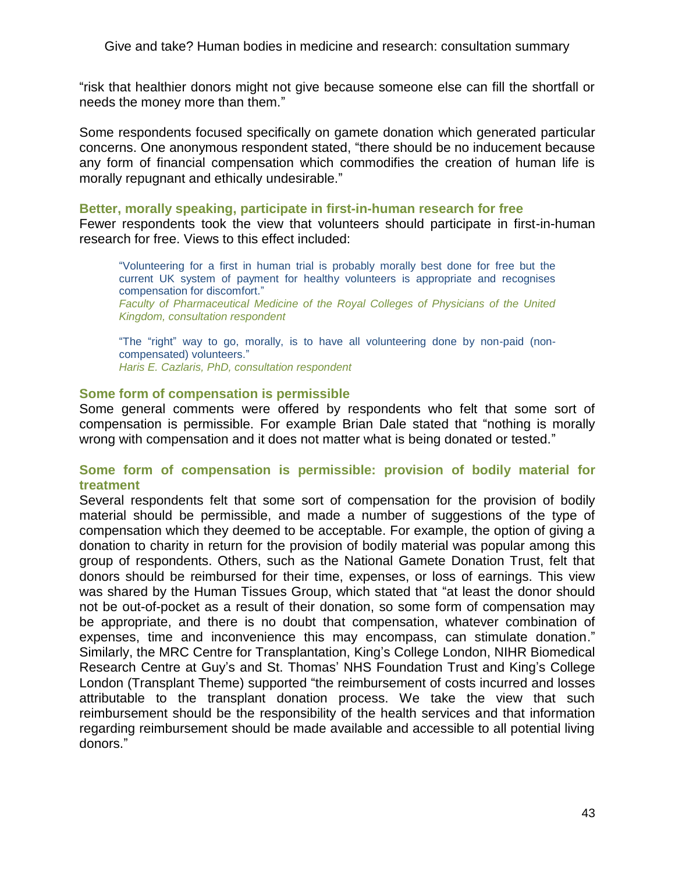―risk that healthier donors might not give because someone else can fill the shortfall or needs the money more than them."

Some respondents focused specifically on gamete donation which generated particular concerns. One anonymous respondent stated, "there should be no inducement because any form of financial compensation which commodifies the creation of human life is morally repugnant and ethically undesirable."

#### **Better, morally speaking, participate in first-in-human research for free**

Fewer respondents took the view that volunteers should participate in first-in-human research for free. Views to this effect included:

―Volunteering for a first in human trial is probably morally best done for free but the current UK system of payment for healthy volunteers is appropriate and recognises compensation for discomfort." *Faculty of Pharmaceutical Medicine of the Royal Colleges of Physicians of the United Kingdom, consultation respondent*

"The "right" way to go, morally, is to have all volunteering done by non-paid (noncompensated) volunteers." *Haris E. Cazlaris, PhD, consultation respondent*

#### **Some form of compensation is permissible**

Some general comments were offered by respondents who felt that some sort of compensation is permissible. For example Brian Dale stated that "nothing is morally wrong with compensation and it does not matter what is being donated or tested."

# **Some form of compensation is permissible: provision of bodily material for treatment**

Several respondents felt that some sort of compensation for the provision of bodily material should be permissible, and made a number of suggestions of the type of compensation which they deemed to be acceptable. For example, the option of giving a donation to charity in return for the provision of bodily material was popular among this group of respondents. Others, such as the National Gamete Donation Trust, felt that donors should be reimbursed for their time, expenses, or loss of earnings. This view was shared by the Human Tissues Group, which stated that "at least the donor should not be out-of-pocket as a result of their donation, so some form of compensation may be appropriate, and there is no doubt that compensation, whatever combination of expenses, time and inconvenience this may encompass, can stimulate donation." Similarly, the MRC Centre for Transplantation, King's College London, NIHR Biomedical Research Centre at Guy's and St. Thomas' NHS Foundation Trust and King's College London (Transplant Theme) supported "the reimbursement of costs incurred and losses attributable to the transplant donation process. We take the view that such reimbursement should be the responsibility of the health services and that information regarding reimbursement should be made available and accessible to all potential living donors."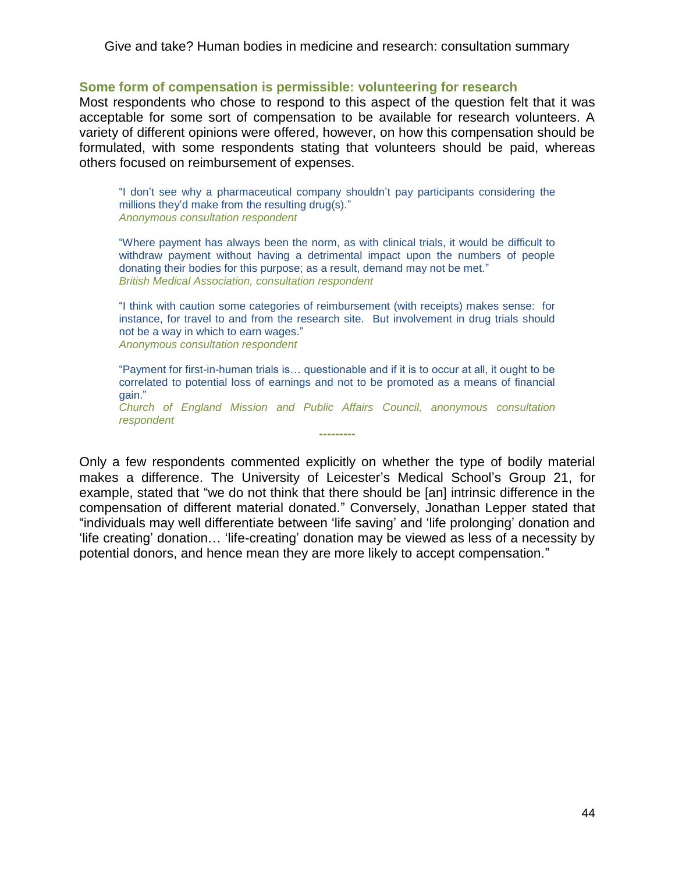#### **Some form of compensation is permissible: volunteering for research**

Most respondents who chose to respond to this aspect of the question felt that it was acceptable for some sort of compensation to be available for research volunteers. A variety of different opinions were offered, however, on how this compensation should be formulated, with some respondents stating that volunteers should be paid, whereas others focused on reimbursement of expenses.

"I don't see why a pharmaceutical company shouldn't pay participants considering the millions they'd make from the resulting drug(s)." *Anonymous consultation respondent*

"Where payment has always been the norm, as with clinical trials, it would be difficult to withdraw payment without having a detrimental impact upon the numbers of people donating their bodies for this purpose; as a result, demand may not be met." *British Medical Association, consultation respondent*

"I think with caution some categories of reimbursement (with receipts) makes sense: for instance, for travel to and from the research site. But involvement in drug trials should not be a way in which to earn wages." *Anonymous consultation respondent*

―Payment for first-in-human trials is… questionable and if it is to occur at all, it ought to be correlated to potential loss of earnings and not to be promoted as a means of financial gain."

*Church of England Mission and Public Affairs Council, anonymous consultation respondent* **---------**

Only a few respondents commented explicitly on whether the type of bodily material makes a difference. The University of Leicester's Medical School's Group 21, for example, stated that "we do not think that there should be [an] intrinsic difference in the compensation of different material donated.‖ Conversely, Jonathan Lepper stated that "individuals may well differentiate between 'life saving' and 'life prolonging' donation and ‗life creating' donation… ‗life-creating' donation may be viewed as less of a necessity by potential donors, and hence mean they are more likely to accept compensation."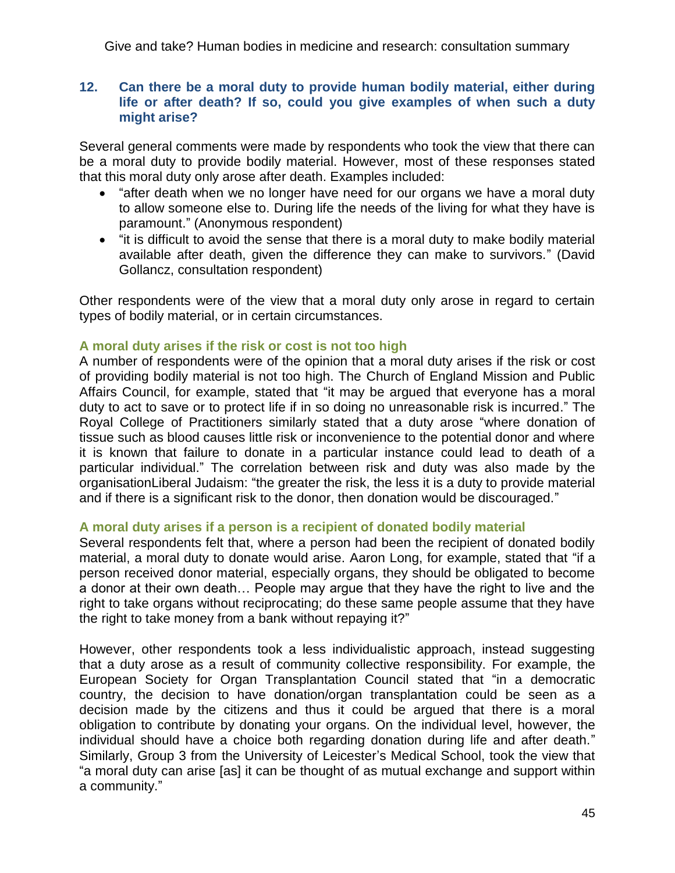# **12. Can there be a moral duty to provide human bodily material, either during life or after death? If so, could you give examples of when such a duty might arise?**

Several general comments were made by respondents who took the view that there can be a moral duty to provide bodily material. However, most of these responses stated that this moral duty only arose after death. Examples included:

- "after death when we no longer have need for our organs we have a moral duty to allow someone else to. During life the needs of the living for what they have is paramount." (Anonymous respondent)
- "it is difficult to avoid the sense that there is a moral duty to make bodily material available after death, given the difference they can make to survivors." (David Gollancz, consultation respondent)

Other respondents were of the view that a moral duty only arose in regard to certain types of bodily material, or in certain circumstances.

# **A moral duty arises if the risk or cost is not too high**

A number of respondents were of the opinion that a moral duty arises if the risk or cost of providing bodily material is not too high. The Church of England Mission and Public Affairs Council, for example, stated that "it may be argued that everyone has a moral duty to act to save or to protect life if in so doing no unreasonable risk is incurred." The Royal College of Practitioners similarly stated that a duty arose "where donation of tissue such as blood causes little risk or inconvenience to the potential donor and where it is known that failure to donate in a particular instance could lead to death of a particular individual.‖ The correlation between risk and duty was also made by the organisationLiberal Judaism: "the greater the risk, the less it is a duty to provide material and if there is a significant risk to the donor, then donation would be discouraged."

# **A moral duty arises if a person is a recipient of donated bodily material**

Several respondents felt that, where a person had been the recipient of donated bodily material, a moral duty to donate would arise. Aaron Long, for example, stated that "if a person received donor material, especially organs, they should be obligated to become a donor at their own death… People may argue that they have the right to live and the right to take organs without reciprocating; do these same people assume that they have the right to take money from a bank without repaying it?"

However, other respondents took a less individualistic approach, instead suggesting that a duty arose as a result of community collective responsibility. For example, the European Society for Organ Transplantation Council stated that "in a democratic country, the decision to have donation/organ transplantation could be seen as a decision made by the citizens and thus it could be argued that there is a moral obligation to contribute by donating your organs. On the individual level, however, the individual should have a choice both regarding donation during life and after death." Similarly, Group 3 from the University of Leicester's Medical School, took the view that ―a moral duty can arise [as] it can be thought of as mutual exchange and support within a community."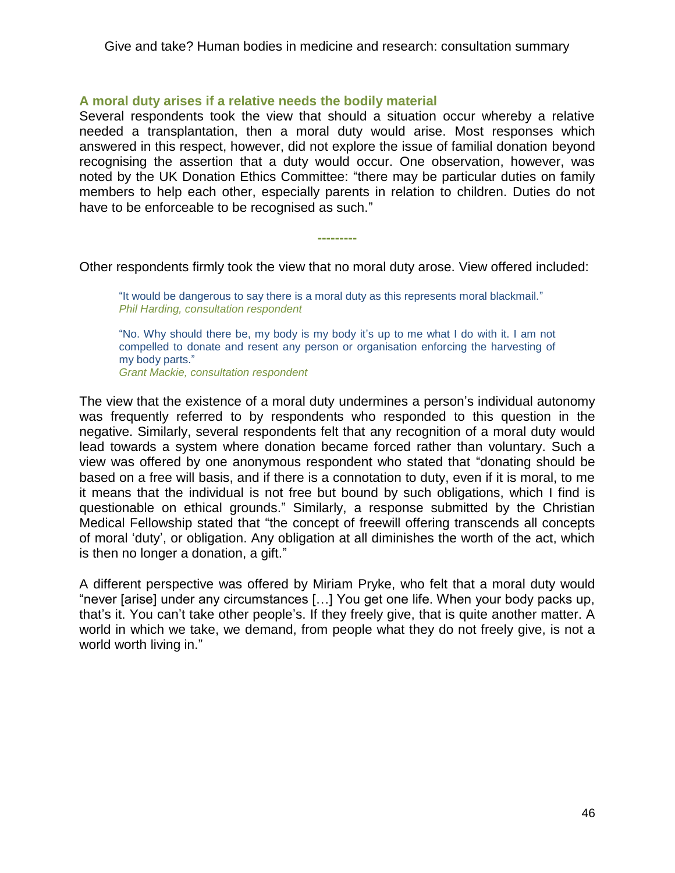# **A moral duty arises if a relative needs the bodily material**

Several respondents took the view that should a situation occur whereby a relative needed a transplantation, then a moral duty would arise. Most responses which answered in this respect, however, did not explore the issue of familial donation beyond recognising the assertion that a duty would occur. One observation, however, was noted by the UK Donation Ethics Committee: "there may be particular duties on family members to help each other, especially parents in relation to children. Duties do not have to be enforceable to be recognised as such."

Other respondents firmly took the view that no moral duty arose. View offered included:

**---------**

"It would be dangerous to say there is a moral duty as this represents moral blackmail." *Phil Harding, consultation respondent*

"No. Why should there be, my body is my body it's up to me what I do with it. I am not compelled to donate and resent any person or organisation enforcing the harvesting of my body parts."

*Grant Mackie, consultation respondent*

The view that the existence of a moral duty undermines a person's individual autonomy was frequently referred to by respondents who responded to this question in the negative. Similarly, several respondents felt that any recognition of a moral duty would lead towards a system where donation became forced rather than voluntary. Such a view was offered by one anonymous respondent who stated that "donating should be based on a free will basis, and if there is a connotation to duty, even if it is moral, to me it means that the individual is not free but bound by such obligations, which I find is questionable on ethical grounds.‖ Similarly, a response submitted by the Christian Medical Fellowship stated that "the concept of freewill offering transcends all concepts of moral ‗duty', or obligation. Any obligation at all diminishes the worth of the act, which is then no longer a donation, a gift."

A different perspective was offered by Miriam Pryke, who felt that a moral duty would "never [arise] under any circumstances [...] You get one life. When your body packs up, that's it. You can't take other people's. If they freely give, that is quite another matter. A world in which we take, we demand, from people what they do not freely give, is not a world worth living in."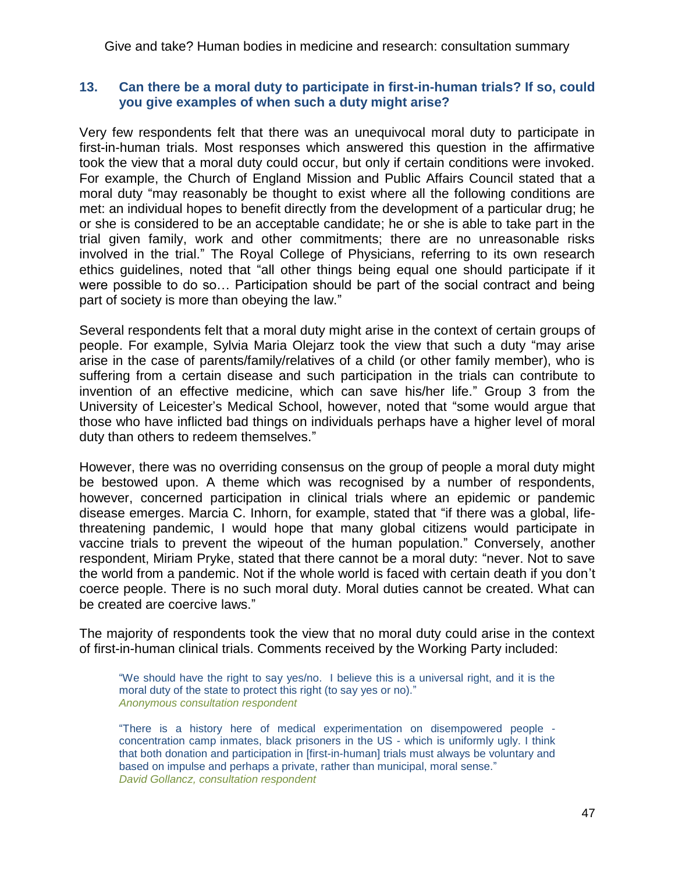### **13. Can there be a moral duty to participate in first-in-human trials? If so, could you give examples of when such a duty might arise?**

Very few respondents felt that there was an unequivocal moral duty to participate in first-in-human trials. Most responses which answered this question in the affirmative took the view that a moral duty could occur, but only if certain conditions were invoked. For example, the Church of England Mission and Public Affairs Council stated that a moral duty "may reasonably be thought to exist where all the following conditions are met: an individual hopes to benefit directly from the development of a particular drug; he or she is considered to be an acceptable candidate; he or she is able to take part in the trial given family, work and other commitments; there are no unreasonable risks involved in the trial." The Royal College of Physicians, referring to its own research ethics guidelines, noted that "all other things being equal one should participate if it were possible to do so… Participation should be part of the social contract and being part of society is more than obeying the law."

Several respondents felt that a moral duty might arise in the context of certain groups of people. For example, Sylvia Maria Olejarz took the view that such a duty "may arise arise in the case of parents/family/relatives of a child (or other family member), who is suffering from a certain disease and such participation in the trials can contribute to invention of an effective medicine, which can save his/her life." Group 3 from the University of Leicester's Medical School, however, noted that "some would argue that those who have inflicted bad things on individuals perhaps have a higher level of moral duty than others to redeem themselves."

However, there was no overriding consensus on the group of people a moral duty might be bestowed upon. A theme which was recognised by a number of respondents, however, concerned participation in clinical trials where an epidemic or pandemic disease emerges. Marcia C. Inhorn, for example, stated that "if there was a global, lifethreatening pandemic, I would hope that many global citizens would participate in vaccine trials to prevent the wipeout of the human population." Conversely, another respondent, Miriam Pryke, stated that there cannot be a moral duty: "never. Not to save the world from a pandemic. Not if the whole world is faced with certain death if you don't coerce people. There is no such moral duty. Moral duties cannot be created. What can be created are coercive laws."

The majority of respondents took the view that no moral duty could arise in the context of first-in-human clinical trials. Comments received by the Working Party included:

―We should have the right to say yes/no. I believe this is a universal right, and it is the moral duty of the state to protect this right (to say yes or no)." *Anonymous consultation respondent*

―There is a history here of medical experimentation on disempowered people concentration camp inmates, black prisoners in the US - which is uniformly ugly. I think that both donation and participation in [first-in-human] trials must always be voluntary and based on impulse and perhaps a private, rather than municipal, moral sense." *David Gollancz, consultation respondent*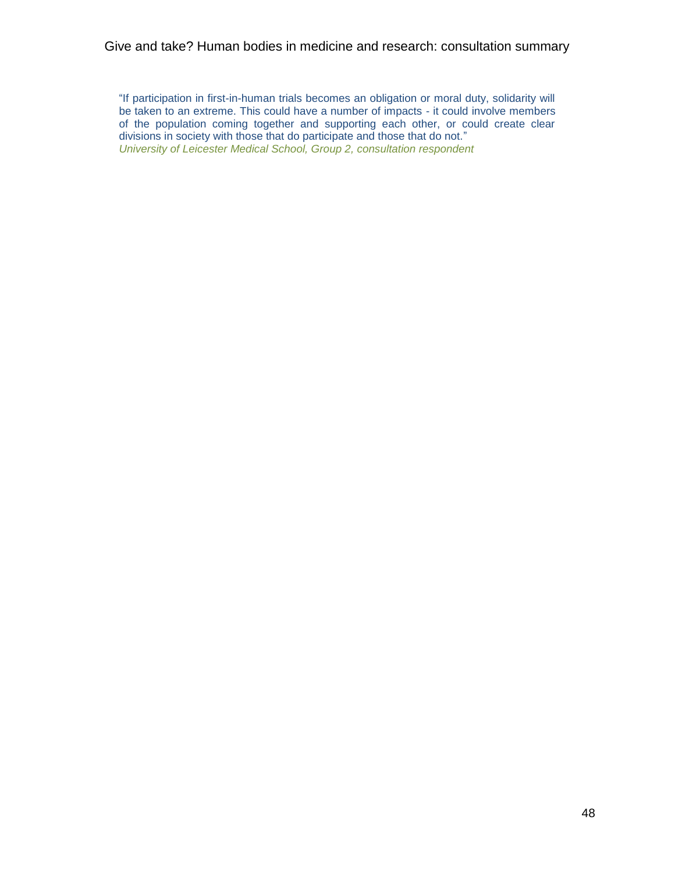"If participation in first-in-human trials becomes an obligation or moral duty, solidarity will be taken to an extreme. This could have a number of impacts - it could involve members of the population coming together and supporting each other, or could create clear divisions in society with those that do participate and those that do not." *University of Leicester Medical School, Group 2, consultation respondent*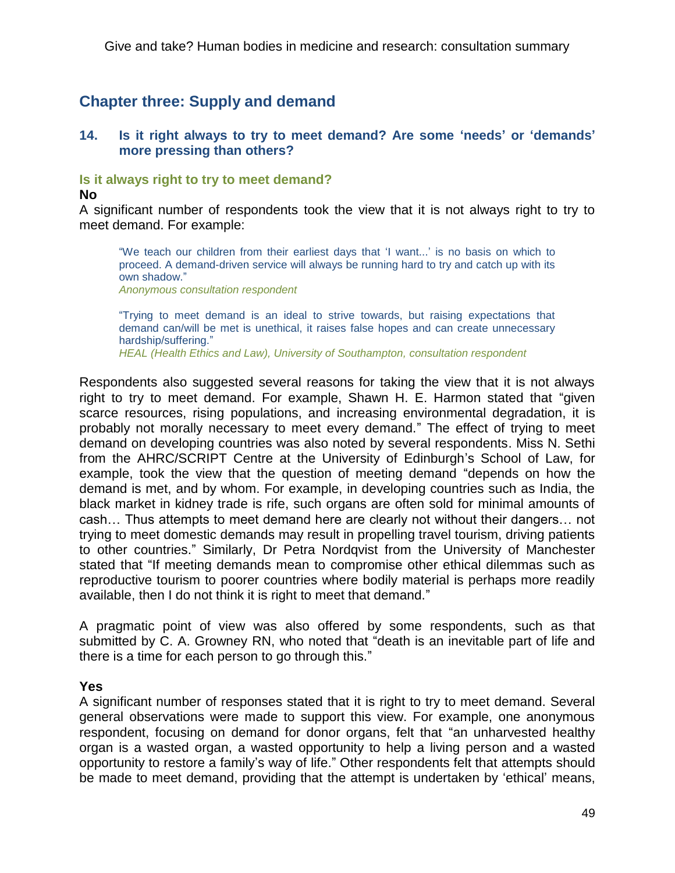# **Chapter three: Supply and demand**

# **14. Is it right always to try to meet demand? Are some 'needs' or 'demands' more pressing than others?**

### **Is it always right to try to meet demand?**

#### **No**

A significant number of respondents took the view that it is not always right to try to meet demand. For example:

"We teach our children from their earliest days that 'I want...' is no basis on which to proceed. A demand-driven service will always be running hard to try and catch up with its own shadow." *Anonymous consultation respondent*

―Trying to meet demand is an ideal to strive towards, but raising expectations that

demand can/will be met is unethical, it raises false hopes and can create unnecessary hardship/suffering."

*HEAL (Health Ethics and Law), University of Southampton, consultation respondent*

Respondents also suggested several reasons for taking the view that it is not always right to try to meet demand. For example, Shawn H. E. Harmon stated that "given" scarce resources, rising populations, and increasing environmental degradation, it is probably not morally necessary to meet every demand.‖ The effect of trying to meet demand on developing countries was also noted by several respondents. Miss N. Sethi from the AHRC/SCRIPT Centre at the University of Edinburgh's School of Law, for example, took the view that the question of meeting demand "depends on how the demand is met, and by whom. For example, in developing countries such as India, the black market in kidney trade is rife, such organs are often sold for minimal amounts of cash… Thus attempts to meet demand here are clearly not without their dangers… not trying to meet domestic demands may result in propelling travel tourism, driving patients to other countries.‖ Similarly, Dr Petra Nordqvist from the University of Manchester stated that "If meeting demands mean to compromise other ethical dilemmas such as reproductive tourism to poorer countries where bodily material is perhaps more readily available, then I do not think it is right to meet that demand."

A pragmatic point of view was also offered by some respondents, such as that submitted by C. A. Growney RN, who noted that "death is an inevitable part of life and there is a time for each person to go through this."

#### **Yes**

A significant number of responses stated that it is right to try to meet demand. Several general observations were made to support this view. For example, one anonymous respondent, focusing on demand for donor organs, felt that "an unharvested healthy organ is a wasted organ, a wasted opportunity to help a living person and a wasted opportunity to restore a family's way of life.‖ Other respondents felt that attempts should be made to meet demand, providing that the attempt is undertaken by 'ethical' means,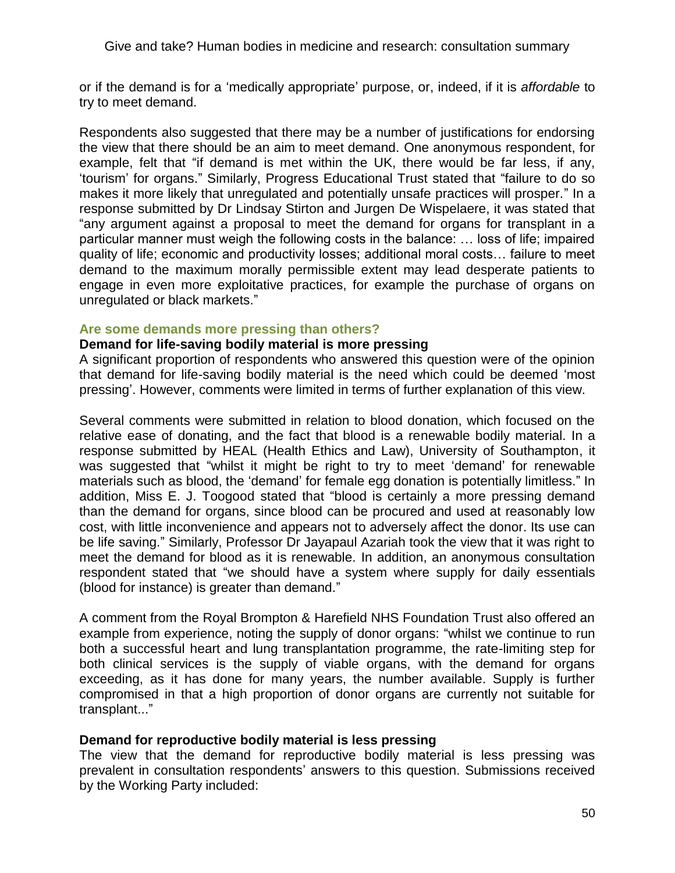or if the demand is for a ‗medically appropriate' purpose, or, indeed, if it is *affordable* to try to meet demand.

Respondents also suggested that there may be a number of justifications for endorsing the view that there should be an aim to meet demand. One anonymous respondent, for example, felt that "if demand is met within the UK, there would be far less, if any, ‗tourism' for organs.‖ Similarly, Progress Educational Trust stated that ―failure to do so makes it more likely that unregulated and potentially unsafe practices will prosper." In a response submitted by Dr Lindsay Stirton and Jurgen De Wispelaere, it was stated that "any argument against a proposal to meet the demand for organs for transplant in a particular manner must weigh the following costs in the balance: … loss of life; impaired quality of life; economic and productivity losses; additional moral costs… failure to meet demand to the maximum morally permissible extent may lead desperate patients to engage in even more exploitative practices, for example the purchase of organs on unregulated or black markets."

# **Are some demands more pressing than others?**

# **Demand for life-saving bodily material is more pressing**

A significant proportion of respondents who answered this question were of the opinion that demand for life-saving bodily material is the need which could be deemed 'most pressing'. However, comments were limited in terms of further explanation of this view.

Several comments were submitted in relation to blood donation, which focused on the relative ease of donating, and the fact that blood is a renewable bodily material. In a response submitted by HEAL (Health Ethics and Law), University of Southampton, it was suggested that "whilst it might be right to try to meet 'demand' for renewable materials such as blood, the 'demand' for female egg donation is potentially limitless." In addition, Miss E. J. Toogood stated that "blood is certainly a more pressing demand than the demand for organs, since blood can be procured and used at reasonably low cost, with little inconvenience and appears not to adversely affect the donor. Its use can be life saving." Similarly, Professor Dr Jayapaul Azariah took the view that it was right to meet the demand for blood as it is renewable. In addition, an anonymous consultation respondent stated that "we should have a system where supply for daily essentials (blood for instance) is greater than demand."

A comment from the Royal Brompton & Harefield NHS Foundation Trust also offered an example from experience, noting the supply of donor organs: "whilst we continue to run both a successful heart and lung transplantation programme, the rate-limiting step for both clinical services is the supply of viable organs, with the demand for organs exceeding, as it has done for many years, the number available. Supply is further compromised in that a high proportion of donor organs are currently not suitable for transplant..."

# **Demand for reproductive bodily material is less pressing**

The view that the demand for reproductive bodily material is less pressing was prevalent in consultation respondents' answers to this question. Submissions received by the Working Party included: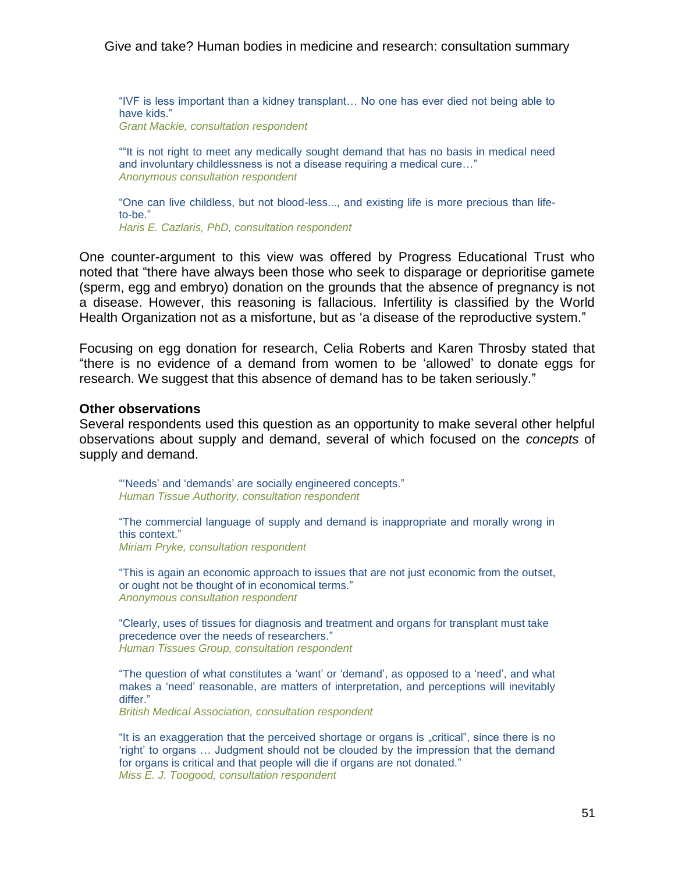"IVF is less important than a kidney transplant... No one has ever died not being able to have kids."

*Grant Mackie, consultation respondent*

"It is not right to meet any medically sought demand that has no basis in medical need and involuntary childlessness is not a disease requiring a medical cure..." *Anonymous consultation respondent* 

"One can live childless, but not blood-less..., and existing life is more precious than lifeto-be." *Haris E. Cazlaris, PhD, consultation respondent*

One counter-argument to this view was offered by Progress Educational Trust who noted that "there have always been those who seek to disparage or deprioritise gamete (sperm, egg and embryo) donation on the grounds that the absence of pregnancy is not a disease. However, this reasoning is fallacious. Infertility is classified by the World Health Organization not as a misfortune, but as 'a disease of the reproductive system."

Focusing on egg donation for research, Celia Roberts and Karen Throsby stated that ―there is no evidence of a demand from women to be ‗allowed' to donate eggs for research. We suggest that this absence of demand has to be taken seriously."

#### **Other observations**

Several respondents used this question as an opportunity to make several other helpful observations about supply and demand, several of which focused on the *concepts* of supply and demand.

"Needs' and 'demands' are socially engineered concepts." *Human Tissue Authority, consultation respondent* 

―The commercial language of supply and demand is inappropriate and morally wrong in this context." *Miriam Pryke, consultation respondent*

―This is again an economic approach to issues that are not just economic from the outset, or ought not be thought of in economical terms." *Anonymous consultation respondent*

―Clearly, uses of tissues for diagnosis and treatment and organs for transplant must take precedence over the needs of researchers." *Human Tissues Group, consultation respondent* 

"The question of what constitutes a 'want' or 'demand', as opposed to a 'need', and what makes a 'need' reasonable, are matters of interpretation, and perceptions will inevitably differ."

*British Medical Association, consultation respondent*

"It is an exaggeration that the perceived shortage or organs is "critical", since there is no ‗right' to organs … Judgment should not be clouded by the impression that the demand for organs is critical and that people will die if organs are not donated." *Miss E. J. Toogood, consultation respondent*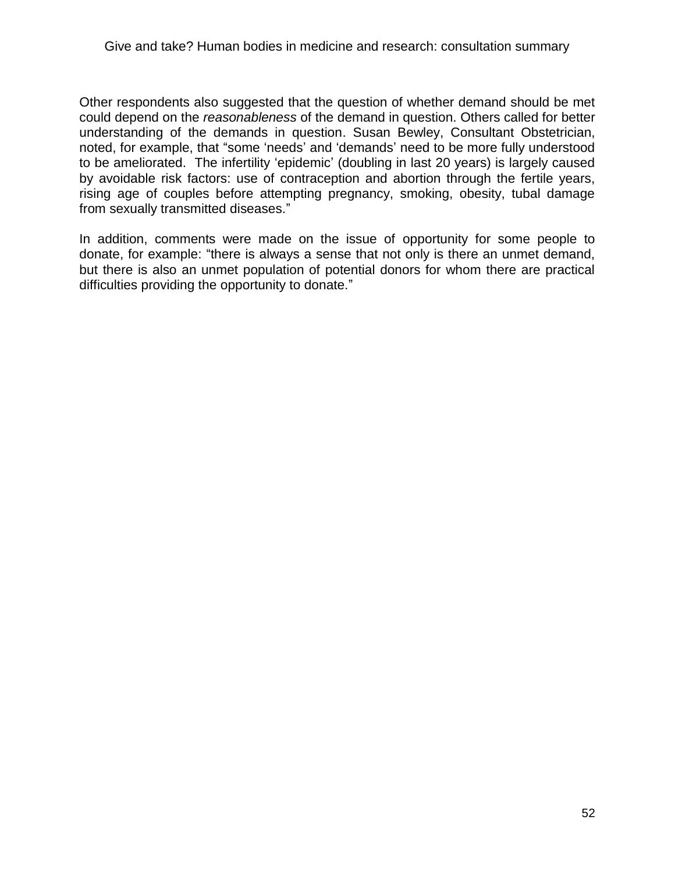Other respondents also suggested that the question of whether demand should be met could depend on the *reasonableness* of the demand in question. Others called for better understanding of the demands in question. Susan Bewley, Consultant Obstetrician, noted, for example, that "some 'needs' and 'demands' need to be more fully understood to be ameliorated. The infertility 'epidemic' (doubling in last 20 years) is largely caused by avoidable risk factors: use of contraception and abortion through the fertile years, rising age of couples before attempting pregnancy, smoking, obesity, tubal damage from sexually transmitted diseases."

In addition, comments were made on the issue of opportunity for some people to donate, for example: "there is always a sense that not only is there an unmet demand, but there is also an unmet population of potential donors for whom there are practical difficulties providing the opportunity to donate."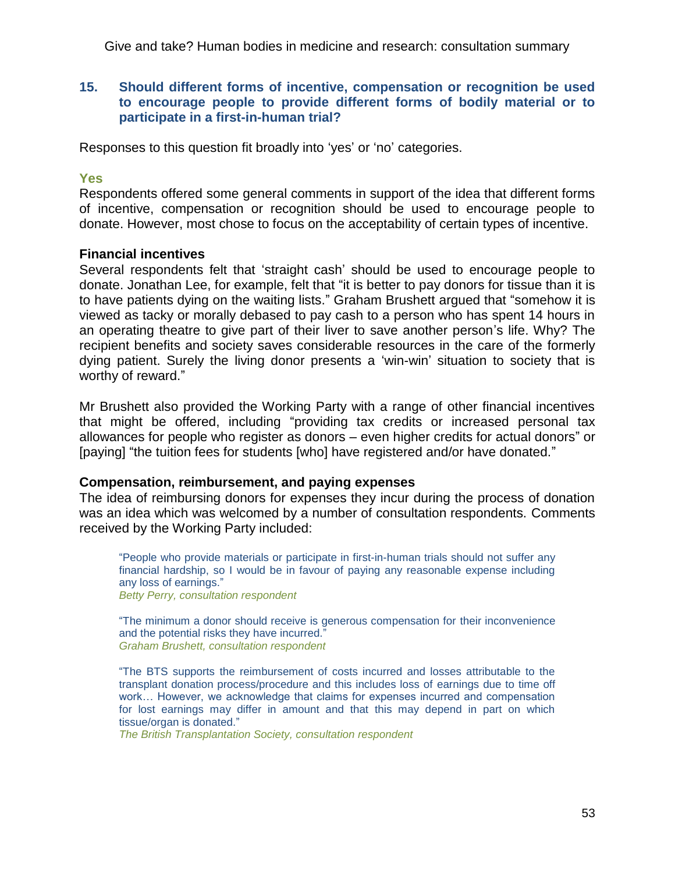# **15. Should different forms of incentive, compensation or recognition be used to encourage people to provide different forms of bodily material or to participate in a first-in-human trial?**

Responses to this question fit broadly into 'yes' or 'no' categories.

# **Yes**

Respondents offered some general comments in support of the idea that different forms of incentive, compensation or recognition should be used to encourage people to donate. However, most chose to focus on the acceptability of certain types of incentive.

# **Financial incentives**

Several respondents felt that 'straight cash' should be used to encourage people to donate. Jonathan Lee, for example, felt that "it is better to pay donors for tissue than it is to have patients dying on the waiting lists." Graham Brushett argued that "somehow it is viewed as tacky or morally debased to pay cash to a person who has spent 14 hours in an operating theatre to give part of their liver to save another person's life. Why? The recipient benefits and society saves considerable resources in the care of the formerly dying patient. Surely the living donor presents a 'win-win' situation to society that is worthy of reward."

Mr Brushett also provided the Working Party with a range of other financial incentives that might be offered, including "providing tax credits or increased personal tax allowances for people who register as donors – even higher credits for actual donors" or [paying] "the tuition fees for students [who] have registered and/or have donated."

# **Compensation, reimbursement, and paying expenses**

The idea of reimbursing donors for expenses they incur during the process of donation was an idea which was welcomed by a number of consultation respondents. Comments received by the Working Party included:

―People who provide materials or participate in first-in-human trials should not suffer any financial hardship, so I would be in favour of paying any reasonable expense including any loss of earnings." *Betty Perry, consultation respondent*

―The minimum a donor should receive is generous compensation for their inconvenience and the potential risks they have incurred." *Graham Brushett, consultation respondent*

―The BTS supports the reimbursement of costs incurred and losses attributable to the transplant donation process/procedure and this includes loss of earnings due to time off work… However, we acknowledge that claims for expenses incurred and compensation for lost earnings may differ in amount and that this may depend in part on which tissue/organ is donated."

*The British Transplantation Society, consultation respondent*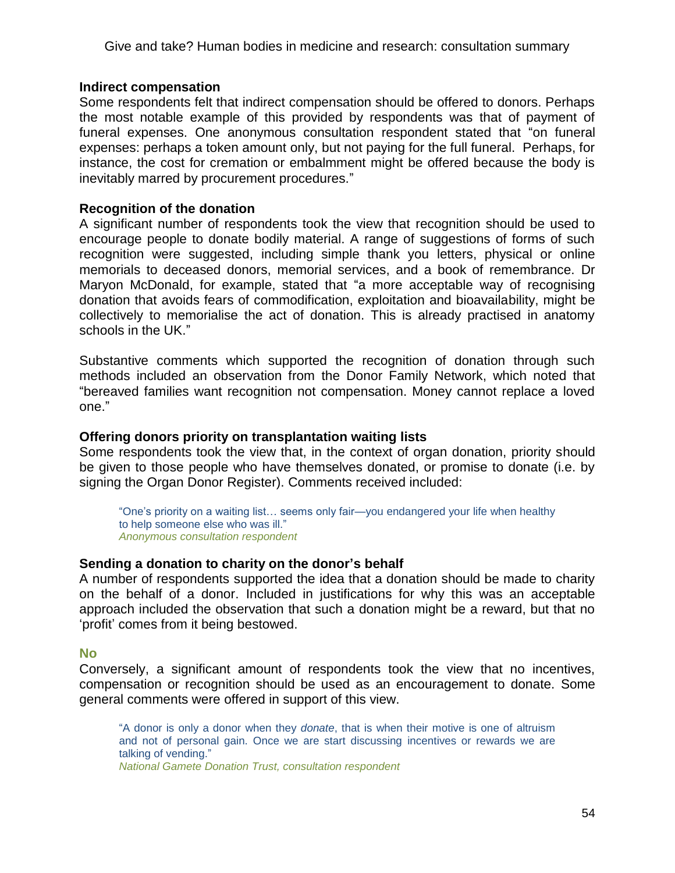### **Indirect compensation**

Some respondents felt that indirect compensation should be offered to donors. Perhaps the most notable example of this provided by respondents was that of payment of funeral expenses. One anonymous consultation respondent stated that "on funeral expenses: perhaps a token amount only, but not paying for the full funeral. Perhaps, for instance, the cost for cremation or embalmment might be offered because the body is inevitably marred by procurement procedures."

# **Recognition of the donation**

A significant number of respondents took the view that recognition should be used to encourage people to donate bodily material. A range of suggestions of forms of such recognition were suggested, including simple thank you letters, physical or online memorials to deceased donors, memorial services, and a book of remembrance. Dr Maryon McDonald, for example, stated that "a more acceptable way of recognising donation that avoids fears of commodification, exploitation and bioavailability, might be collectively to memorialise the act of donation. This is already practised in anatomy schools in the UK."

Substantive comments which supported the recognition of donation through such methods included an observation from the Donor Family Network, which noted that ―bereaved families want recognition not compensation. Money cannot replace a loved one."

#### **Offering donors priority on transplantation waiting lists**

Some respondents took the view that, in the context of organ donation, priority should be given to those people who have themselves donated, or promise to donate (i.e. by signing the Organ Donor Register). Comments received included:

"One's priority on a waiting list... seems only fair—you endangered your life when healthy to help someone else who was ill." *Anonymous consultation respondent*

#### **Sending a donation to charity on the donor's behalf**

A number of respondents supported the idea that a donation should be made to charity on the behalf of a donor. Included in justifications for why this was an acceptable approach included the observation that such a donation might be a reward, but that no ‗profit' comes from it being bestowed.

#### **No**

Conversely, a significant amount of respondents took the view that no incentives, compensation or recognition should be used as an encouragement to donate. Some general comments were offered in support of this view.

―A donor is only a donor when they *donate*, that is when their motive is one of altruism and not of personal gain. Once we are start discussing incentives or rewards we are talking of vending." *National Gamete Donation Trust, consultation respondent*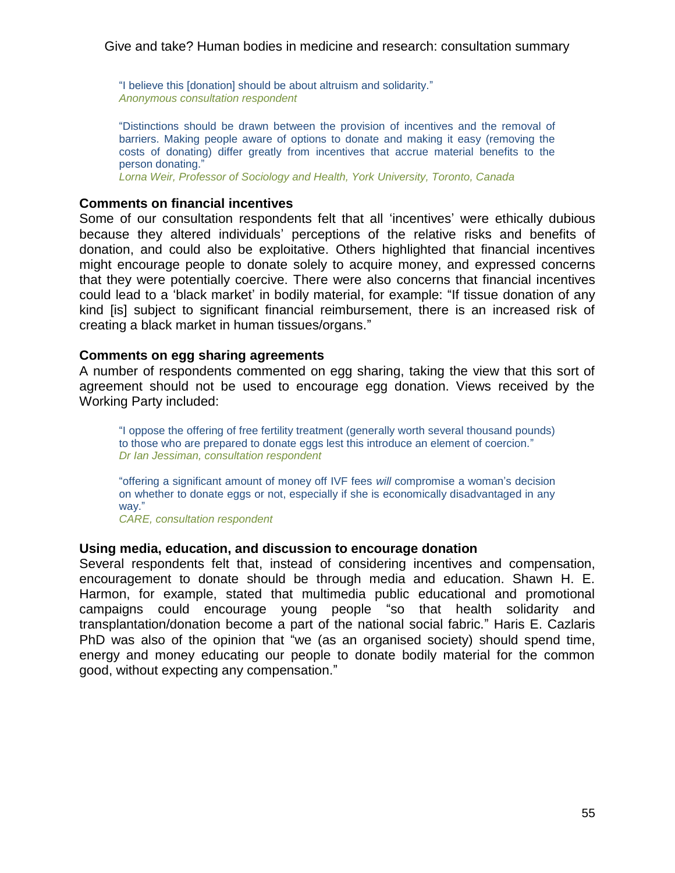"I believe this [donation] should be about altruism and solidarity." *Anonymous consultation respondent*

―Distinctions should be drawn between the provision of incentives and the removal of barriers. Making people aware of options to donate and making it easy (removing the costs of donating) differ greatly from incentives that accrue material benefits to the person donating."

*Lorna Weir, Professor of Sociology and Health, York University, Toronto, Canada*

# **Comments on financial incentives**

Some of our consultation respondents felt that all 'incentives' were ethically dubious because they altered individuals' perceptions of the relative risks and benefits of donation, and could also be exploitative. Others highlighted that financial incentives might encourage people to donate solely to acquire money, and expressed concerns that they were potentially coercive. There were also concerns that financial incentives could lead to a 'black market' in bodily material, for example: "If tissue donation of any kind [is] subject to significant financial reimbursement, there is an increased risk of creating a black market in human tissues/organs.‖

#### **Comments on egg sharing agreements**

A number of respondents commented on egg sharing, taking the view that this sort of agreement should not be used to encourage egg donation. Views received by the Working Party included:

"I oppose the offering of free fertility treatment (generally worth several thousand pounds) to those who are prepared to donate eggs lest this introduce an element of coercion." *Dr Ian Jessiman, consultation respondent*

―offering a significant amount of money off IVF fees *will* compromise a woman's decision on whether to donate eggs or not, especially if she is economically disadvantaged in any way."

*CARE, consultation respondent* 

#### **Using media, education, and discussion to encourage donation**

Several respondents felt that, instead of considering incentives and compensation, encouragement to donate should be through media and education. Shawn H. E. Harmon, for example, stated that multimedia public educational and promotional campaigns could encourage young people "so that health solidarity and transplantation/donation become a part of the national social fabric.‖ Haris E. Cazlaris PhD was also of the opinion that "we (as an organised society) should spend time, energy and money educating our people to donate bodily material for the common good, without expecting any compensation."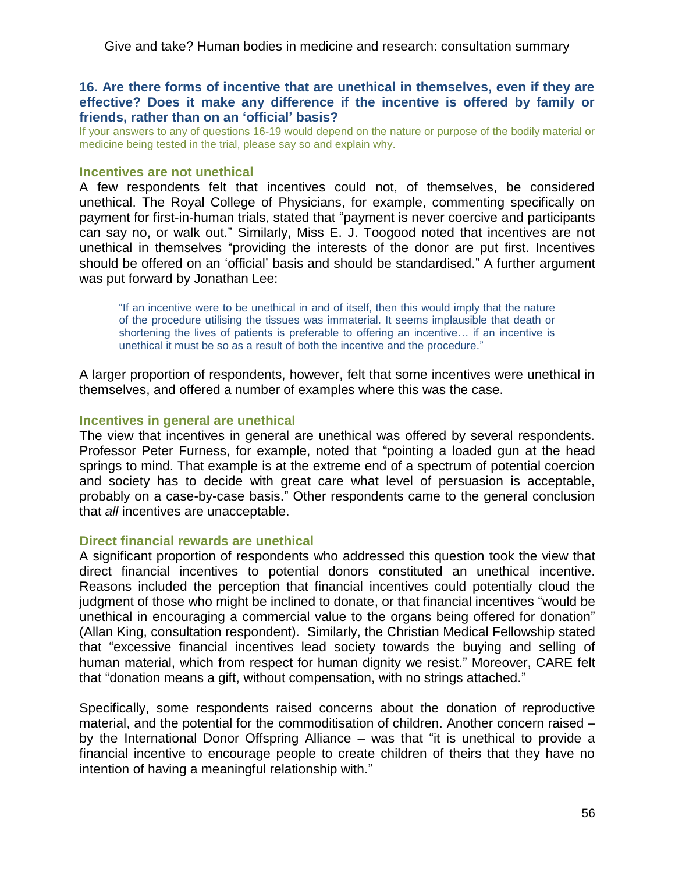# **16. Are there forms of incentive that are unethical in themselves, even if they are effective? Does it make any difference if the incentive is offered by family or friends, rather than on an 'official' basis?**

If your answers to any of questions 16-19 would depend on the nature or purpose of the bodily material or medicine being tested in the trial, please say so and explain why.

#### **Incentives are not unethical**

A few respondents felt that incentives could not, of themselves, be considered unethical. The Royal College of Physicians, for example, commenting specifically on payment for first-in-human trials, stated that "payment is never coercive and participants can say no, or walk out." Similarly, Miss E. J. Toogood noted that incentives are not unethical in themselves "providing the interests of the donor are put first. Incentives should be offered on an 'official' basis and should be standardised." A further argument was put forward by Jonathan Lee:

"If an incentive were to be unethical in and of itself, then this would imply that the nature of the procedure utilising the tissues was immaterial. It seems implausible that death or shortening the lives of patients is preferable to offering an incentive… if an incentive is unethical it must be so as a result of both the incentive and the procedure."

A larger proportion of respondents, however, felt that some incentives were unethical in themselves, and offered a number of examples where this was the case.

#### **Incentives in general are unethical**

The view that incentives in general are unethical was offered by several respondents. Professor Peter Furness, for example, noted that "pointing a loaded gun at the head springs to mind. That example is at the extreme end of a spectrum of potential coercion and society has to decide with great care what level of persuasion is acceptable, probably on a case-by-case basis." Other respondents came to the general conclusion that *all* incentives are unacceptable.

#### **Direct financial rewards are unethical**

A significant proportion of respondents who addressed this question took the view that direct financial incentives to potential donors constituted an unethical incentive. Reasons included the perception that financial incentives could potentially cloud the judgment of those who might be inclined to donate, or that financial incentives "would be unethical in encouraging a commercial value to the organs being offered for donation‖ (Allan King, consultation respondent). Similarly, the Christian Medical Fellowship stated that "excessive financial incentives lead society towards the buying and selling of human material, which from respect for human dignity we resist." Moreover, CARE felt that "donation means a gift, without compensation, with no strings attached."

Specifically, some respondents raised concerns about the donation of reproductive material, and the potential for the commoditisation of children. Another concern raised – by the International Donor Offspring Alliance  $-$  was that "it is unethical to provide a financial incentive to encourage people to create children of theirs that they have no intention of having a meaningful relationship with."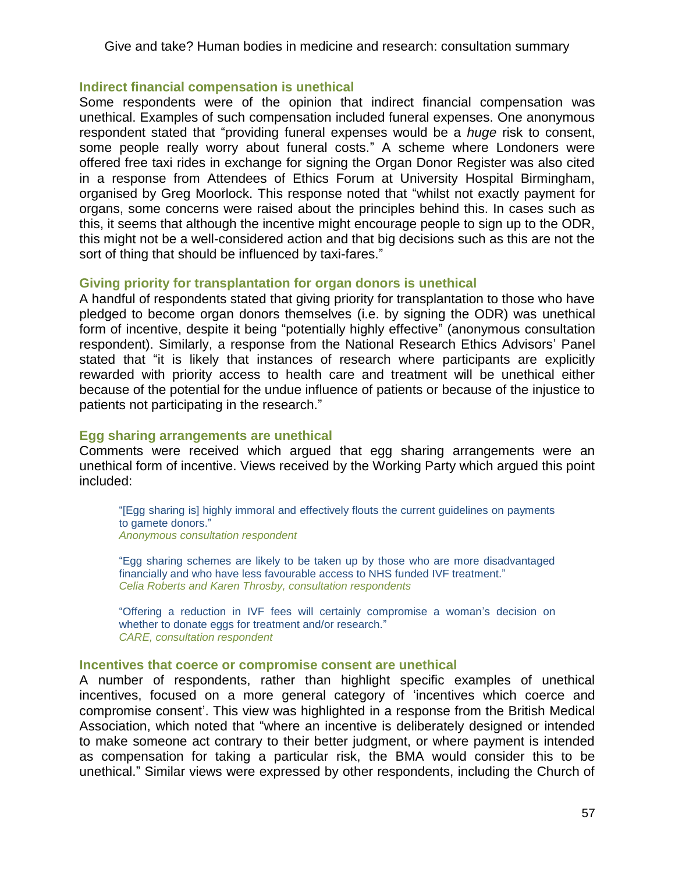### **Indirect financial compensation is unethical**

Some respondents were of the opinion that indirect financial compensation was unethical. Examples of such compensation included funeral expenses. One anonymous respondent stated that "providing funeral expenses would be a *huge* risk to consent, some people really worry about funeral costs." A scheme where Londoners were offered free taxi rides in exchange for signing the Organ Donor Register was also cited in a response from Attendees of Ethics Forum at University Hospital Birmingham, organised by Greg Moorlock. This response noted that "whilst not exactly payment for organs, some concerns were raised about the principles behind this. In cases such as this, it seems that although the incentive might encourage people to sign up to the ODR, this might not be a well-considered action and that big decisions such as this are not the sort of thing that should be influenced by taxi-fares."

# **Giving priority for transplantation for organ donors is unethical**

A handful of respondents stated that giving priority for transplantation to those who have pledged to become organ donors themselves (i.e. by signing the ODR) was unethical form of incentive, despite it being "potentially highly effective" (anonymous consultation respondent). Similarly, a response from the National Research Ethics Advisors' Panel stated that "it is likely that instances of research where participants are explicitly rewarded with priority access to health care and treatment will be unethical either because of the potential for the undue influence of patients or because of the injustice to patients not participating in the research."

# **Egg sharing arrangements are unethical**

Comments were received which argued that egg sharing arrangements were an unethical form of incentive. Views received by the Working Party which argued this point included:

―[Egg sharing is] highly immoral and effectively flouts the current guidelines on payments to gamete donors." *Anonymous consultation respondent*

―Egg sharing schemes are likely to be taken up by those who are more disadvantaged financially and who have less favourable access to NHS funded IVF treatment." *Celia Roberts and Karen Throsby, consultation respondents*

―Offering a reduction in IVF fees will certainly compromise a woman's decision on whether to donate eggs for treatment and/or research." *CARE, consultation respondent*

#### **Incentives that coerce or compromise consent are unethical**

A number of respondents, rather than highlight specific examples of unethical incentives, focused on a more general category of 'incentives which coerce and compromise consent'. This view was highlighted in a response from the British Medical Association, which noted that "where an incentive is deliberately designed or intended to make someone act contrary to their better judgment, or where payment is intended as compensation for taking a particular risk, the BMA would consider this to be unethical.‖ Similar views were expressed by other respondents, including the Church of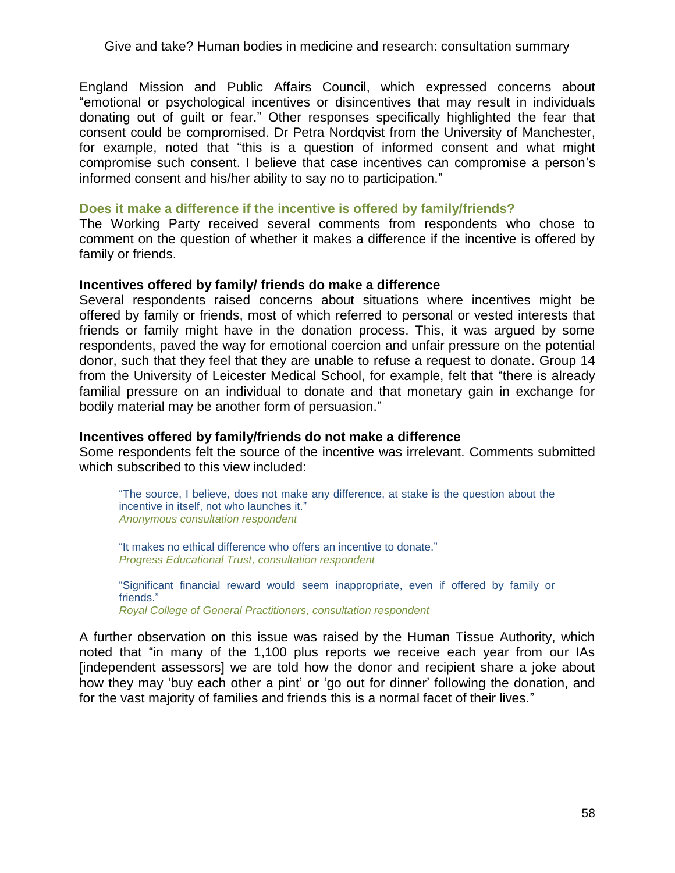England Mission and Public Affairs Council, which expressed concerns about ―emotional or psychological incentives or disincentives that may result in individuals donating out of guilt or fear.‖ Other responses specifically highlighted the fear that consent could be compromised. Dr Petra Nordqvist from the University of Manchester, for example, noted that "this is a question of informed consent and what might compromise such consent. I believe that case incentives can compromise a person's informed consent and his/her ability to say no to participation."

#### **Does it make a difference if the incentive is offered by family/friends?**

The Working Party received several comments from respondents who chose to comment on the question of whether it makes a difference if the incentive is offered by family or friends.

# **Incentives offered by family/ friends do make a difference**

Several respondents raised concerns about situations where incentives might be offered by family or friends, most of which referred to personal or vested interests that friends or family might have in the donation process. This, it was argued by some respondents, paved the way for emotional coercion and unfair pressure on the potential donor, such that they feel that they are unable to refuse a request to donate. Group 14 from the University of Leicester Medical School, for example, felt that "there is already familial pressure on an individual to donate and that monetary gain in exchange for bodily material may be another form of persuasion."

### **Incentives offered by family/friends do not make a difference**

Some respondents felt the source of the incentive was irrelevant. Comments submitted which subscribed to this view included:

―The source, I believe, does not make any difference, at stake is the question about the incentive in itself, not who launches it." *Anonymous consultation respondent*

"It makes no ethical difference who offers an incentive to donate." *Progress Educational Trust, consultation respondent*

―Significant financial reward would seem inappropriate, even if offered by family or friends." *Royal College of General Practitioners, consultation respondent*

A further observation on this issue was raised by the Human Tissue Authority, which noted that "in many of the 1,100 plus reports we receive each year from our IAs [independent assessors] we are told how the donor and recipient share a joke about how they may 'buy each other a pint' or 'go out for dinner' following the donation, and for the vast majority of families and friends this is a normal facet of their lives."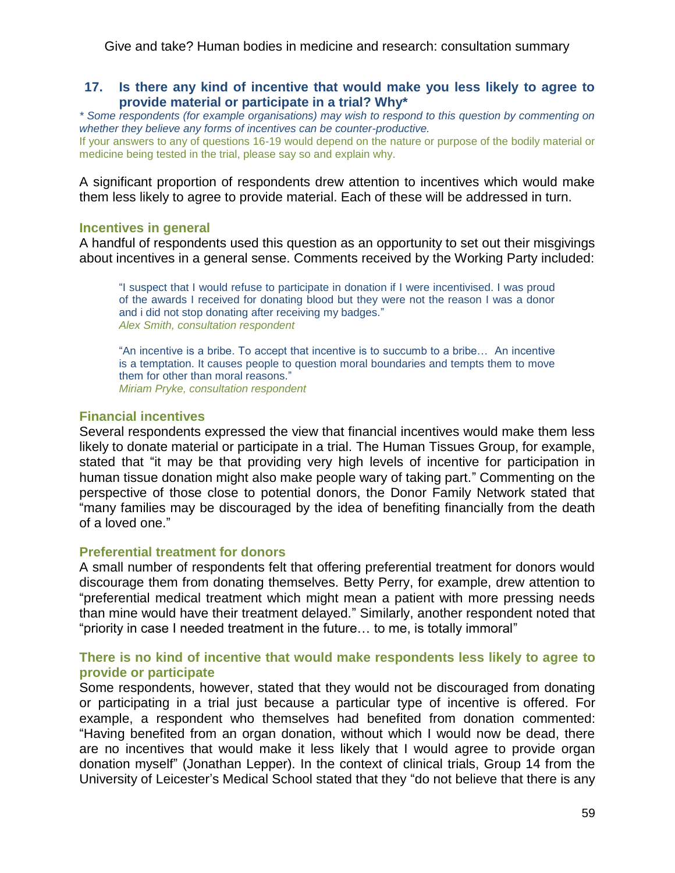### **17. Is there any kind of incentive that would make you less likely to agree to provide material or participate in a trial? Why\***

*\* Some respondents (for example organisations) may wish to respond to this question by commenting on whether they believe any forms of incentives can be counter-productive.* If your answers to any of questions 16-19 would depend on the nature or purpose of the bodily material or medicine being tested in the trial, please say so and explain why.

A significant proportion of respondents drew attention to incentives which would make them less likely to agree to provide material. Each of these will be addressed in turn.

#### **Incentives in general**

A handful of respondents used this question as an opportunity to set out their misgivings about incentives in a general sense. Comments received by the Working Party included:

―I suspect that I would refuse to participate in donation if I were incentivised. I was proud of the awards I received for donating blood but they were not the reason I was a donor and i did not stop donating after receiving my badges." *Alex Smith, consultation respondent*

"An incentive is a bribe. To accept that incentive is to succumb to a bribe... An incentive is a temptation. It causes people to question moral boundaries and tempts them to move them for other than moral reasons." *Miriam Pryke, consultation respondent*

# **Financial incentives**

Several respondents expressed the view that financial incentives would make them less likely to donate material or participate in a trial. The Human Tissues Group, for example, stated that "it may be that providing very high levels of incentive for participation in human tissue donation might also make people wary of taking part." Commenting on the perspective of those close to potential donors, the Donor Family Network stated that "many families may be discouraged by the idea of benefiting financially from the death of a loved one."

#### **Preferential treatment for donors**

A small number of respondents felt that offering preferential treatment for donors would discourage them from donating themselves. Betty Perry, for example, drew attention to "preferential medical treatment which might mean a patient with more pressing needs than mine would have their treatment delayed.‖ Similarly, another respondent noted that "priority in case I needed treatment in the future... to me, is totally immoral"

# **There is no kind of incentive that would make respondents less likely to agree to provide or participate**

Some respondents, however, stated that they would not be discouraged from donating or participating in a trial just because a particular type of incentive is offered. For example, a respondent who themselves had benefited from donation commented: "Having benefited from an organ donation, without which I would now be dead, there are no incentives that would make it less likely that I would agree to provide organ donation myself" (Jonathan Lepper). In the context of clinical trials, Group 14 from the University of Leicester's Medical School stated that they "do not believe that there is any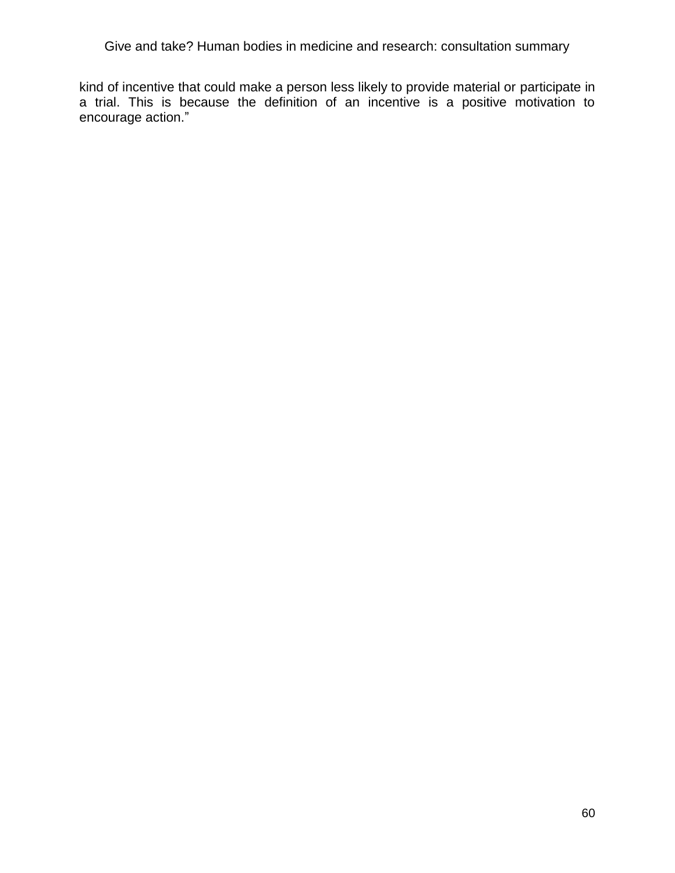kind of incentive that could make a person less likely to provide material or participate in a trial. This is because the definition of an incentive is a positive motivation to encourage action."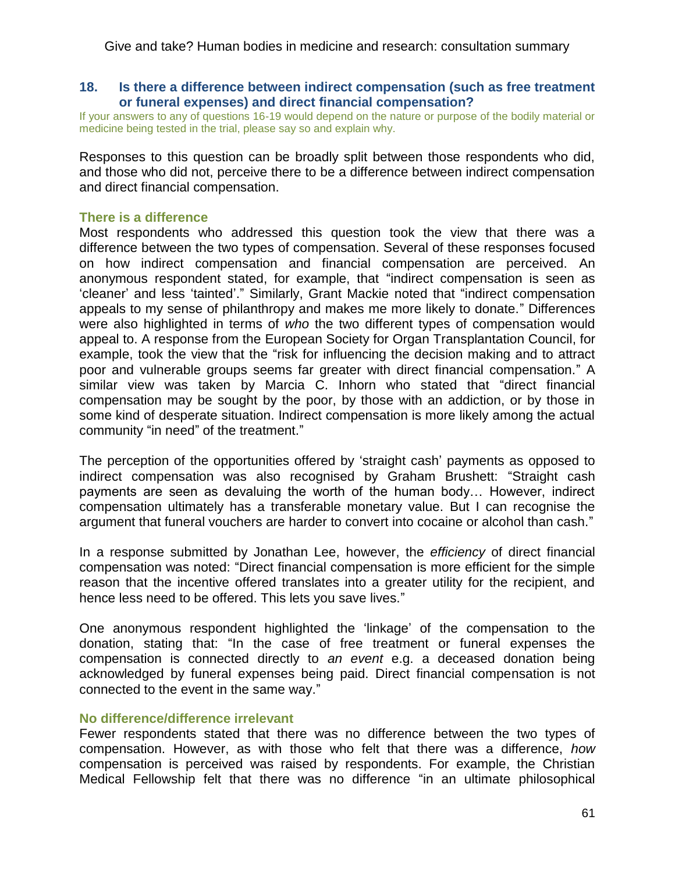### **18. Is there a difference between indirect compensation (such as free treatment or funeral expenses) and direct financial compensation?**

If your answers to any of questions 16-19 would depend on the nature or purpose of the bodily material or medicine being tested in the trial, please say so and explain why.

Responses to this question can be broadly split between those respondents who did, and those who did not, perceive there to be a difference between indirect compensation and direct financial compensation.

#### **There is a difference**

Most respondents who addressed this question took the view that there was a difference between the two types of compensation. Several of these responses focused on how indirect compensation and financial compensation are perceived. An anonymous respondent stated, for example, that "indirect compensation is seen as 'cleaner' and less 'tainted'." Similarly, Grant Mackie noted that "indirect compensation appeals to my sense of philanthropy and makes me more likely to donate." Differences were also highlighted in terms of *who* the two different types of compensation would appeal to. A response from the European Society for Organ Transplantation Council, for example, took the view that the "risk for influencing the decision making and to attract poor and vulnerable groups seems far greater with direct financial compensation." A similar view was taken by Marcia C. Inhorn who stated that "direct financial compensation may be sought by the poor, by those with an addiction, or by those in some kind of desperate situation. Indirect compensation is more likely among the actual community "in need" of the treatment."

The perception of the opportunities offered by 'straight cash' payments as opposed to indirect compensation was also recognised by Graham Brushett: "Straight cash payments are seen as devaluing the worth of the human body… However, indirect compensation ultimately has a transferable monetary value. But I can recognise the argument that funeral vouchers are harder to convert into cocaine or alcohol than cash."

In a response submitted by Jonathan Lee, however, the *efficiency* of direct financial compensation was noted: "Direct financial compensation is more efficient for the simple reason that the incentive offered translates into a greater utility for the recipient, and hence less need to be offered. This lets you save lives."

One anonymous respondent highlighted the 'linkage' of the compensation to the donation, stating that: ―In the case of free treatment or funeral expenses the compensation is connected directly to *an event* e.g. a deceased donation being acknowledged by funeral expenses being paid. Direct financial compensation is not connected to the event in the same way."

### **No difference/difference irrelevant**

Fewer respondents stated that there was no difference between the two types of compensation. However, as with those who felt that there was a difference, *how* compensation is perceived was raised by respondents. For example, the Christian Medical Fellowship felt that there was no difference "in an ultimate philosophical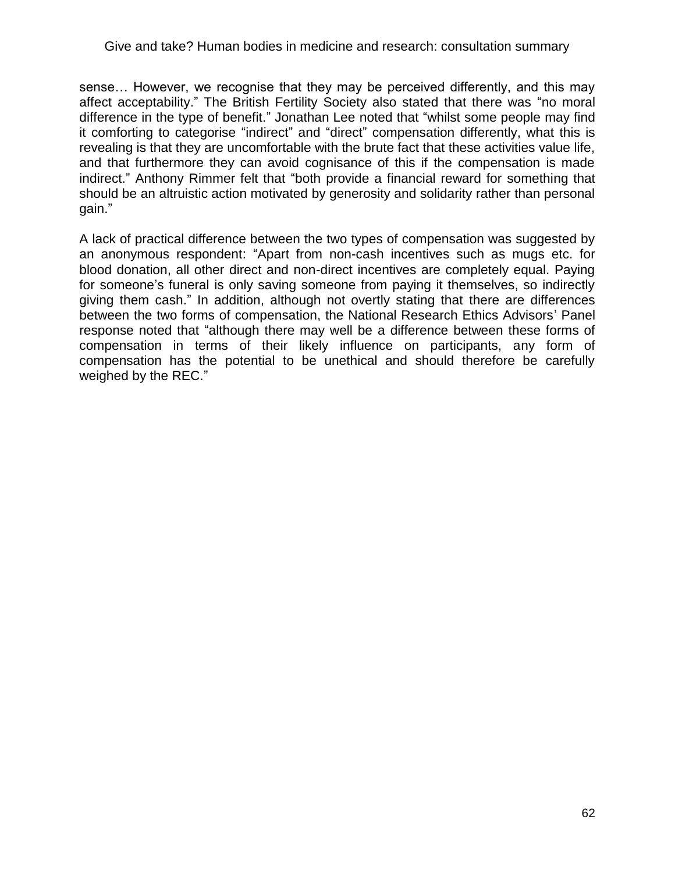sense… However, we recognise that they may be perceived differently, and this may affect acceptability." The British Fertility Society also stated that there was "no moral difference in the type of benefit." Jonathan Lee noted that "whilst some people may find it comforting to categorise "indirect" and "direct" compensation differently, what this is revealing is that they are uncomfortable with the brute fact that these activities value life, and that furthermore they can avoid cognisance of this if the compensation is made indirect." Anthony Rimmer felt that "both provide a financial reward for something that should be an altruistic action motivated by generosity and solidarity rather than personal gain."

A lack of practical difference between the two types of compensation was suggested by an anonymous respondent: "Apart from non-cash incentives such as mugs etc. for blood donation, all other direct and non-direct incentives are completely equal. Paying for someone's funeral is only saving someone from paying it themselves, so indirectly giving them cash.‖ In addition, although not overtly stating that there are differences between the two forms of compensation, the National Research Ethics Advisors' Panel response noted that "although there may well be a difference between these forms of compensation in terms of their likely influence on participants, any form of compensation has the potential to be unethical and should therefore be carefully weighed by the REC."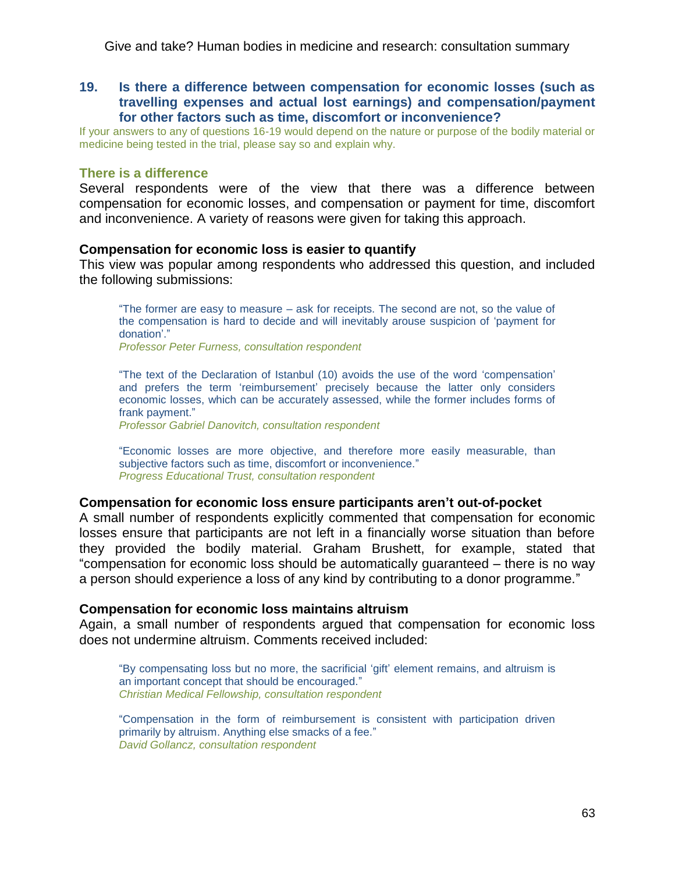**19. Is there a difference between compensation for economic losses (such as travelling expenses and actual lost earnings) and compensation/payment for other factors such as time, discomfort or inconvenience?**

If your answers to any of questions 16-19 would depend on the nature or purpose of the bodily material or medicine being tested in the trial, please say so and explain why.

# **There is a difference**

Several respondents were of the view that there was a difference between compensation for economic losses, and compensation or payment for time, discomfort and inconvenience. A variety of reasons were given for taking this approach.

#### **Compensation for economic loss is easier to quantify**

This view was popular among respondents who addressed this question, and included the following submissions:

―The former are easy to measure – ask for receipts. The second are not, so the value of the compensation is hard to decide and will inevitably arouse suspicion of 'payment for donation'."

*Professor Peter Furness, consultation respondent*

―The text of the Declaration of Istanbul (10) avoids the use of the word ‗compensation' and prefers the term 'reimbursement' precisely because the latter only considers economic losses, which can be accurately assessed, while the former includes forms of frank payment."

*Professor Gabriel Danovitch, consultation respondent* 

―Economic losses are more objective, and therefore more easily measurable, than subjective factors such as time, discomfort or inconvenience." *Progress Educational Trust, consultation respondent*

#### **Compensation for economic loss ensure participants aren't out-of-pocket**

A small number of respondents explicitly commented that compensation for economic losses ensure that participants are not left in a financially worse situation than before they provided the bodily material. Graham Brushett, for example, stated that "compensation for economic loss should be automatically guaranteed – there is no way a person should experience a loss of any kind by contributing to a donor programme."

#### **Compensation for economic loss maintains altruism**

Again, a small number of respondents argued that compensation for economic loss does not undermine altruism. Comments received included:

―By compensating loss but no more, the sacrificial ‗gift' element remains, and altruism is an important concept that should be encouraged." *Christian Medical Fellowship, consultation respondent*

―Compensation in the form of reimbursement is consistent with participation driven primarily by altruism. Anything else smacks of a fee." *David Gollancz, consultation respondent*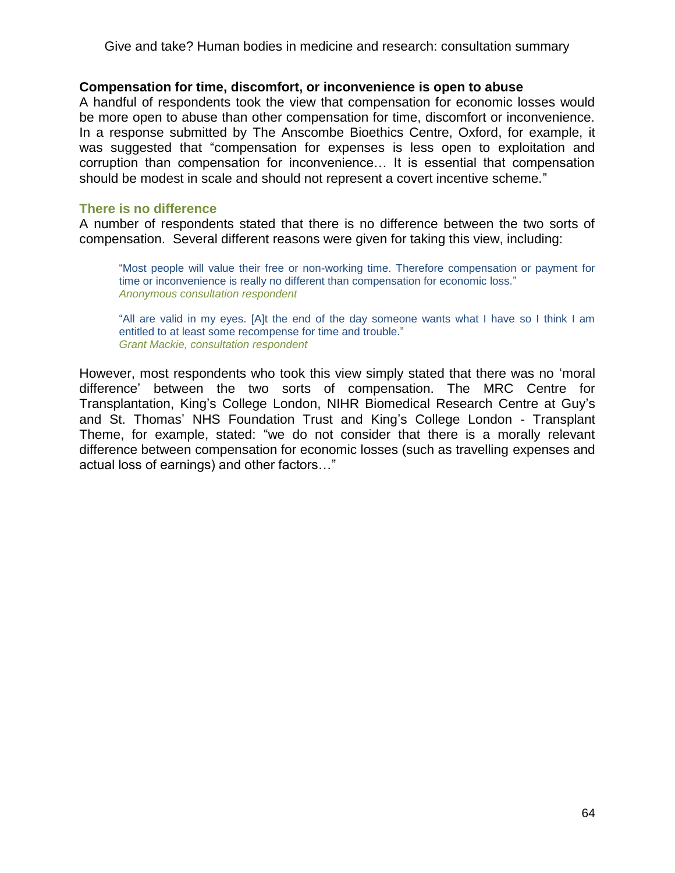#### **Compensation for time, discomfort, or inconvenience is open to abuse**

A handful of respondents took the view that compensation for economic losses would be more open to abuse than other compensation for time, discomfort or inconvenience. In a response submitted by The Anscombe Bioethics Centre, Oxford, for example, it was suggested that "compensation for expenses is less open to exploitation and corruption than compensation for inconvenience… It is essential that compensation should be modest in scale and should not represent a covert incentive scheme."

#### **There is no difference**

A number of respondents stated that there is no difference between the two sorts of compensation. Several different reasons were given for taking this view, including:

―Most people will value their free or non-working time. Therefore compensation or payment for time or inconvenience is really no different than compensation for economic loss." *Anonymous consultation respondent*

―All are valid in my eyes. [A]t the end of the day someone wants what I have so I think I am entitled to at least some recompense for time and trouble." *Grant Mackie, consultation respondent* 

However, most respondents who took this view simply stated that there was no 'moral difference' between the two sorts of compensation. The MRC Centre for Transplantation, King's College London, NIHR Biomedical Research Centre at Guy's and St. Thomas' NHS Foundation Trust and King's College London - Transplant Theme, for example, stated: "we do not consider that there is a morally relevant difference between compensation for economic losses (such as travelling expenses and actual loss of earnings) and other factors..."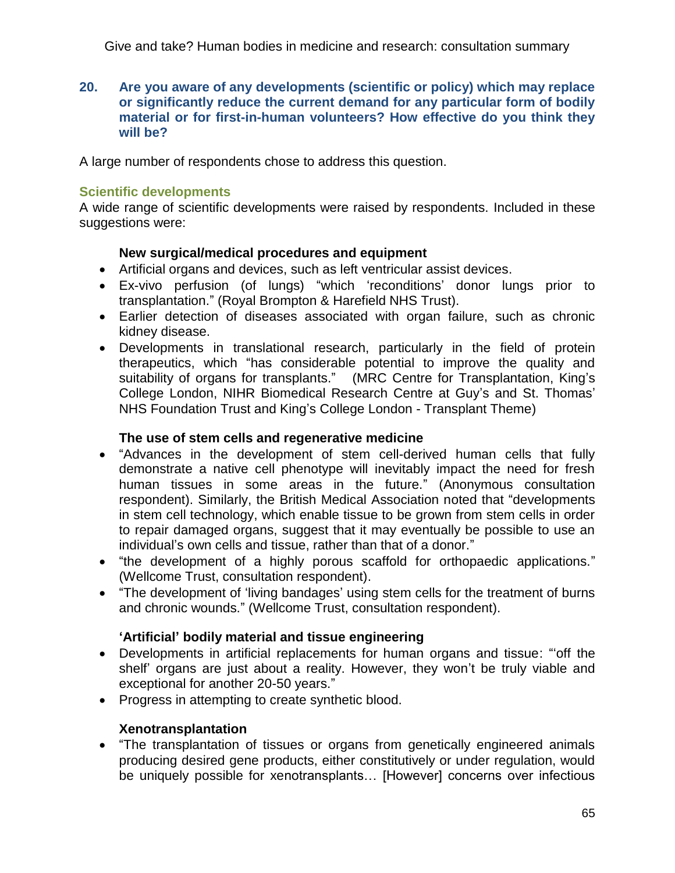**20. Are you aware of any developments (scientific or policy) which may replace or significantly reduce the current demand for any particular form of bodily material or for first-in-human volunteers? How effective do you think they will be?**

A large number of respondents chose to address this question.

# **Scientific developments**

A wide range of scientific developments were raised by respondents. Included in these suggestions were:

# **New surgical/medical procedures and equipment**

- Artificial organs and devices, such as left ventricular assist devices.
- Ex-vivo perfusion (of lungs) "which 'reconditions' donor lungs prior to transplantation.‖ (Royal Brompton & Harefield NHS Trust).
- Earlier detection of diseases associated with organ failure, such as chronic kidney disease.
- Developments in translational research, particularly in the field of protein therapeutics, which "has considerable potential to improve the quality and suitability of organs for transplants." (MRC Centre for Transplantation, King's College London, NIHR Biomedical Research Centre at Guy's and St. Thomas' NHS Foundation Trust and King's College London - Transplant Theme)

# **The use of stem cells and regenerative medicine**

- "Advances in the development of stem cell-derived human cells that fully demonstrate a native cell phenotype will inevitably impact the need for fresh human tissues in some areas in the future." (Anonymous consultation respondent). Similarly, the British Medical Association noted that "developments in stem cell technology, which enable tissue to be grown from stem cells in order to repair damaged organs, suggest that it may eventually be possible to use an individual's own cells and tissue, rather than that of a donor."
- "the development of a highly porous scaffold for orthopaedic applications." (Wellcome Trust, consultation respondent).
- "The development of 'living bandages' using stem cells for the treatment of burns and chronic wounds." (Wellcome Trust, consultation respondent).

# **'Artificial' bodily material and tissue engineering**

- Developments in artificial replacements for human organs and tissue: "off the shelf' organs are just about a reality. However, they won't be truly viable and exceptional for another 20-50 years."
- Progress in attempting to create synthetic blood.

# **Xenotransplantation**

 ―The transplantation of tissues or organs from genetically engineered animals producing desired gene products, either constitutively or under regulation, would be uniquely possible for xenotransplants… [However] concerns over infectious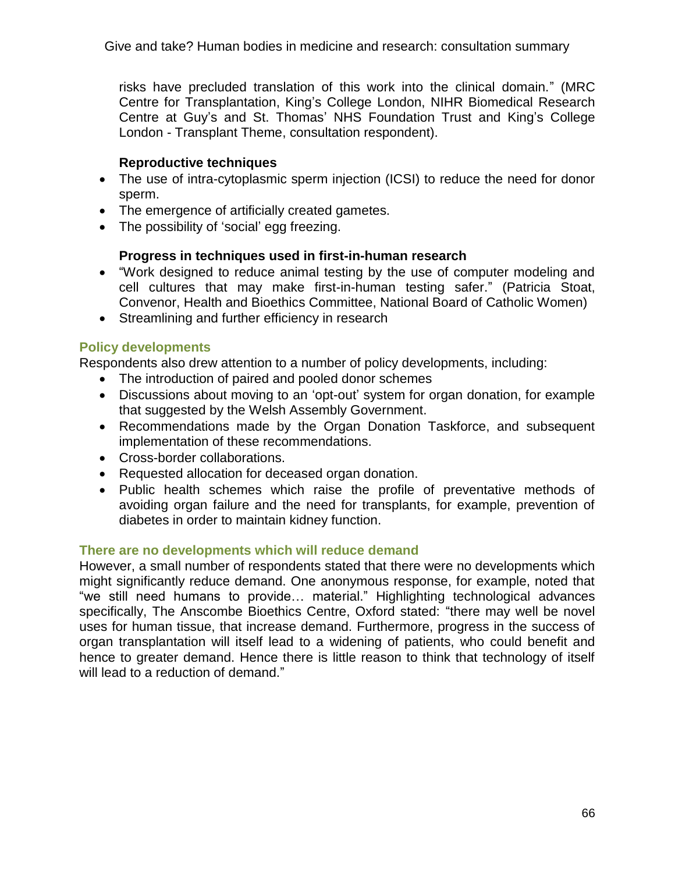risks have precluded translation of this work into the clinical domain." (MRC Centre for Transplantation, King's College London, NIHR Biomedical Research Centre at Guy's and St. Thomas' NHS Foundation Trust and King's College London - Transplant Theme, consultation respondent).

# **Reproductive techniques**

- The use of intra-cytoplasmic sperm injection (ICSI) to reduce the need for donor sperm.
- The emergence of artificially created gametes.
- The possibility of 'social' egg freezing.

# **Progress in techniques used in first-in-human research**

- "Work designed to reduce animal testing by the use of computer modeling and cell cultures that may make first-in-human testing safer.‖ (Patricia Stoat, Convenor, Health and Bioethics Committee, National Board of Catholic Women)
- Streamlining and further efficiency in research

# **Policy developments**

Respondents also drew attention to a number of policy developments, including:

- The introduction of paired and pooled donor schemes
- Discussions about moving to an 'opt-out' system for organ donation, for example that suggested by the Welsh Assembly Government.
- Recommendations made by the Organ Donation Taskforce, and subsequent implementation of these recommendations.
- Cross-border collaborations.
- Requested allocation for deceased organ donation.
- Public health schemes which raise the profile of preventative methods of avoiding organ failure and the need for transplants, for example, prevention of diabetes in order to maintain kidney function.

# **There are no developments which will reduce demand**

However, a small number of respondents stated that there were no developments which might significantly reduce demand. One anonymous response, for example, noted that ―we still need humans to provide… material.‖ Highlighting technological advances specifically, The Anscombe Bioethics Centre, Oxford stated: "there may well be novel uses for human tissue, that increase demand. Furthermore, progress in the success of organ transplantation will itself lead to a widening of patients, who could benefit and hence to greater demand. Hence there is little reason to think that technology of itself will lead to a reduction of demand."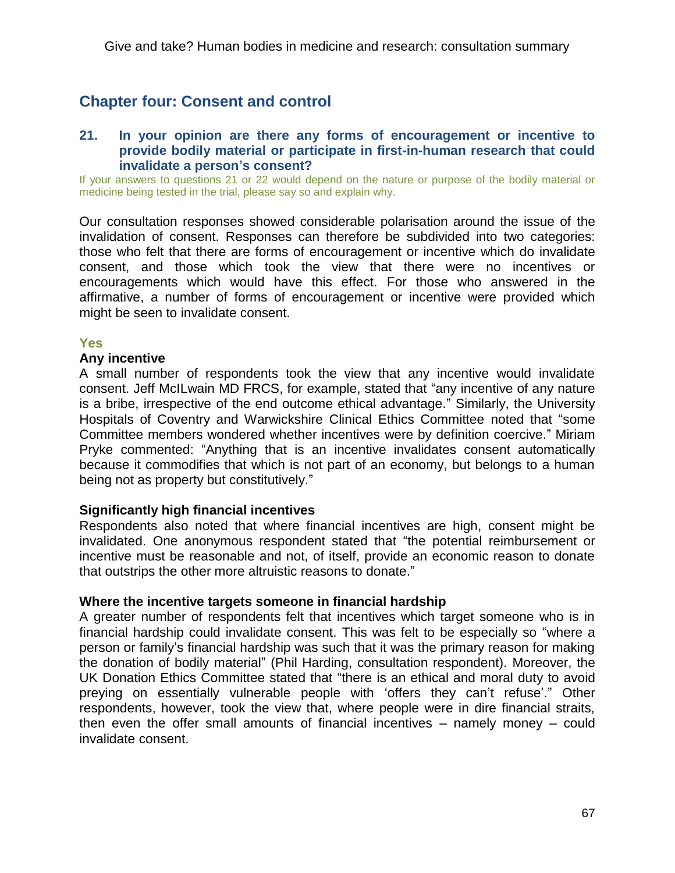# **Chapter four: Consent and control**

### **21. In your opinion are there any forms of encouragement or incentive to provide bodily material or participate in first-in-human research that could invalidate a person's consent?**

If your answers to questions 21 or 22 would depend on the nature or purpose of the bodily material or medicine being tested in the trial, please say so and explain why.

Our consultation responses showed considerable polarisation around the issue of the invalidation of consent. Responses can therefore be subdivided into two categories: those who felt that there are forms of encouragement or incentive which do invalidate consent, and those which took the view that there were no incentives or encouragements which would have this effect. For those who answered in the affirmative, a number of forms of encouragement or incentive were provided which might be seen to invalidate consent.

#### **Yes**

### **Any incentive**

A small number of respondents took the view that any incentive would invalidate consent. Jeff McILwain MD FRCS, for example, stated that "any incentive of any nature is a bribe, irrespective of the end outcome ethical advantage." Similarly, the University Hospitals of Coventry and Warwickshire Clinical Ethics Committee noted that "some Committee members wondered whether incentives were by definition coercive." Miriam Pryke commented: "Anything that is an incentive invalidates consent automatically because it commodifies that which is not part of an economy, but belongs to a human being not as property but constitutively."

#### **Significantly high financial incentives**

Respondents also noted that where financial incentives are high, consent might be invalidated. One anonymous respondent stated that "the potential reimbursement or incentive must be reasonable and not, of itself, provide an economic reason to donate that outstrips the other more altruistic reasons to donate."

#### **Where the incentive targets someone in financial hardship**

A greater number of respondents felt that incentives which target someone who is in financial hardship could invalidate consent. This was felt to be especially so "where a person or family's financial hardship was such that it was the primary reason for making the donation of bodily material" (Phil Harding, consultation respondent). Moreover, the UK Donation Ethics Committee stated that "there is an ethical and moral duty to avoid preying on essentially vulnerable people with 'offers they can't refuse'." Other respondents, however, took the view that, where people were in dire financial straits, then even the offer small amounts of financial incentives – namely money – could invalidate consent.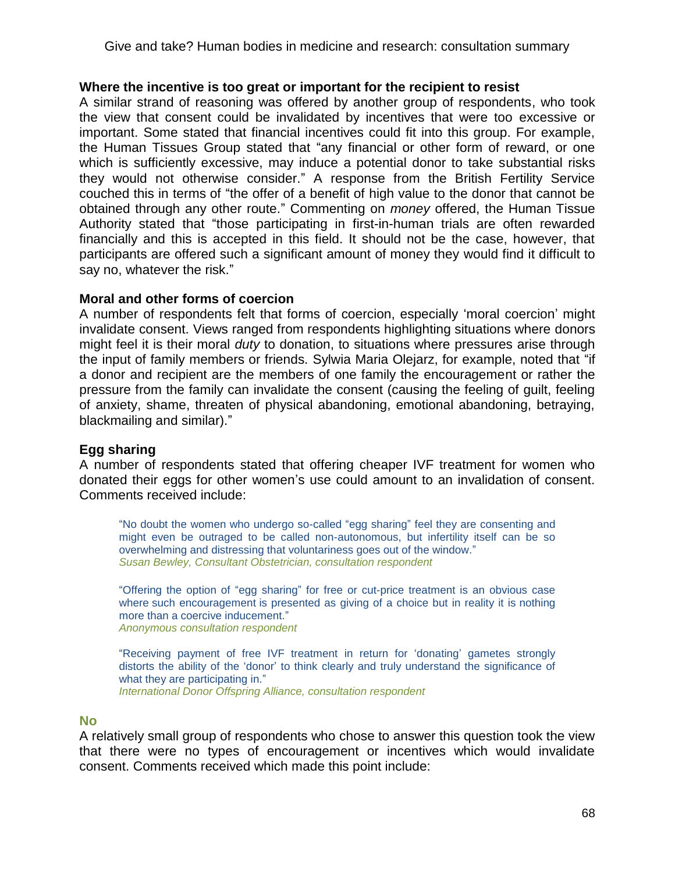### **Where the incentive is too great or important for the recipient to resist**

A similar strand of reasoning was offered by another group of respondents, who took the view that consent could be invalidated by incentives that were too excessive or important. Some stated that financial incentives could fit into this group. For example, the Human Tissues Group stated that "any financial or other form of reward, or one which is sufficiently excessive, may induce a potential donor to take substantial risks they would not otherwise consider.‖ A response from the British Fertility Service couched this in terms of "the offer of a benefit of high value to the donor that cannot be obtained through any other route.‖ Commenting on *money* offered, the Human Tissue Authority stated that "those participating in first-in-human trials are often rewarded financially and this is accepted in this field. It should not be the case, however, that participants are offered such a significant amount of money they would find it difficult to say no, whatever the risk."

# **Moral and other forms of coercion**

A number of respondents felt that forms of coercion, especially 'moral coercion' might invalidate consent. Views ranged from respondents highlighting situations where donors might feel it is their moral *duty* to donation, to situations where pressures arise through the input of family members or friends. Sylwia Maria Olejarz, for example, noted that "if a donor and recipient are the members of one family the encouragement or rather the pressure from the family can invalidate the consent (causing the feeling of guilt, feeling of anxiety, shame, threaten of physical abandoning, emotional abandoning, betraying, blackmailing and similar)."

# **Egg sharing**

A number of respondents stated that offering cheaper IVF treatment for women who donated their eggs for other women's use could amount to an invalidation of consent. Comments received include:

"No doubt the women who undergo so-called "egg sharing" feel they are consenting and might even be outraged to be called non-autonomous, but infertility itself can be so overwhelming and distressing that voluntariness goes out of the window." *Susan Bewley, Consultant Obstetrician, consultation respondent*

"Offering the option of "egg sharing" for free or cut-price treatment is an obvious case where such encouragement is presented as giving of a choice but in reality it is nothing more than a coercive inducement." *Anonymous consultation respondent*

―Receiving payment of free IVF treatment in return for ‗donating' gametes strongly distorts the ability of the 'donor' to think clearly and truly understand the significance of what they are participating in." *International Donor Offspring Alliance, consultation respondent*

#### **No**

A relatively small group of respondents who chose to answer this question took the view that there were no types of encouragement or incentives which would invalidate consent. Comments received which made this point include: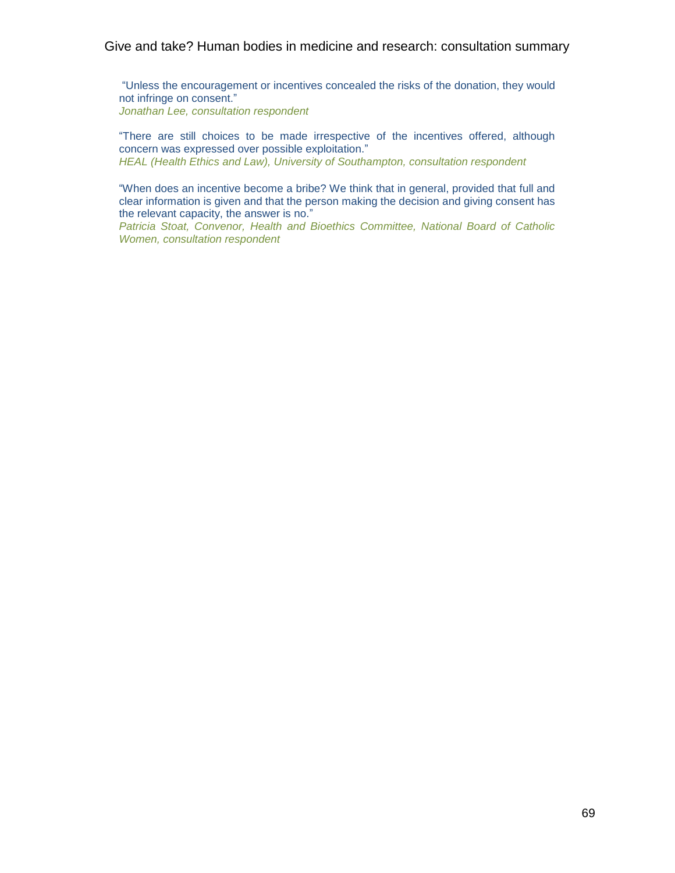―Unless the encouragement or incentives concealed the risks of the donation, they would not infringe on consent." *Jonathan Lee, consultation respondent*

―There are still choices to be made irrespective of the incentives offered, although concern was expressed over possible exploitation." *HEAL (Health Ethics and Law), University of Southampton, consultation respondent*

"When does an incentive become a bribe? We think that in general, provided that full and clear information is given and that the person making the decision and giving consent has the relevant capacity, the answer is no."

*Patricia Stoat, Convenor, Health and Bioethics Committee, National Board of Catholic Women, consultation respondent*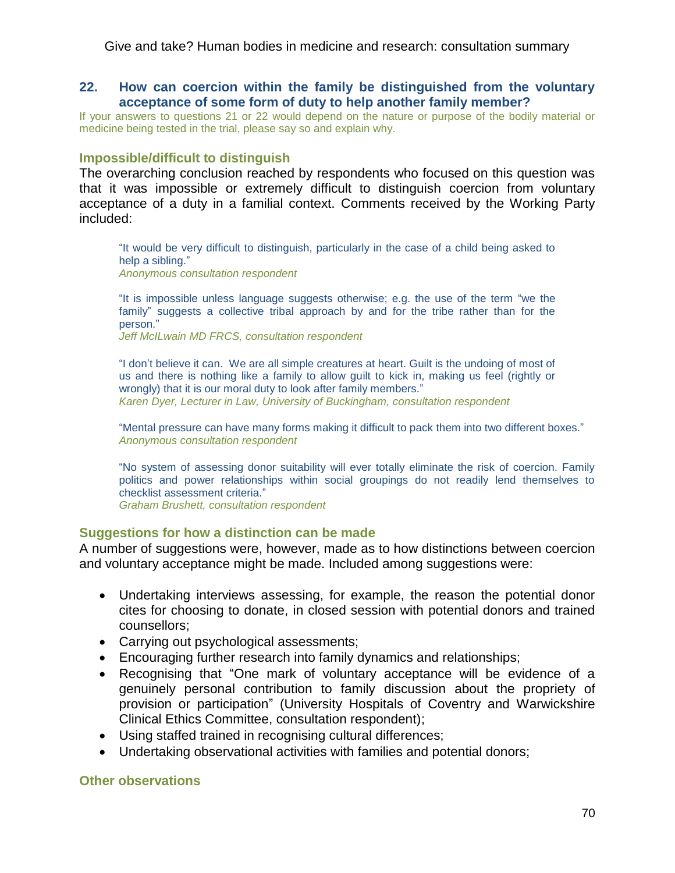# **22. How can coercion within the family be distinguished from the voluntary acceptance of some form of duty to help another family member?**

If your answers to questions 21 or 22 would depend on the nature or purpose of the bodily material or medicine being tested in the trial, please say so and explain why.

# **Impossible/difficult to distinguish**

The overarching conclusion reached by respondents who focused on this question was that it was impossible or extremely difficult to distinguish coercion from voluntary acceptance of a duty in a familial context. Comments received by the Working Party included:

"It would be very difficult to distinguish, particularly in the case of a child being asked to help a sibling." *Anonymous consultation respondent*

"It is impossible unless language suggests otherwise; e.g. the use of the term "we the family" suggests a collective tribal approach by and for the tribe rather than for the person."

*Jeff McILwain MD FRCS, consultation respondent*

"I don't believe it can. We are all simple creatures at heart. Guilt is the undoing of most of us and there is nothing like a family to allow guilt to kick in, making us feel (rightly or wrongly) that it is our moral duty to look after family members." *Karen Dyer, Lecturer in Law, University of Buckingham, consultation respondent*

"Mental pressure can have many forms making it difficult to pack them into two different boxes." *Anonymous consultation respondent*

"No system of assessing donor suitability will ever totally eliminate the risk of coercion. Family politics and power relationships within social groupings do not readily lend themselves to checklist assessment criteria."

*Graham Brushett, consultation respondent*

#### **Suggestions for how a distinction can be made**

A number of suggestions were, however, made as to how distinctions between coercion and voluntary acceptance might be made. Included among suggestions were:

- Undertaking interviews assessing, for example, the reason the potential donor cites for choosing to donate, in closed session with potential donors and trained counsellors;
- Carrying out psychological assessments;
- Encouraging further research into family dynamics and relationships;
- Recognising that "One mark of voluntary acceptance will be evidence of a genuinely personal contribution to family discussion about the propriety of provision or participation" (University Hospitals of Coventry and Warwickshire Clinical Ethics Committee, consultation respondent);
- Using staffed trained in recognising cultural differences;
- Undertaking observational activities with families and potential donors;

#### **Other observations**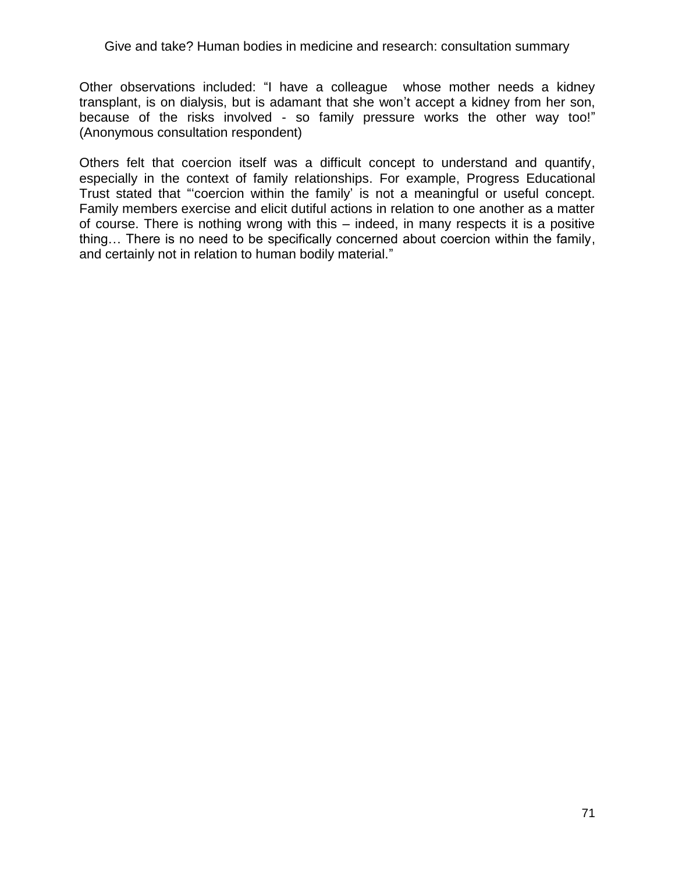Other observations included: "I have a colleague whose mother needs a kidney transplant, is on dialysis, but is adamant that she won't accept a kidney from her son, because of the risks involved - so family pressure works the other way too!" (Anonymous consultation respondent)

Others felt that coercion itself was a difficult concept to understand and quantify, especially in the context of family relationships. For example, Progress Educational Trust stated that "coercion within the family' is not a meaningful or useful concept. Family members exercise and elicit dutiful actions in relation to one another as a matter of course. There is nothing wrong with this – indeed, in many respects it is a positive thing… There is no need to be specifically concerned about coercion within the family, and certainly not in relation to human bodily material."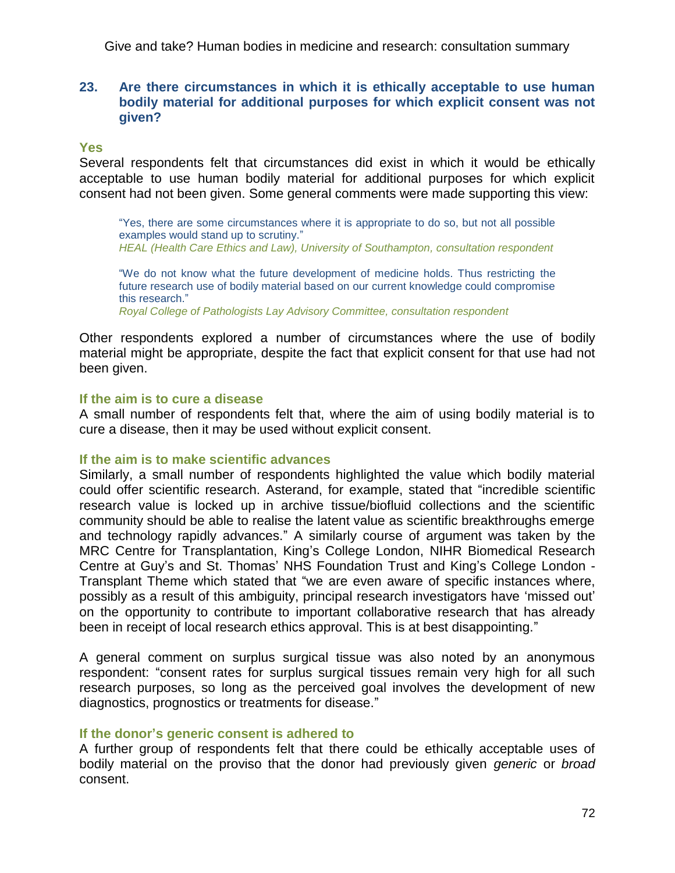# **23. Are there circumstances in which it is ethically acceptable to use human bodily material for additional purposes for which explicit consent was not given?**

# **Yes**

Several respondents felt that circumstances did exist in which it would be ethically acceptable to use human bodily material for additional purposes for which explicit consent had not been given. Some general comments were made supporting this view:

―Yes, there are some circumstances where it is appropriate to do so, but not all possible examples would stand up to scrutiny." *HEAL (Health Care Ethics and Law), University of Southampton, consultation respondent*

―We do not know what the future development of medicine holds. Thus restricting the future research use of bodily material based on our current knowledge could compromise this research."

*Royal College of Pathologists Lay Advisory Committee, consultation respondent*

Other respondents explored a number of circumstances where the use of bodily material might be appropriate, despite the fact that explicit consent for that use had not been given.

# **If the aim is to cure a disease**

A small number of respondents felt that, where the aim of using bodily material is to cure a disease, then it may be used without explicit consent.

#### **If the aim is to make scientific advances**

Similarly, a small number of respondents highlighted the value which bodily material could offer scientific research. Asterand, for example, stated that "incredible scientific research value is locked up in archive tissue/biofluid collections and the scientific community should be able to realise the latent value as scientific breakthroughs emerge and technology rapidly advances." A similarly course of argument was taken by the MRC Centre for Transplantation, King's College London, NIHR Biomedical Research Centre at Guy's and St. Thomas' NHS Foundation Trust and King's College London - Transplant Theme which stated that "we are even aware of specific instances where, possibly as a result of this ambiguity, principal research investigators have 'missed out' on the opportunity to contribute to important collaborative research that has already been in receipt of local research ethics approval. This is at best disappointing."

A general comment on surplus surgical tissue was also noted by an anonymous respondent: "consent rates for surplus surgical tissues remain very high for all such research purposes, so long as the perceived goal involves the development of new diagnostics, prognostics or treatments for disease."

# **If the donor's generic consent is adhered to**

A further group of respondents felt that there could be ethically acceptable uses of bodily material on the proviso that the donor had previously given *generic* or *broad* consent.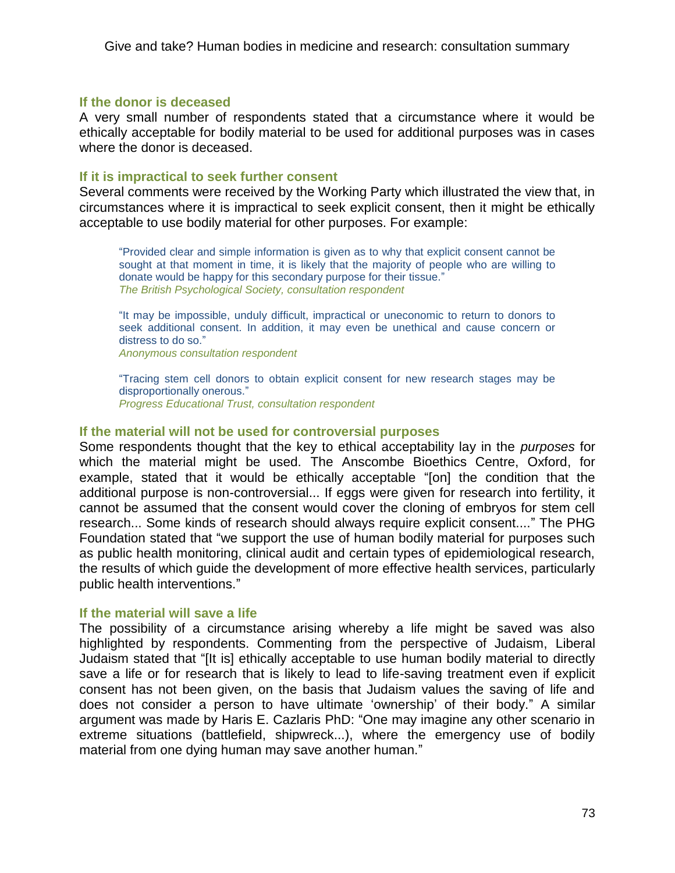# **If the donor is deceased**

A very small number of respondents stated that a circumstance where it would be ethically acceptable for bodily material to be used for additional purposes was in cases where the donor is deceased.

# **If it is impractical to seek further consent**

Several comments were received by the Working Party which illustrated the view that, in circumstances where it is impractical to seek explicit consent, then it might be ethically acceptable to use bodily material for other purposes. For example:

―Provided clear and simple information is given as to why that explicit consent cannot be sought at that moment in time, it is likely that the majority of people who are willing to donate would be happy for this secondary purpose for their tissue." *The British Psychological Society, consultation respondent*

―It may be impossible, unduly difficult, impractical or uneconomic to return to donors to seek additional consent. In addition, it may even be unethical and cause concern or distress to do so."

*Anonymous consultation respondent*

―Tracing stem cell donors to obtain explicit consent for new research stages may be disproportionally onerous." *Progress Educational Trust, consultation respondent*

# **If the material will not be used for controversial purposes**

Some respondents thought that the key to ethical acceptability lay in the *purposes* for which the material might be used. The Anscombe Bioethics Centre, Oxford, for example, stated that it would be ethically acceptable "[on] the condition that the additional purpose is non-controversial... If eggs were given for research into fertility, it cannot be assumed that the consent would cover the cloning of embryos for stem cell research... Some kinds of research should always require explicit consent...." The PHG Foundation stated that "we support the use of human bodily material for purposes such as public health monitoring, clinical audit and certain types of epidemiological research, the results of which guide the development of more effective health services, particularly public health interventions."

# **If the material will save a life**

The possibility of a circumstance arising whereby a life might be saved was also highlighted by respondents. Commenting from the perspective of Judaism, Liberal Judaism stated that "[It is] ethically acceptable to use human bodily material to directly save a life or for research that is likely to lead to life-saving treatment even if explicit consent has not been given, on the basis that Judaism values the saving of life and does not consider a person to have ultimate 'ownership' of their body." A similar argument was made by Haris E. Cazlaris PhD: "One may imagine any other scenario in extreme situations (battlefield, shipwreck...), where the emergency use of bodily material from one dying human may save another human."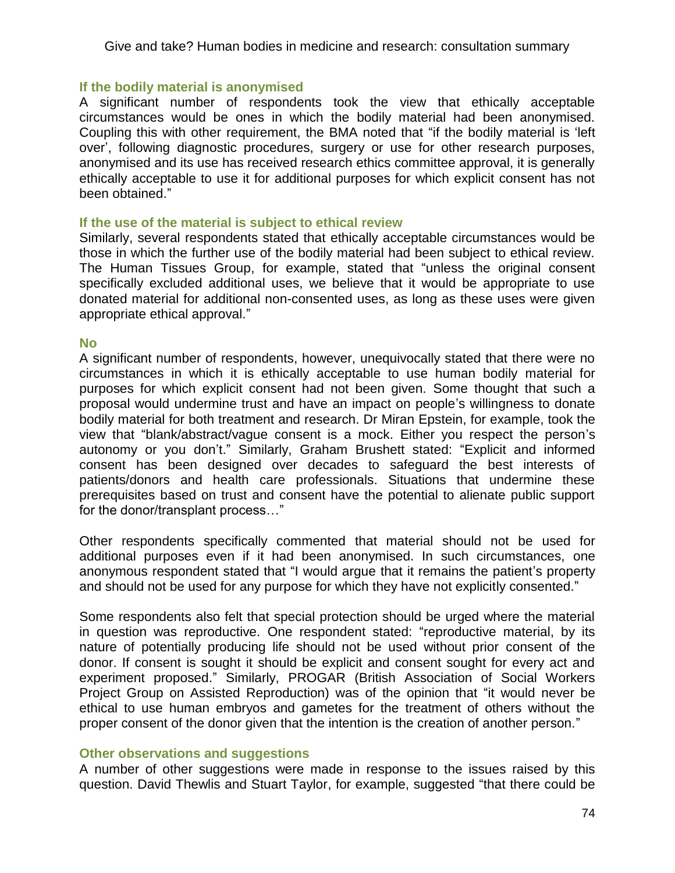# **If the bodily material is anonymised**

A significant number of respondents took the view that ethically acceptable circumstances would be ones in which the bodily material had been anonymised. Coupling this with other requirement, the BMA noted that "if the bodily material is 'left over', following diagnostic procedures, surgery or use for other research purposes, anonymised and its use has received research ethics committee approval, it is generally ethically acceptable to use it for additional purposes for which explicit consent has not been obtained."

# **If the use of the material is subject to ethical review**

Similarly, several respondents stated that ethically acceptable circumstances would be those in which the further use of the bodily material had been subject to ethical review. The Human Tissues Group, for example, stated that "unless the original consent specifically excluded additional uses, we believe that it would be appropriate to use donated material for additional non-consented uses, as long as these uses were given appropriate ethical approval."

# **No**

A significant number of respondents, however, unequivocally stated that there were no circumstances in which it is ethically acceptable to use human bodily material for purposes for which explicit consent had not been given. Some thought that such a proposal would undermine trust and have an impact on people's willingness to donate bodily material for both treatment and research. Dr Miran Epstein, for example, took the view that "blank/abstract/vague consent is a mock. Either you respect the person's autonomy or you don't." Similarly, Graham Brushett stated: "Explicit and informed consent has been designed over decades to safeguard the best interests of patients/donors and health care professionals. Situations that undermine these prerequisites based on trust and consent have the potential to alienate public support for the donor/transplant process..."

Other respondents specifically commented that material should not be used for additional purposes even if it had been anonymised. In such circumstances, one anonymous respondent stated that "I would argue that it remains the patient's property and should not be used for any purpose for which they have not explicitly consented."

Some respondents also felt that special protection should be urged where the material in question was reproductive. One respondent stated: "reproductive material, by its nature of potentially producing life should not be used without prior consent of the donor. If consent is sought it should be explicit and consent sought for every act and experiment proposed." Similarly, PROGAR (British Association of Social Workers Project Group on Assisted Reproduction) was of the opinion that "it would never be ethical to use human embryos and gametes for the treatment of others without the proper consent of the donor given that the intention is the creation of another person."

# **Other observations and suggestions**

A number of other suggestions were made in response to the issues raised by this question. David Thewlis and Stuart Taylor, for example, suggested "that there could be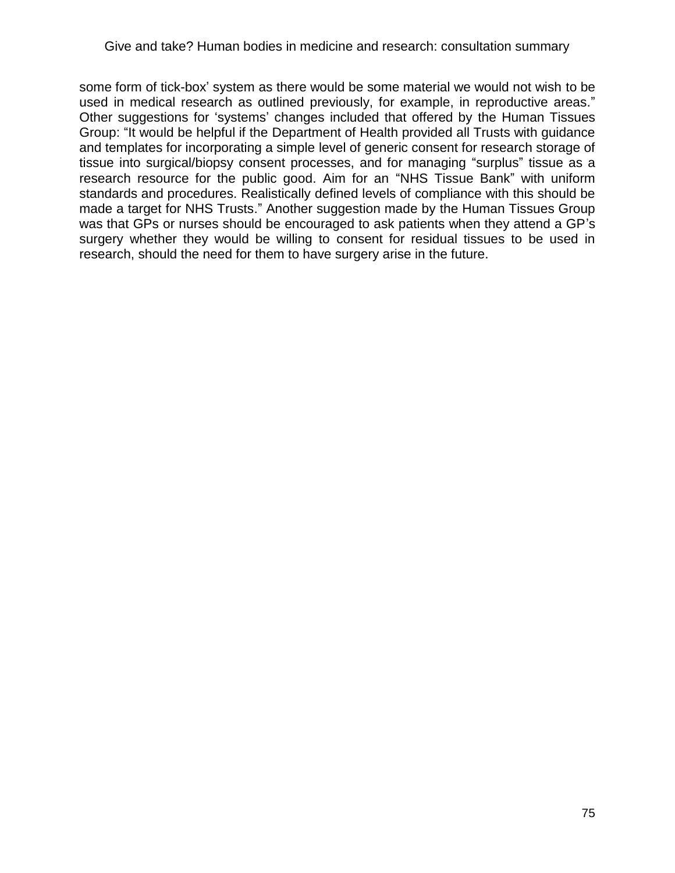some form of tick-box' system as there would be some material we would not wish to be used in medical research as outlined previously, for example, in reproductive areas." Other suggestions for 'systems' changes included that offered by the Human Tissues Group: "It would be helpful if the Department of Health provided all Trusts with guidance and templates for incorporating a simple level of generic consent for research storage of tissue into surgical/biopsy consent processes, and for managing "surplus" tissue as a research resource for the public good. Aim for an "NHS Tissue Bank" with uniform standards and procedures. Realistically defined levels of compliance with this should be made a target for NHS Trusts." Another suggestion made by the Human Tissues Group was that GPs or nurses should be encouraged to ask patients when they attend a GP's surgery whether they would be willing to consent for residual tissues to be used in research, should the need for them to have surgery arise in the future.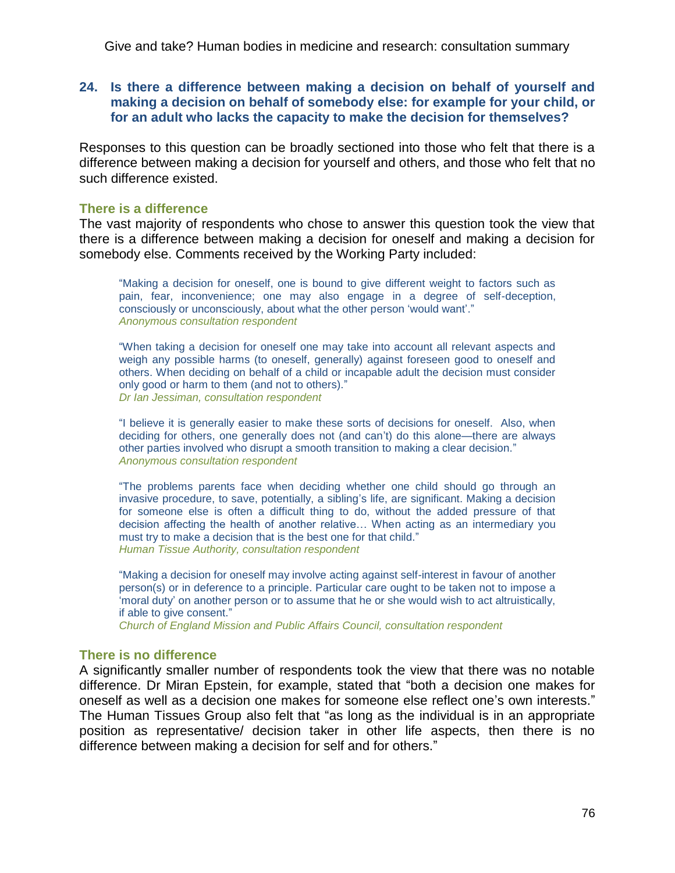# **24. Is there a difference between making a decision on behalf of yourself and making a decision on behalf of somebody else: for example for your child, or for an adult who lacks the capacity to make the decision for themselves?**

Responses to this question can be broadly sectioned into those who felt that there is a difference between making a decision for yourself and others, and those who felt that no such difference existed.

# **There is a difference**

The vast majority of respondents who chose to answer this question took the view that there is a difference between making a decision for oneself and making a decision for somebody else. Comments received by the Working Party included:

―Making a decision for oneself, one is bound to give different weight to factors such as pain, fear, inconvenience; one may also engage in a degree of self-deception, consciously or unconsciously, about what the other person 'would want'." *Anonymous consultation respondent*

―When taking a decision for oneself one may take into account all relevant aspects and weigh any possible harms (to oneself, generally) against foreseen good to oneself and others. When deciding on behalf of a child or incapable adult the decision must consider only good or harm to them (and not to others)." *Dr Ian Jessiman, consultation respondent*

"I believe it is generally easier to make these sorts of decisions for oneself. Also, when deciding for others, one generally does not (and can't) do this alone—there are always other parties involved who disrupt a smooth transition to making a clear decision." *Anonymous consultation respondent*

―The problems parents face when deciding whether one child should go through an invasive procedure, to save, potentially, a sibling's life, are significant. Making a decision for someone else is often a difficult thing to do, without the added pressure of that decision affecting the health of another relative… When acting as an intermediary you must try to make a decision that is the best one for that child." *Human Tissue Authority, consultation respondent*

"Making a decision for oneself may involve acting against self-interest in favour of another person(s) or in deference to a principle. Particular care ought to be taken not to impose a ‗moral duty' on another person or to assume that he or she would wish to act altruistically, if able to give consent.‖

*Church of England Mission and Public Affairs Council, consultation respondent*

# **There is no difference**

A significantly smaller number of respondents took the view that there was no notable difference. Dr Miran Epstein, for example, stated that "both a decision one makes for oneself as well as a decision one makes for someone else reflect one's own interests." The Human Tissues Group also felt that "as long as the individual is in an appropriate position as representative/ decision taker in other life aspects, then there is no difference between making a decision for self and for others."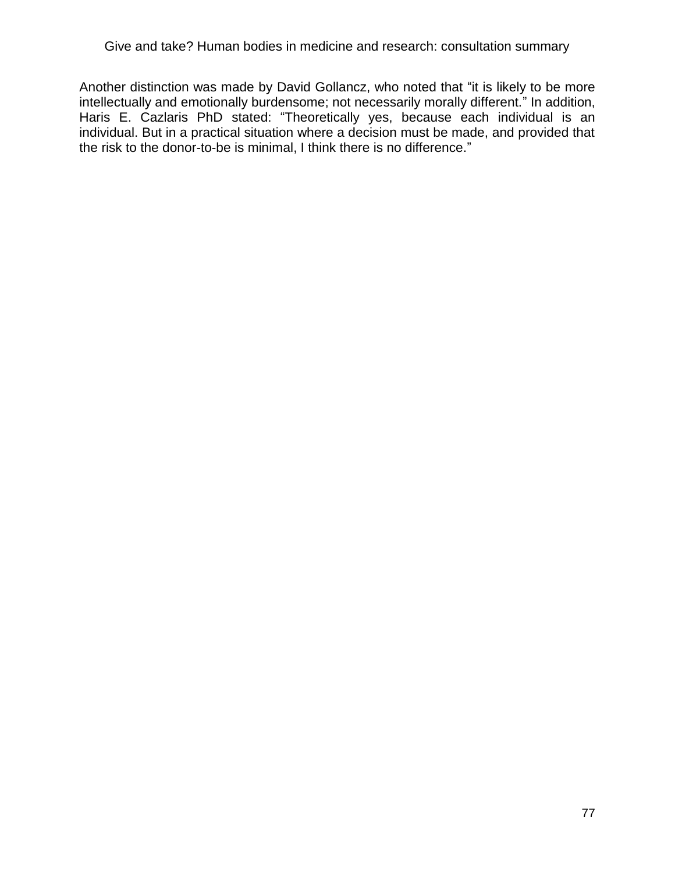Another distinction was made by David Gollancz, who noted that "it is likely to be more intellectually and emotionally burdensome; not necessarily morally different." In addition, Haris E. Cazlaris PhD stated: "Theoretically yes, because each individual is an individual. But in a practical situation where a decision must be made, and provided that the risk to the donor-to-be is minimal, I think there is no difference."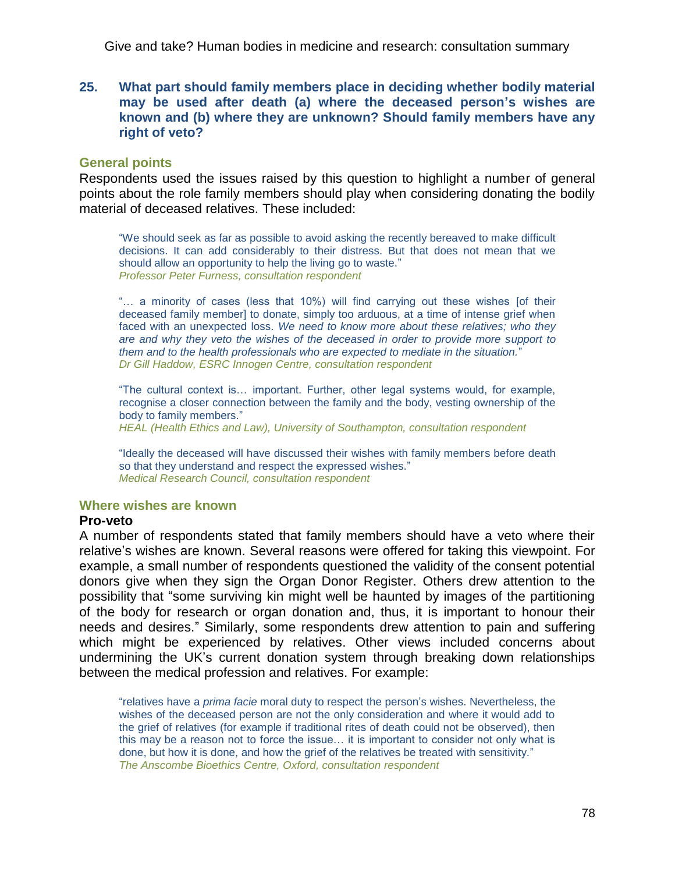**25. What part should family members place in deciding whether bodily material may be used after death (a) where the deceased person's wishes are known and (b) where they are unknown? Should family members have any right of veto?**

### **General points**

Respondents used the issues raised by this question to highlight a number of general points about the role family members should play when considering donating the bodily material of deceased relatives. These included:

―We should seek as far as possible to avoid asking the recently bereaved to make difficult decisions. It can add considerably to their distress. But that does not mean that we should allow an opportunity to help the living go to waste." *Professor Peter Furness, consultation respondent*

"... a minority of cases (less that 10%) will find carrying out these wishes [of their deceased family member] to donate, simply too arduous, at a time of intense grief when faced with an unexpected loss. *We need to know more about these relatives; who they are and why they veto the wishes of the deceased in order to provide more support to them and to the health professionals who are expected to mediate in the situation.*‖ *Dr Gill Haddow, ESRC Innogen Centre, consultation respondent*

―The cultural context is… important. Further, other legal systems would, for example, recognise a closer connection between the family and the body, vesting ownership of the body to family members."

*HEAL (Health Ethics and Law), University of Southampton, consultation respondent*

"Ideally the deceased will have discussed their wishes with family members before death so that they understand and respect the expressed wishes." *Medical Research Council, consultation respondent*

# **Where wishes are known**

# **Pro-veto**

A number of respondents stated that family members should have a veto where their relative's wishes are known. Several reasons were offered for taking this viewpoint. For example, a small number of respondents questioned the validity of the consent potential donors give when they sign the Organ Donor Register. Others drew attention to the possibility that "some surviving kin might well be haunted by images of the partitioning of the body for research or organ donation and, thus, it is important to honour their needs and desires.‖ Similarly, some respondents drew attention to pain and suffering which might be experienced by relatives. Other views included concerns about undermining the UK's current donation system through breaking down relationships between the medical profession and relatives. For example:

―relatives have a *prima facie* moral duty to respect the person's wishes. Nevertheless, the wishes of the deceased person are not the only consideration and where it would add to the grief of relatives (for example if traditional rites of death could not be observed), then this may be a reason not to force the issue… it is important to consider not only what is done, but how it is done, and how the grief of the relatives be treated with sensitivity." *The Anscombe Bioethics Centre, Oxford, consultation respondent*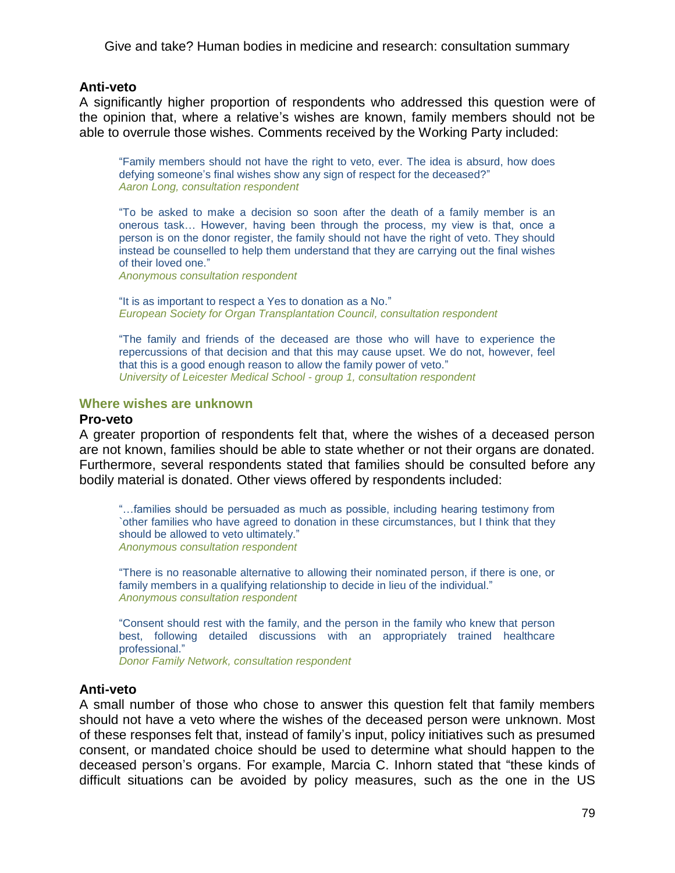### **Anti-veto**

A significantly higher proportion of respondents who addressed this question were of the opinion that, where a relative's wishes are known, family members should not be able to overrule those wishes. Comments received by the Working Party included:

―Family members should not have the right to veto, ever. The idea is absurd, how does defying someone's final wishes show any sign of respect for the deceased?" *Aaron Long, consultation respondent*

―To be asked to make a decision so soon after the death of a family member is an onerous task… However, having been through the process, my view is that, once a person is on the donor register, the family should not have the right of veto. They should instead be counselled to help them understand that they are carrying out the final wishes of their loved one."

*Anonymous consultation respondent*

"It is as important to respect a Yes to donation as a No." *European Society for Organ Transplantation Council, consultation respondent*

―The family and friends of the deceased are those who will have to experience the repercussions of that decision and that this may cause upset. We do not, however, feel that this is a good enough reason to allow the family power of veto." *University of Leicester Medical School - group 1, consultation respondent*

### **Where wishes are unknown**

#### **Pro-veto**

A greater proportion of respondents felt that, where the wishes of a deceased person are not known, families should be able to state whether or not their organs are donated. Furthermore, several respondents stated that families should be consulted before any bodily material is donated. Other views offered by respondents included:

―…families should be persuaded as much as possible, including hearing testimony from `other families who have agreed to donation in these circumstances, but I think that they should be allowed to veto ultimately." *Anonymous consultation respondent*

―There is no reasonable alternative to allowing their nominated person, if there is one, or family members in a qualifying relationship to decide in lieu of the individual." *Anonymous consultation respondent*

―Consent should rest with the family, and the person in the family who knew that person best, following detailed discussions with an appropriately trained healthcare professional."

*Donor Family Network, consultation respondent*

# **Anti-veto**

A small number of those who chose to answer this question felt that family members should not have a veto where the wishes of the deceased person were unknown. Most of these responses felt that, instead of family's input, policy initiatives such as presumed consent, or mandated choice should be used to determine what should happen to the deceased person's organs. For example, Marcia C. Inhorn stated that "these kinds of difficult situations can be avoided by policy measures, such as the one in the US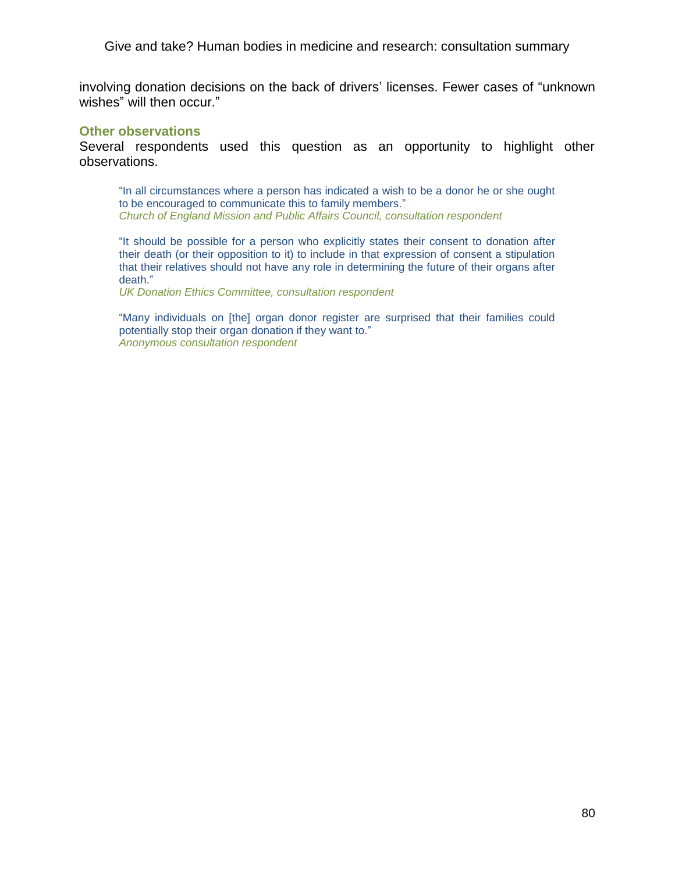involving donation decisions on the back of drivers' licenses. Fewer cases of "unknown wishes" will then occur."

### **Other observations**

Several respondents used this question as an opportunity to highlight other observations.

"In all circumstances where a person has indicated a wish to be a donor he or she ought to be encouraged to communicate this to family members." *Church of England Mission and Public Affairs Council, consultation respondent*

―It should be possible for a person who explicitly states their consent to donation after their death (or their opposition to it) to include in that expression of consent a stipulation that their relatives should not have any role in determining the future of their organs after death."

*UK Donation Ethics Committee, consultation respondent*

"Many individuals on [the] organ donor register are surprised that their families could potentially stop their organ donation if they want to." *Anonymous consultation respondent*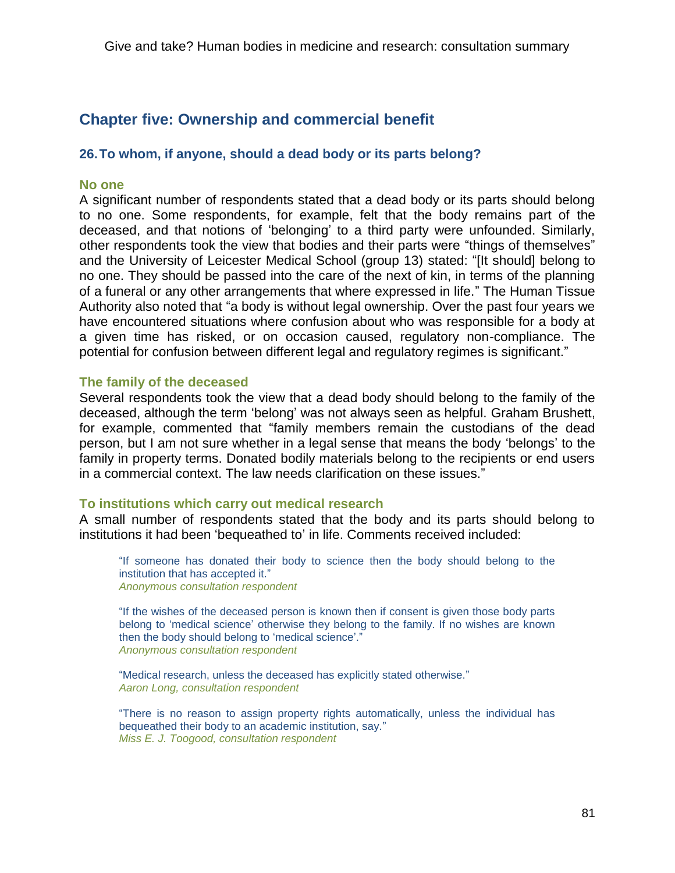# **Chapter five: Ownership and commercial benefit**

# **26.To whom, if anyone, should a dead body or its parts belong?**

# **No one**

A significant number of respondents stated that a dead body or its parts should belong to no one. Some respondents, for example, felt that the body remains part of the deceased, and that notions of 'belonging' to a third party were unfounded. Similarly, other respondents took the view that bodies and their parts were "things of themselves" and the University of Leicester Medical School (group 13) stated: "[It should] belong to no one. They should be passed into the care of the next of kin, in terms of the planning of a funeral or any other arrangements that where expressed in life." The Human Tissue Authority also noted that "a body is without legal ownership. Over the past four years we have encountered situations where confusion about who was responsible for a body at a given time has risked, or on occasion caused, regulatory non-compliance. The potential for confusion between different legal and regulatory regimes is significant."

# **The family of the deceased**

Several respondents took the view that a dead body should belong to the family of the deceased, although the term 'belong' was not always seen as helpful. Graham Brushett, for example, commented that "family members remain the custodians of the dead person, but I am not sure whether in a legal sense that means the body 'belongs' to the family in property terms. Donated bodily materials belong to the recipients or end users in a commercial context. The law needs clarification on these issues."

# **To institutions which carry out medical research**

A small number of respondents stated that the body and its parts should belong to institutions it had been 'bequeathed to' in life. Comments received included:

"If someone has donated their body to science then the body should belong to the institution that has accepted it." *Anonymous consultation respondent*

"If the wishes of the deceased person is known then if consent is given those body parts belong to 'medical science' otherwise they belong to the family. If no wishes are known then the body should belong to 'medical science'." *Anonymous consultation respondent*

"Medical research, unless the deceased has explicitly stated otherwise." *Aaron Long, consultation respondent*

―There is no reason to assign property rights automatically, unless the individual has bequeathed their body to an academic institution, say." *Miss E. J. Toogood, consultation respondent*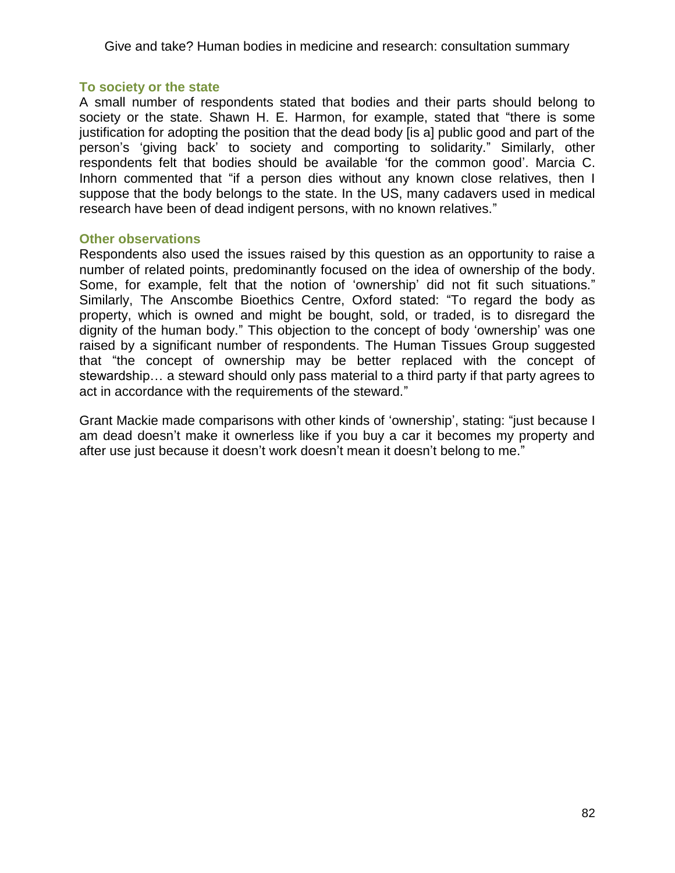# **To society or the state**

A small number of respondents stated that bodies and their parts should belong to society or the state. Shawn H. E. Harmon, for example, stated that "there is some justification for adopting the position that the dead body [is a] public good and part of the person's ‗giving back' to society and comporting to solidarity.‖ Similarly, other respondents felt that bodies should be available 'for the common good'. Marcia C. Inhorn commented that "if a person dies without any known close relatives, then I suppose that the body belongs to the state. In the US, many cadavers used in medical research have been of dead indigent persons, with no known relatives."

# **Other observations**

Respondents also used the issues raised by this question as an opportunity to raise a number of related points, predominantly focused on the idea of ownership of the body. Some, for example, felt that the notion of 'ownership' did not fit such situations." Similarly, The Anscombe Bioethics Centre, Oxford stated: "To regard the body as property, which is owned and might be bought, sold, or traded, is to disregard the dignity of the human body." This objection to the concept of body 'ownership' was one raised by a significant number of respondents. The Human Tissues Group suggested that "the concept of ownership may be better replaced with the concept of stewardship… a steward should only pass material to a third party if that party agrees to act in accordance with the requirements of the steward."

Grant Mackie made comparisons with other kinds of 'ownership', stating: "just because I am dead doesn't make it ownerless like if you buy a car it becomes my property and after use just because it doesn't work doesn't mean it doesn't belong to me."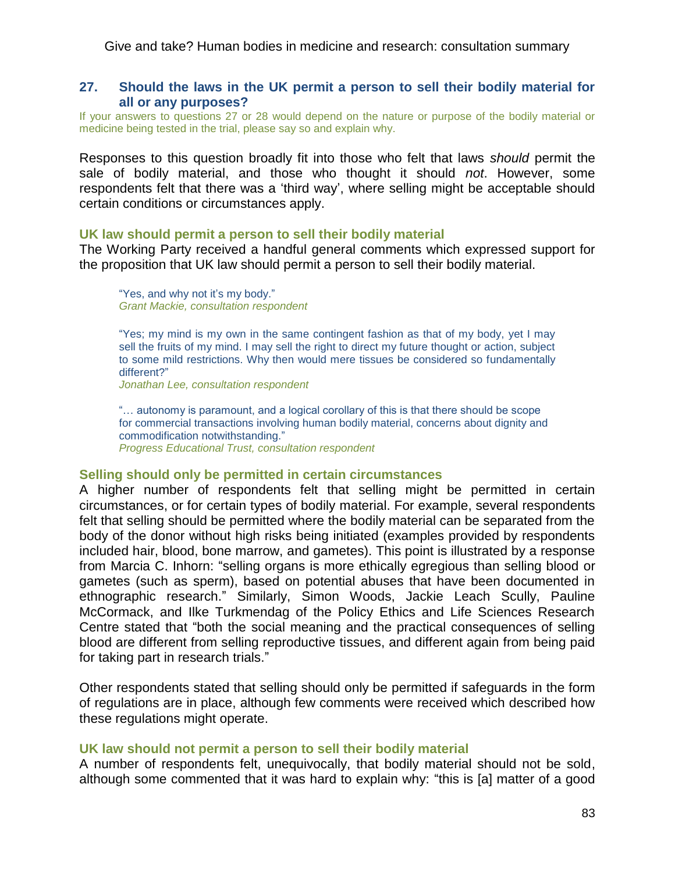# **27. Should the laws in the UK permit a person to sell their bodily material for all or any purposes?**

If your answers to questions 27 or 28 would depend on the nature or purpose of the bodily material or medicine being tested in the trial, please say so and explain why.

Responses to this question broadly fit into those who felt that laws *should* permit the sale of bodily material, and those who thought it should *not*. However, some respondents felt that there was a 'third way', where selling might be acceptable should certain conditions or circumstances apply.

### **UK law should permit a person to sell their bodily material**

The Working Party received a handful general comments which expressed support for the proposition that UK law should permit a person to sell their bodily material.

"Yes, and why not it's my body." *Grant Mackie, consultation respondent*

"Yes; my mind is my own in the same contingent fashion as that of my body, yet I may sell the fruits of my mind. I may sell the right to direct my future thought or action, subject to some mild restrictions. Why then would mere tissues be considered so fundamentally different?"

*Jonathan Lee, consultation respondent*

"... autonomy is paramount, and a logical corollary of this is that there should be scope for commercial transactions involving human bodily material, concerns about dignity and commodification notwithstanding." *Progress Educational Trust, consultation respondent*

#### **Selling should only be permitted in certain circumstances**

A higher number of respondents felt that selling might be permitted in certain circumstances, or for certain types of bodily material. For example, several respondents felt that selling should be permitted where the bodily material can be separated from the body of the donor without high risks being initiated (examples provided by respondents included hair, blood, bone marrow, and gametes). This point is illustrated by a response from Marcia C. Inhorn: "selling organs is more ethically egregious than selling blood or gametes (such as sperm), based on potential abuses that have been documented in ethnographic research." Similarly, Simon Woods, Jackie Leach Scully, Pauline McCormack, and Ilke Turkmendag of the Policy Ethics and Life Sciences Research Centre stated that "both the social meaning and the practical consequences of selling blood are different from selling reproductive tissues, and different again from being paid for taking part in research trials."

Other respondents stated that selling should only be permitted if safeguards in the form of regulations are in place, although few comments were received which described how these regulations might operate.

# **UK law should not permit a person to sell their bodily material**

A number of respondents felt, unequivocally, that bodily material should not be sold, although some commented that it was hard to explain why: "this is [a] matter of a good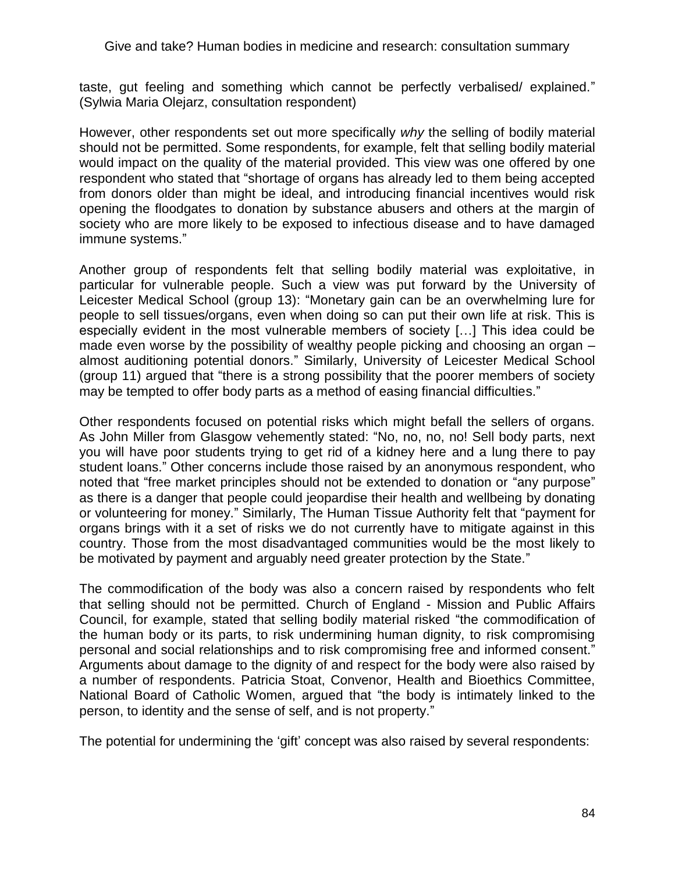taste, gut feeling and something which cannot be perfectly verbalised/ explained." (Sylwia Maria Olejarz, consultation respondent)

However, other respondents set out more specifically *why* the selling of bodily material should not be permitted. Some respondents, for example, felt that selling bodily material would impact on the quality of the material provided. This view was one offered by one respondent who stated that "shortage of organs has already led to them being accepted from donors older than might be ideal, and introducing financial incentives would risk opening the floodgates to donation by substance abusers and others at the margin of society who are more likely to be exposed to infectious disease and to have damaged immune systems."

Another group of respondents felt that selling bodily material was exploitative, in particular for vulnerable people. Such a view was put forward by the University of Leicester Medical School (group 13): "Monetary gain can be an overwhelming lure for people to sell tissues/organs, even when doing so can put their own life at risk. This is especially evident in the most vulnerable members of society […] This idea could be made even worse by the possibility of wealthy people picking and choosing an organ – almost auditioning potential donors." Similarly, University of Leicester Medical School (group 11) argued that "there is a strong possibility that the poorer members of society may be tempted to offer body parts as a method of easing financial difficulties."

Other respondents focused on potential risks which might befall the sellers of organs. As John Miller from Glasgow vehemently stated: "No, no, no, no! Sell body parts, next you will have poor students trying to get rid of a kidney here and a lung there to pay student loans." Other concerns include those raised by an anonymous respondent, who noted that "free market principles should not be extended to donation or "any purpose" as there is a danger that people could jeopardise their health and wellbeing by donating or volunteering for money." Similarly, The Human Tissue Authority felt that "payment for organs brings with it a set of risks we do not currently have to mitigate against in this country. Those from the most disadvantaged communities would be the most likely to be motivated by payment and arguably need greater protection by the State."

The commodification of the body was also a concern raised by respondents who felt that selling should not be permitted. Church of England - Mission and Public Affairs Council, for example, stated that selling bodily material risked "the commodification of the human body or its parts, to risk undermining human dignity, to risk compromising personal and social relationships and to risk compromising free and informed consent." Arguments about damage to the dignity of and respect for the body were also raised by a number of respondents. Patricia Stoat, Convenor, Health and Bioethics Committee, National Board of Catholic Women, argued that "the body is intimately linked to the person, to identity and the sense of self, and is not property."

The potential for undermining the 'gift' concept was also raised by several respondents: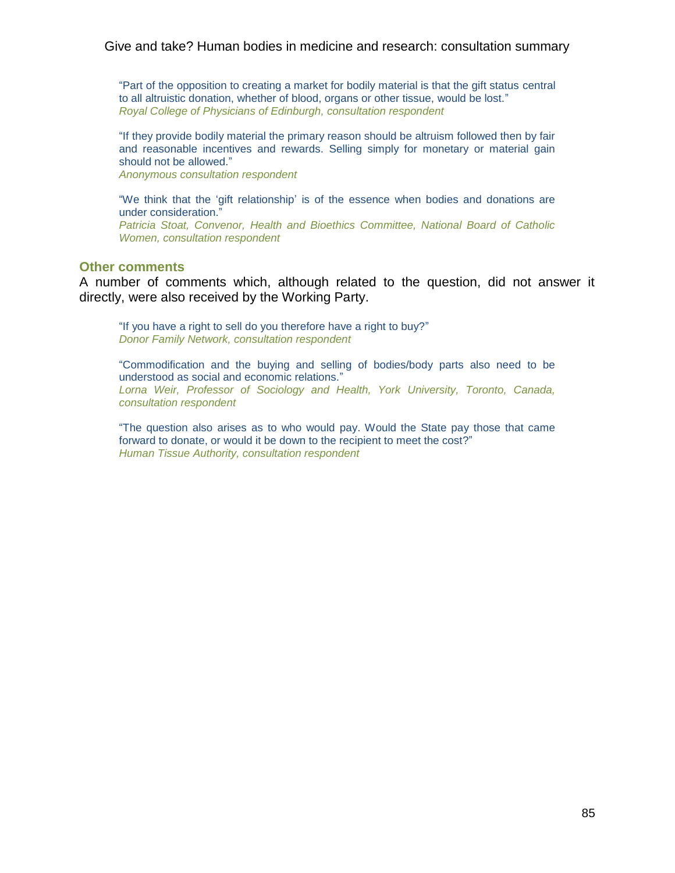―Part of the opposition to creating a market for bodily material is that the gift status central to all altruistic donation, whether of blood, organs or other tissue, would be lost." *Royal College of Physicians of Edinburgh, consultation respondent*

"If they provide bodily material the primary reason should be altruism followed then by fair and reasonable incentives and rewards. Selling simply for monetary or material gain should not be allowed."

*Anonymous consultation respondent*

"We think that the 'gift relationship' is of the essence when bodies and donations are under consideration." *Patricia Stoat, Convenor, Health and Bioethics Committee, National Board of Catholic Women, consultation respondent*

# **Other comments**

A number of comments which, although related to the question, did not answer it directly, were also received by the Working Party.

"If you have a right to sell do you therefore have a right to buy?" *Donor Family Network, consultation respondent*

―Commodification and the buying and selling of bodies/body parts also need to be understood as social and economic relations." *Lorna Weir, Professor of Sociology and Health, York University, Toronto, Canada, consultation respondent*

―The question also arises as to who would pay. Would the State pay those that came forward to donate, or would it be down to the recipient to meet the cost?" *Human Tissue Authority, consultation respondent*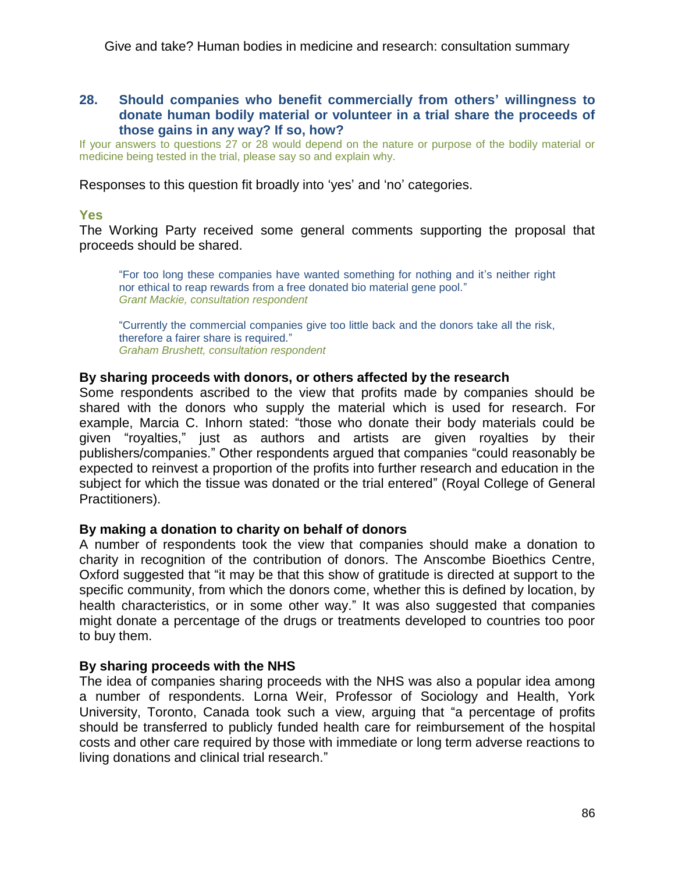# **28. Should companies who benefit commercially from others' willingness to donate human bodily material or volunteer in a trial share the proceeds of those gains in any way? If so, how?**

If your answers to questions 27 or 28 would depend on the nature or purpose of the bodily material or medicine being tested in the trial, please say so and explain why.

Responses to this question fit broadly into 'yes' and 'no' categories.

# **Yes**

The Working Party received some general comments supporting the proposal that proceeds should be shared.

―For too long these companies have wanted something for nothing and it's neither right nor ethical to reap rewards from a free donated bio material gene pool." *Grant Mackie, consultation respondent*

―Currently the commercial companies give too little back and the donors take all the risk, therefore a fairer share is required." *Graham Brushett, consultation respondent*

### **By sharing proceeds with donors, or others affected by the research**

Some respondents ascribed to the view that profits made by companies should be shared with the donors who supply the material which is used for research. For example, Marcia C. Inhorn stated: "those who donate their body materials could be given "royalties," just as authors and artists are given royalties by their publishers/companies." Other respondents argued that companies "could reasonably be expected to reinvest a proportion of the profits into further research and education in the subject for which the tissue was donated or the trial entered" (Royal College of General Practitioners).

# **By making a donation to charity on behalf of donors**

A number of respondents took the view that companies should make a donation to charity in recognition of the contribution of donors. The Anscombe Bioethics Centre, Oxford suggested that "it may be that this show of gratitude is directed at support to the specific community, from which the donors come, whether this is defined by location, by health characteristics, or in some other way." It was also suggested that companies might donate a percentage of the drugs or treatments developed to countries too poor to buy them.

# **By sharing proceeds with the NHS**

The idea of companies sharing proceeds with the NHS was also a popular idea among a number of respondents. Lorna Weir, Professor of Sociology and Health, York University, Toronto, Canada took such a view, arguing that "a percentage of profits should be transferred to publicly funded health care for reimbursement of the hospital costs and other care required by those with immediate or long term adverse reactions to living donations and clinical trial research."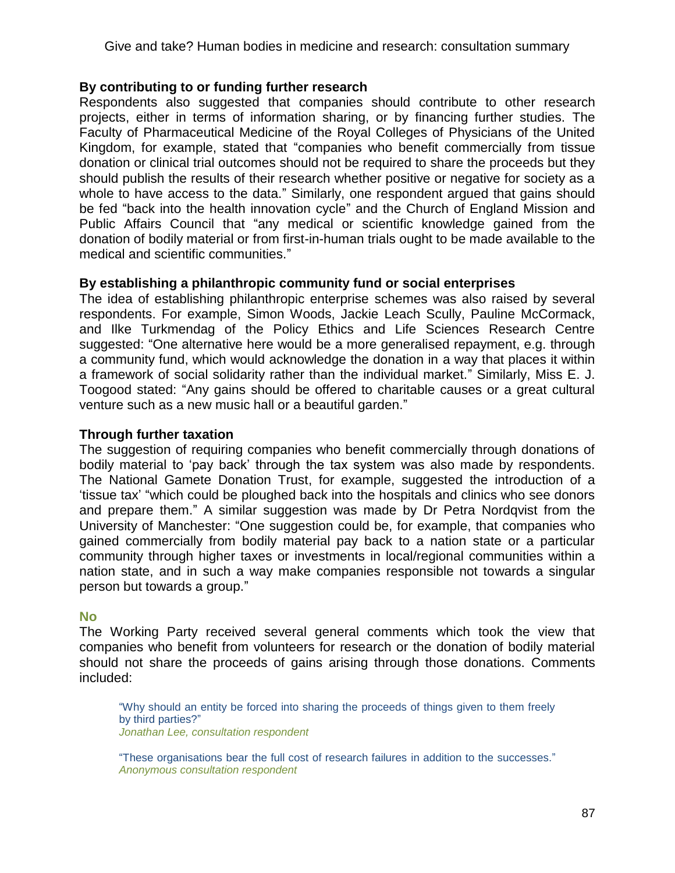# **By contributing to or funding further research**

Respondents also suggested that companies should contribute to other research projects, either in terms of information sharing, or by financing further studies. The Faculty of Pharmaceutical Medicine of the Royal Colleges of Physicians of the United Kingdom, for example, stated that "companies who benefit commercially from tissue donation or clinical trial outcomes should not be required to share the proceeds but they should publish the results of their research whether positive or negative for society as a whole to have access to the data." Similarly, one respondent argued that gains should be fed "back into the health innovation cycle" and the Church of England Mission and Public Affairs Council that "any medical or scientific knowledge gained from the donation of bodily material or from first-in-human trials ought to be made available to the medical and scientific communities."

# **By establishing a philanthropic community fund or social enterprises**

The idea of establishing philanthropic enterprise schemes was also raised by several respondents. For example, Simon Woods, Jackie Leach Scully, Pauline McCormack, and Ilke Turkmendag of the Policy Ethics and Life Sciences Research Centre suggested: "One alternative here would be a more generalised repayment, e.g. through a community fund, which would acknowledge the donation in a way that places it within a framework of social solidarity rather than the individual market." Similarly, Miss E. J. Toogood stated: "Any gains should be offered to charitable causes or a great cultural venture such as a new music hall or a beautiful garden."

# **Through further taxation**

The suggestion of requiring companies who benefit commercially through donations of bodily material to 'pay back' through the tax system was also made by respondents. The National Gamete Donation Trust, for example, suggested the introduction of a ‗tissue tax' ―which could be ploughed back into the hospitals and clinics who see donors and prepare them." A similar suggestion was made by Dr Petra Nordqvist from the University of Manchester: "One suggestion could be, for example, that companies who gained commercially from bodily material pay back to a nation state or a particular community through higher taxes or investments in local/regional communities within a nation state, and in such a way make companies responsible not towards a singular person but towards a group."

# **No**

The Working Party received several general comments which took the view that companies who benefit from volunteers for research or the donation of bodily material should not share the proceeds of gains arising through those donations. Comments included:

―Why should an entity be forced into sharing the proceeds of things given to them freely by third parties?" *Jonathan Lee, consultation respondent*

"These organisations bear the full cost of research failures in addition to the successes." *Anonymous consultation respondent*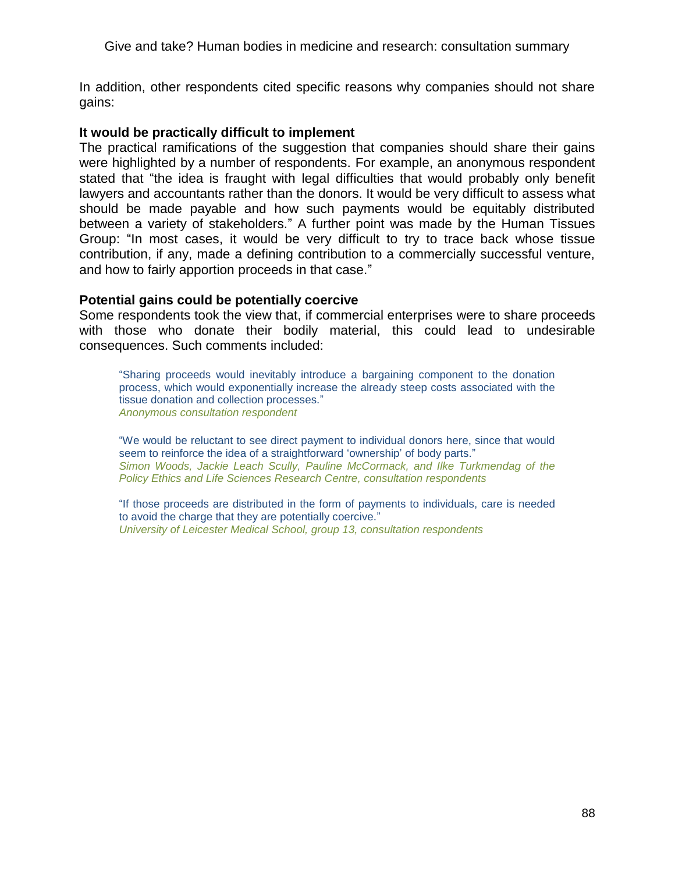In addition, other respondents cited specific reasons why companies should not share gains:

# **It would be practically difficult to implement**

The practical ramifications of the suggestion that companies should share their gains were highlighted by a number of respondents. For example, an anonymous respondent stated that "the idea is fraught with legal difficulties that would probably only benefit lawyers and accountants rather than the donors. It would be very difficult to assess what should be made payable and how such payments would be equitably distributed between a variety of stakeholders." A further point was made by the Human Tissues Group: "In most cases, it would be very difficult to try to trace back whose tissue contribution, if any, made a defining contribution to a commercially successful venture, and how to fairly apportion proceeds in that case."

# **Potential gains could be potentially coercive**

Some respondents took the view that, if commercial enterprises were to share proceeds with those who donate their bodily material, this could lead to undesirable consequences. Such comments included:

―Sharing proceeds would inevitably introduce a bargaining component to the donation process, which would exponentially increase the already steep costs associated with the tissue donation and collection processes." *Anonymous consultation respondent*

―We would be reluctant to see direct payment to individual donors here, since that would seem to reinforce the idea of a straightforward 'ownership' of body parts." *Simon Woods, Jackie Leach Scully, Pauline McCormack, and Ilke Turkmendag of the Policy Ethics and Life Sciences Research Centre, consultation respondents* 

―If those proceeds are distributed in the form of payments to individuals, care is needed to avoid the charge that they are potentially coercive." *University of Leicester Medical School, group 13, consultation respondents*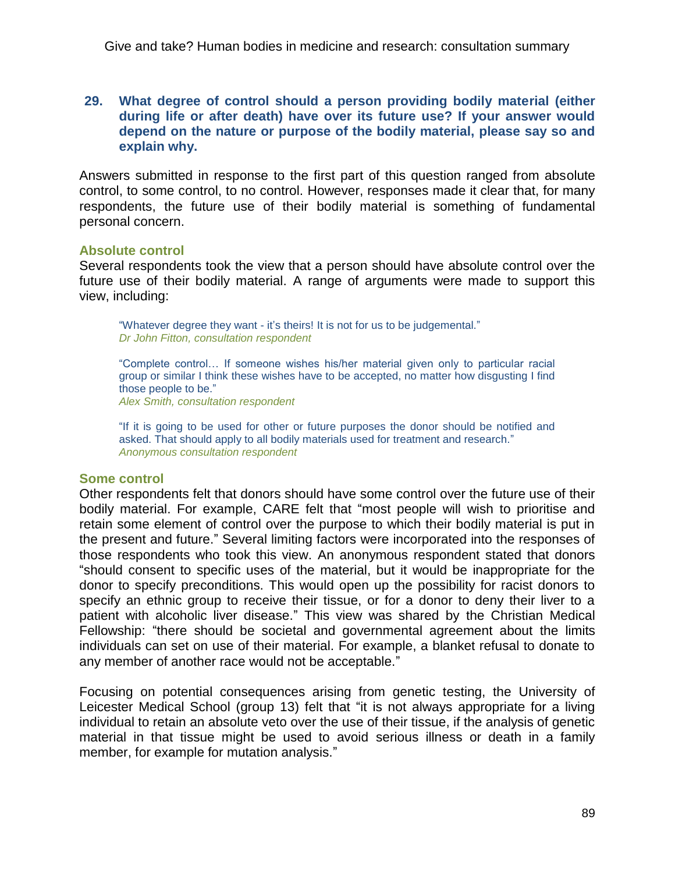# **29. What degree of control should a person providing bodily material (either during life or after death) have over its future use? If your answer would depend on the nature or purpose of the bodily material, please say so and explain why.**

Answers submitted in response to the first part of this question ranged from absolute control, to some control, to no control. However, responses made it clear that, for many respondents, the future use of their bodily material is something of fundamental personal concern.

# **Absolute control**

Several respondents took the view that a person should have absolute control over the future use of their bodily material. A range of arguments were made to support this view, including:

"Whatever degree they want - it's theirs! It is not for us to be judgemental." *Dr John Fitton, consultation respondent*

―Complete control… If someone wishes his/her material given only to particular racial group or similar I think these wishes have to be accepted, no matter how disgusting I find those people to be." *Alex Smith, consultation respondent*

"If it is going to be used for other or future purposes the donor should be notified and asked. That should apply to all bodily materials used for treatment and research." *Anonymous consultation respondent*

#### **Some control**

Other respondents felt that donors should have some control over the future use of their bodily material. For example, CARE felt that "most people will wish to prioritise and retain some element of control over the purpose to which their bodily material is put in the present and future." Several limiting factors were incorporated into the responses of those respondents who took this view. An anonymous respondent stated that donors ―should consent to specific uses of the material, but it would be inappropriate for the donor to specify preconditions. This would open up the possibility for racist donors to specify an ethnic group to receive their tissue, or for a donor to deny their liver to a patient with alcoholic liver disease." This view was shared by the Christian Medical Fellowship: "there should be societal and governmental agreement about the limits individuals can set on use of their material. For example, a blanket refusal to donate to any member of another race would not be acceptable."

Focusing on potential consequences arising from genetic testing, the University of Leicester Medical School (group 13) felt that "it is not always appropriate for a living individual to retain an absolute veto over the use of their tissue, if the analysis of genetic material in that tissue might be used to avoid serious illness or death in a family member, for example for mutation analysis."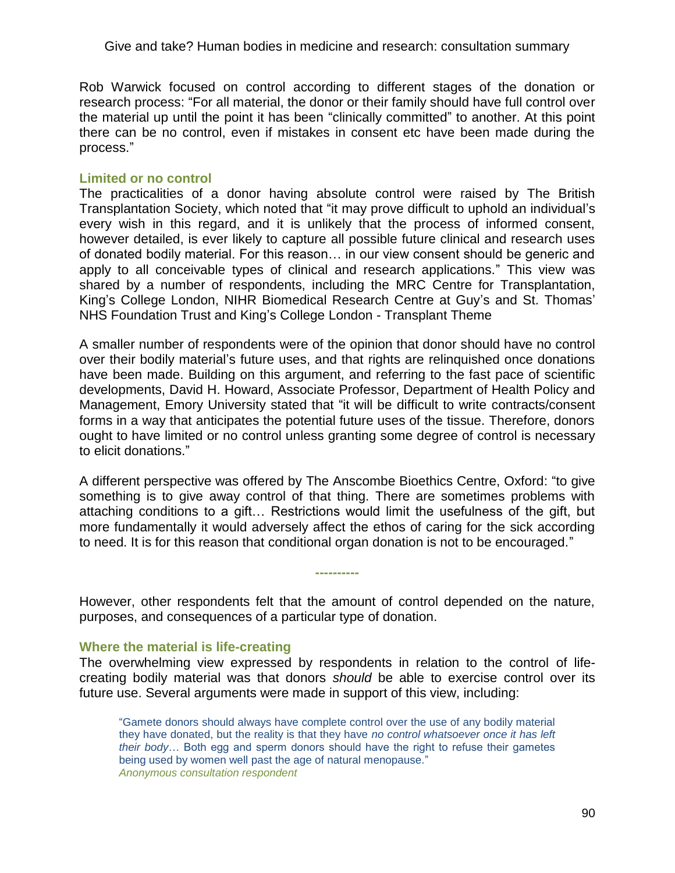Rob Warwick focused on control according to different stages of the donation or research process: "For all material, the donor or their family should have full control over the material up until the point it has been "clinically committed" to another. At this point there can be no control, even if mistakes in consent etc have been made during the process.‖

# **Limited or no control**

The practicalities of a donor having absolute control were raised by The British Transplantation Society, which noted that "it may prove difficult to uphold an individual's every wish in this regard, and it is unlikely that the process of informed consent, however detailed, is ever likely to capture all possible future clinical and research uses of donated bodily material. For this reason… in our view consent should be generic and apply to all conceivable types of clinical and research applications." This view was shared by a number of respondents, including the MRC Centre for Transplantation, King's College London, NIHR Biomedical Research Centre at Guy's and St. Thomas' NHS Foundation Trust and King's College London - Transplant Theme

A smaller number of respondents were of the opinion that donor should have no control over their bodily material's future uses, and that rights are relinquished once donations have been made. Building on this argument, and referring to the fast pace of scientific developments, David H. Howard, Associate Professor, Department of Health Policy and Management, Emory University stated that "it will be difficult to write contracts/consent forms in a way that anticipates the potential future uses of the tissue. Therefore, donors ought to have limited or no control unless granting some degree of control is necessary to elicit donations."

A different perspective was offered by The Anscombe Bioethics Centre, Oxford: "to give something is to give away control of that thing. There are sometimes problems with attaching conditions to a gift… Restrictions would limit the usefulness of the gift, but more fundamentally it would adversely affect the ethos of caring for the sick according to need. It is for this reason that conditional organ donation is not to be encouraged."

However, other respondents felt that the amount of control depended on the nature, purposes, and consequences of a particular type of donation.

**----------**

# **Where the material is life-creating**

The overwhelming view expressed by respondents in relation to the control of lifecreating bodily material was that donors *should* be able to exercise control over its future use. Several arguments were made in support of this view, including:

―Gamete donors should always have complete control over the use of any bodily material they have donated, but the reality is that they have *no control whatsoever once it has left their body*… Both egg and sperm donors should have the right to refuse their gametes being used by women well past the age of natural menopause." *Anonymous consultation respondent*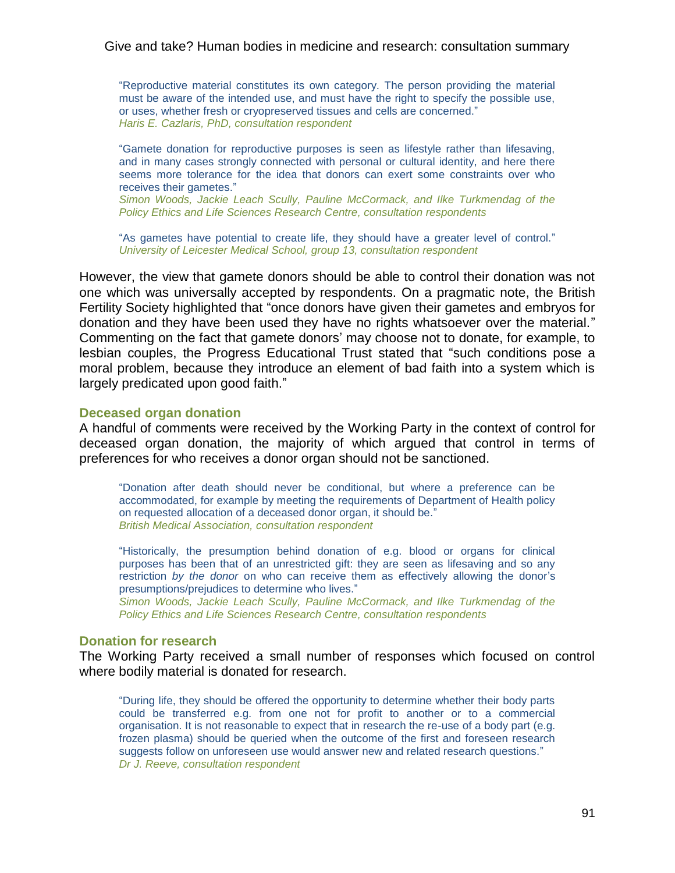―Reproductive material constitutes its own category. The person providing the material must be aware of the intended use, and must have the right to specify the possible use, or uses, whether fresh or cryopreserved tissues and cells are concerned." *Haris E. Cazlaris, PhD, consultation respondent*

―Gamete donation for reproductive purposes is seen as lifestyle rather than lifesaving, and in many cases strongly connected with personal or cultural identity, and here there seems more tolerance for the idea that donors can exert some constraints over who receives their gametes."

*Simon Woods, Jackie Leach Scully, Pauline McCormack, and Ilke Turkmendag of the Policy Ethics and Life Sciences Research Centre, consultation respondents* 

"As gametes have potential to create life, they should have a greater level of control." *University of Leicester Medical School, group 13, consultation respondent*

However, the view that gamete donors should be able to control their donation was not one which was universally accepted by respondents. On a pragmatic note, the British Fertility Society highlighted that "once donors have given their gametes and embryos for donation and they have been used they have no rights whatsoever over the material." Commenting on the fact that gamete donors' may choose not to donate, for example, to lesbian couples, the Progress Educational Trust stated that "such conditions pose a moral problem, because they introduce an element of bad faith into a system which is largely predicated upon good faith."

#### **Deceased organ donation**

A handful of comments were received by the Working Party in the context of control for deceased organ donation, the majority of which argued that control in terms of preferences for who receives a donor organ should not be sanctioned.

―Donation after death should never be conditional, but where a preference can be accommodated, for example by meeting the requirements of Department of Health policy on requested allocation of a deceased donor organ, it should be." *British Medical Association, consultation respondent*

―Historically, the presumption behind donation of e.g. blood or organs for clinical purposes has been that of an unrestricted gift: they are seen as lifesaving and so any restriction *by the donor* on who can receive them as effectively allowing the donor's presumptions/prejudices to determine who lives."

*Simon Woods, Jackie Leach Scully, Pauline McCormack, and Ilke Turkmendag of the Policy Ethics and Life Sciences Research Centre, consultation respondents* 

#### **Donation for research**

The Working Party received a small number of responses which focused on control where bodily material is donated for research.

―During life, they should be offered the opportunity to determine whether their body parts could be transferred e.g. from one not for profit to another or to a commercial organisation. It is not reasonable to expect that in research the re-use of a body part (e.g. frozen plasma) should be queried when the outcome of the first and foreseen research suggests follow on unforeseen use would answer new and related research questions." *Dr J. Reeve, consultation respondent*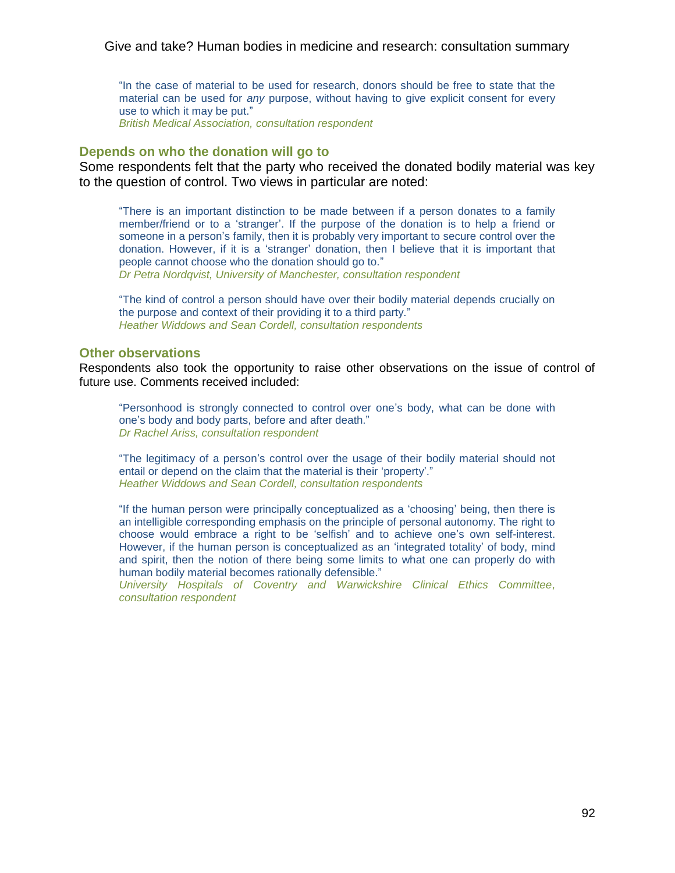"In the case of material to be used for research, donors should be free to state that the material can be used for *any* purpose, without having to give explicit consent for every use to which it may be put." *British Medical Association, consultation respondent*

#### **Depends on who the donation will go to**

Some respondents felt that the party who received the donated bodily material was key to the question of control. Two views in particular are noted:

―There is an important distinction to be made between if a person donates to a family member/friend or to a 'stranger'. If the purpose of the donation is to help a friend or someone in a person's family, then it is probably very important to secure control over the donation. However, if it is a 'stranger' donation, then I believe that it is important that people cannot choose who the donation should go to." *Dr Petra Nordqvist, University of Manchester, consultation respondent*

―The kind of control a person should have over their bodily material depends crucially on the purpose and context of their providing it to a third party." *Heather Widdows and Sean Cordell, consultation respondents*

#### **Other observations**

Respondents also took the opportunity to raise other observations on the issue of control of future use. Comments received included:

―Personhood is strongly connected to control over one's body, what can be done with one's body and body parts, before and after death." *Dr Rachel Ariss, consultation respondent*

―The legitimacy of a person's control over the usage of their bodily material should not entail or depend on the claim that the material is their 'property'." *Heather Widdows and Sean Cordell, consultation respondents*

"If the human person were principally conceptualized as a 'choosing' being, then there is an intelligible corresponding emphasis on the principle of personal autonomy. The right to choose would embrace a right to be ‗selfish' and to achieve one's own self-interest. However, if the human person is conceptualized as an 'integrated totality' of body, mind and spirit, then the notion of there being some limits to what one can properly do with human bodily material becomes rationally defensible."

*University Hospitals of Coventry and Warwickshire Clinical Ethics Committee, consultation respondent*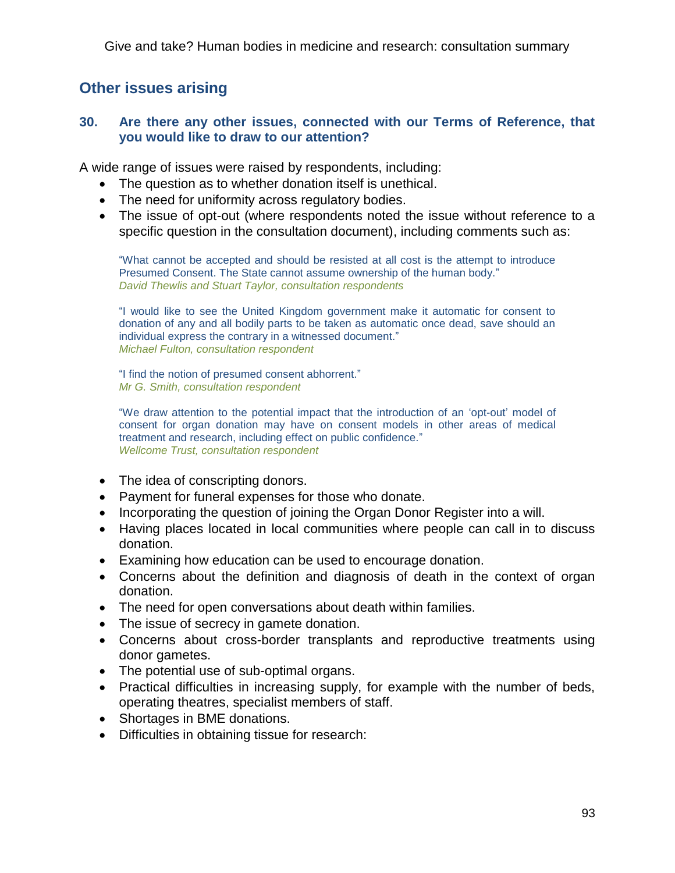# **Other issues arising**

# **30. Are there any other issues, connected with our Terms of Reference, that you would like to draw to our attention?**

A wide range of issues were raised by respondents, including:

- The question as to whether donation itself is unethical.
- The need for uniformity across regulatory bodies.
- The issue of opt-out (where respondents noted the issue without reference to a specific question in the consultation document), including comments such as:

―What cannot be accepted and should be resisted at all cost is the attempt to introduce Presumed Consent. The State cannot assume ownership of the human body." *David Thewlis and Stuart Taylor, consultation respondents* 

―I would like to see the United Kingdom government make it automatic for consent to donation of any and all bodily parts to be taken as automatic once dead, save should an individual express the contrary in a witnessed document." *Michael Fulton, consultation respondent*

"I find the notion of presumed consent abhorrent." *Mr G. Smith, consultation respondent*

"We draw attention to the potential impact that the introduction of an 'opt-out' model of consent for organ donation may have on consent models in other areas of medical treatment and research, including effect on public confidence." *Wellcome Trust, consultation respondent* 

- The idea of conscripting donors.
- Payment for funeral expenses for those who donate.
- Incorporating the question of joining the Organ Donor Register into a will.
- Having places located in local communities where people can call in to discuss donation.
- Examining how education can be used to encourage donation.
- Concerns about the definition and diagnosis of death in the context of organ donation.
- The need for open conversations about death within families.
- The issue of secrecy in gamete donation.
- Concerns about cross-border transplants and reproductive treatments using donor gametes.
- The potential use of sub-optimal organs.
- Practical difficulties in increasing supply, for example with the number of beds, operating theatres, specialist members of staff.
- Shortages in BME donations.
- Difficulties in obtaining tissue for research: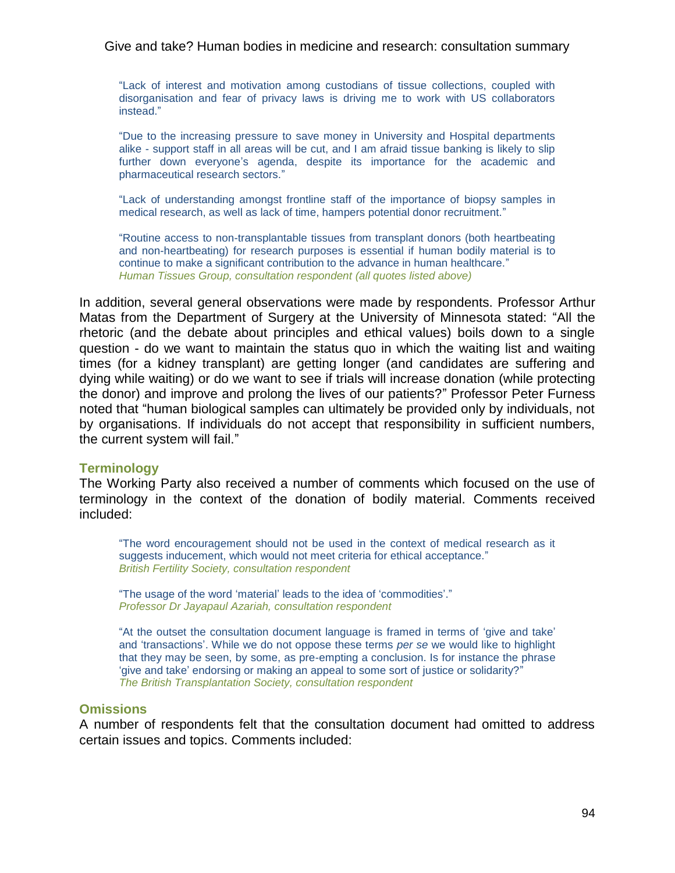―Lack of interest and motivation among custodians of tissue collections, coupled with disorganisation and fear of privacy laws is driving me to work with US collaborators instead.‖

―Due to the increasing pressure to save money in University and Hospital departments alike - support staff in all areas will be cut, and I am afraid tissue banking is likely to slip further down everyone's agenda, despite its importance for the academic and pharmaceutical research sectors."

―Lack of understanding amongst frontline staff of the importance of biopsy samples in medical research, as well as lack of time, hampers potential donor recruitment."

―Routine access to non-transplantable tissues from transplant donors (both heartbeating and non-heartbeating) for research purposes is essential if human bodily material is to continue to make a significant contribution to the advance in human healthcare." *Human Tissues Group, consultation respondent (all quotes listed above)*

In addition, several general observations were made by respondents. Professor Arthur Matas from the Department of Surgery at the University of Minnesota stated: "All the rhetoric (and the debate about principles and ethical values) boils down to a single question - do we want to maintain the status quo in which the waiting list and waiting times (for a kidney transplant) are getting longer (and candidates are suffering and dying while waiting) or do we want to see if trials will increase donation (while protecting the donor) and improve and prolong the lives of our patients?" Professor Peter Furness noted that "human biological samples can ultimately be provided only by individuals, not by organisations. If individuals do not accept that responsibility in sufficient numbers, the current system will fail."

# **Terminology**

The Working Party also received a number of comments which focused on the use of terminology in the context of the donation of bodily material. Comments received included:

―The word encouragement should not be used in the context of medical research as it suggests inducement, which would not meet criteria for ethical acceptance." *British Fertility Society, consultation respondent*

"The usage of the word 'material' leads to the idea of 'commodities'." *Professor Dr Jayapaul Azariah, consultation respondent* 

―At the outset the consultation document language is framed in terms of ‗give and take' and ‗transactions'. While we do not oppose these terms *per se* we would like to highlight that they may be seen, by some, as pre-empting a conclusion. Is for instance the phrase 'give and take' endorsing or making an appeal to some sort of justice or solidarity?" *The British Transplantation Society, consultation respondent* 

### **Omissions**

A number of respondents felt that the consultation document had omitted to address certain issues and topics. Comments included: